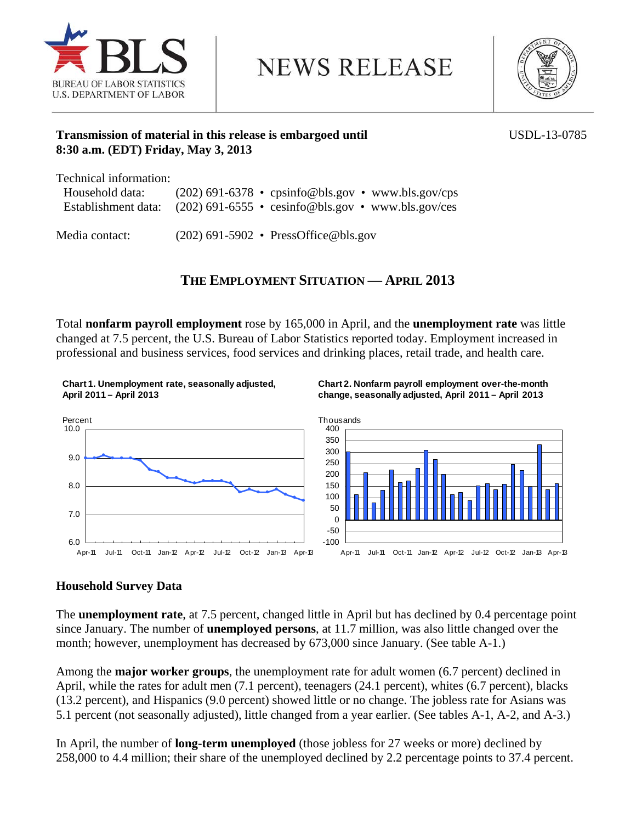

**NEWS RELEASE** 



## **Transmission of material in this release is embargoed until** USDL-13-0785 **8:30 a.m. (EDT) Friday, May 3, 2013**

| Technical information: |                                                      |
|------------------------|------------------------------------------------------|
| Household data:        | $(202)$ 691-6378 • cpsinfo@bls.gov • www.bls.gov/cps |
| Establishment data:    | $(202)$ 691-6555 • cesinfo@bls.gov • www.bls.gov/ces |
|                        |                                                      |
| Media contact:         | $(202)$ 691-5902 • PressOffice@bls.gov               |

# **THE EMPLOYMENT SITUATION — APRIL 2013**

Total **nonfarm payroll employment** rose by 165,000 in April, and the **unemployment rate** was little changed at 7.5 percent, the U.S. Bureau of Labor Statistics reported today. Employment increased in professional and business services, food services and drinking places, retail trade, and health care.







## **Household Survey Data**

The **unemployment rate**, at 7.5 percent, changed little in April but has declined by 0.4 percentage point since January. The number of **unemployed persons**, at 11.7 million, was also little changed over the month; however, unemployment has decreased by 673,000 since January. (See table A-1.)

Among the **major worker groups**, the unemployment rate for adult women (6.7 percent) declined in April, while the rates for adult men (7.1 percent), teenagers (24.1 percent), whites (6.7 percent), blacks (13.2 percent), and Hispanics (9.0 percent) showed little or no change. The jobless rate for Asians was 5.1 percent (not seasonally adjusted), little changed from a year earlier. (See tables A-1, A-2, and A-3.)

In April, the number of **long-term unemployed** (those jobless for 27 weeks or more) declined by 258,000 to 4.4 million; their share of the unemployed declined by 2.2 percentage points to 37.4 percent.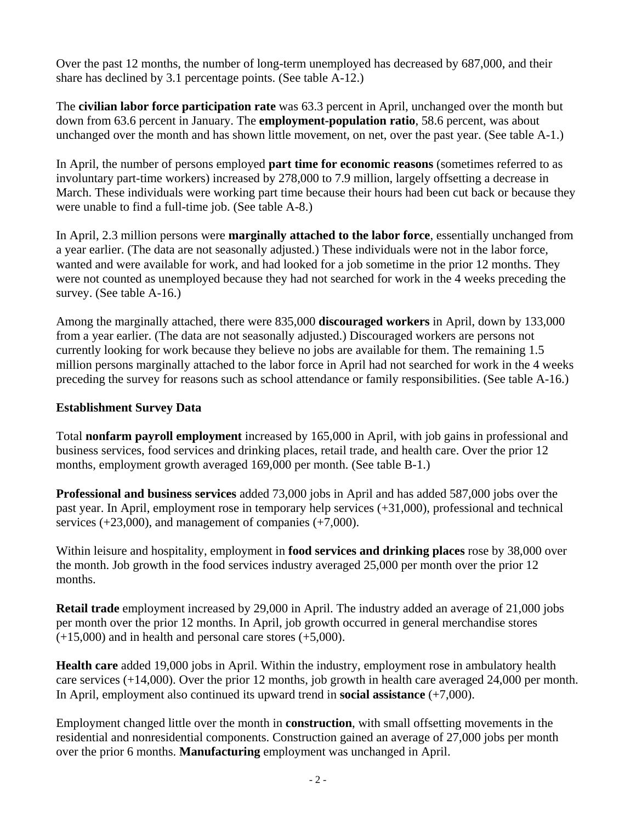Over the past 12 months, the number of long-term unemployed has decreased by 687,000, and their share has declined by 3.1 percentage points. (See table A-12.)

The **civilian labor force participation rate** was 63.3 percent in April, unchanged over the month but down from 63.6 percent in January. The **employment-population ratio**, 58.6 percent, was about unchanged over the month and has shown little movement, on net, over the past year. (See table A-1.)

In April, the number of persons employed **part time for economic reasons** (sometimes referred to as involuntary part-time workers) increased by 278,000 to 7.9 million, largely offsetting a decrease in March. These individuals were working part time because their hours had been cut back or because they were unable to find a full-time job. (See table A-8.)

In April, 2.3 million persons were **marginally attached to the labor force**, essentially unchanged from a year earlier. (The data are not seasonally adjusted.) These individuals were not in the labor force, wanted and were available for work, and had looked for a job sometime in the prior 12 months. They were not counted as unemployed because they had not searched for work in the 4 weeks preceding the survey. (See table A-16.)

Among the marginally attached, there were 835,000 **discouraged workers** in April, down by 133,000 from a year earlier. (The data are not seasonally adjusted.) Discouraged workers are persons not currently looking for work because they believe no jobs are available for them. The remaining 1.5 million persons marginally attached to the labor force in April had not searched for work in the 4 weeks preceding the survey for reasons such as school attendance or family responsibilities. (See table A-16.)

## **Establishment Survey Data**

Total **nonfarm payroll employment** increased by 165,000 in April, with job gains in professional and business services, food services and drinking places, retail trade, and health care. Over the prior 12 months, employment growth averaged 169,000 per month. (See table B-1.)

**Professional and business services** added 73,000 jobs in April and has added 587,000 jobs over the past year. In April, employment rose in temporary help services (+31,000), professional and technical services (+23,000), and management of companies (+7,000).

Within leisure and hospitality, employment in **food services and drinking places** rose by 38,000 over the month. Job growth in the food services industry averaged 25,000 per month over the prior 12 months.

**Retail trade** employment increased by 29,000 in April. The industry added an average of 21,000 jobs per month over the prior 12 months. In April, job growth occurred in general merchandise stores  $(+15,000)$  and in health and personal care stores  $(+5,000)$ .

**Health care** added 19,000 jobs in April. Within the industry, employment rose in ambulatory health care services (+14,000). Over the prior 12 months, job growth in health care averaged 24,000 per month. In April, employment also continued its upward trend in **social assistance** (+7,000).

Employment changed little over the month in **construction**, with small offsetting movements in the residential and nonresidential components. Construction gained an average of 27,000 jobs per month over the prior 6 months. **Manufacturing** employment was unchanged in April.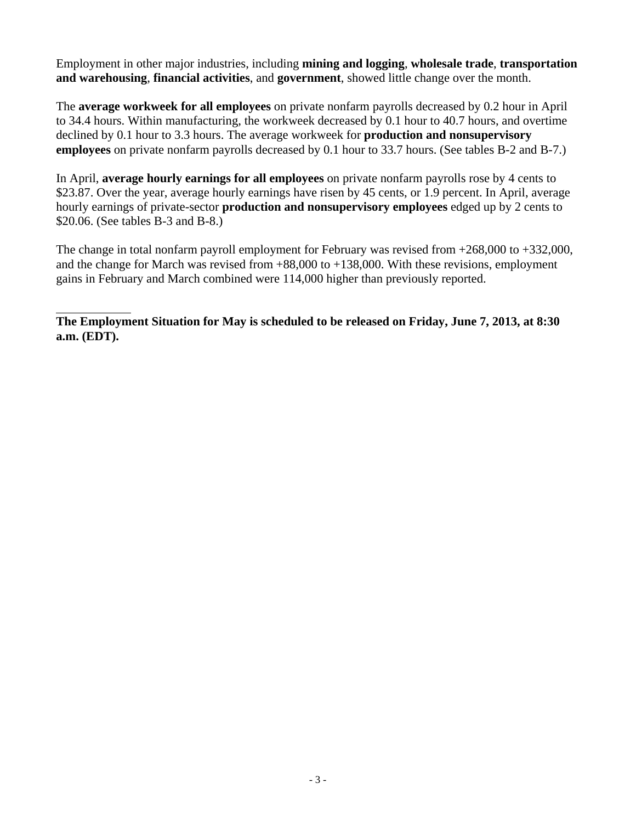Employment in other major industries, including **mining and logging**, **wholesale trade**, **transportation and warehousing**, **financial activities**, and **government**, showed little change over the month.

The **average workweek for all employees** on private nonfarm payrolls decreased by 0.2 hour in April to 34.4 hours. Within manufacturing, the workweek decreased by 0.1 hour to 40.7 hours, and overtime declined by 0.1 hour to 3.3 hours. The average workweek for **production and nonsupervisory employees** on private nonfarm payrolls decreased by 0.1 hour to 33.7 hours. (See tables B-2 and B-7.)

In April, **average hourly earnings for all employees** on private nonfarm payrolls rose by 4 cents to \$23.87. Over the year, average hourly earnings have risen by 45 cents, or 1.9 percent. In April, average hourly earnings of private-sector **production and nonsupervisory employees** edged up by 2 cents to \$20.06. (See tables B-3 and B-8.)

The change in total nonfarm payroll employment for February was revised from  $+268,000$  to  $+332,000$ , and the change for March was revised from  $+88,000$  to  $+138,000$ . With these revisions, employment gains in February and March combined were 114,000 higher than previously reported.

**The Employment Situation for May is scheduled to be released on Friday, June 7, 2013, at 8:30 a.m. (EDT).**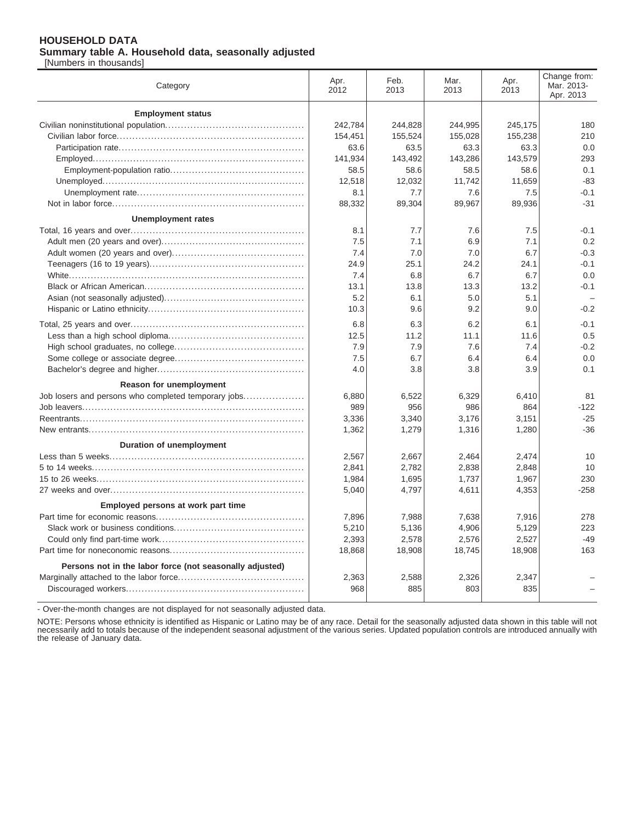### **HOUSEHOLD DATA Summary table A. Household data, seasonally adjusted**

[Numbers in thousands]

| Category                                                 | Apr.<br>2012 | Feb.<br>2013 | Mar.<br>2013 | Apr.<br>2013 | Change from:<br>Mar. 2013-<br>Apr. 2013 |
|----------------------------------------------------------|--------------|--------------|--------------|--------------|-----------------------------------------|
| <b>Employment status</b>                                 |              |              |              |              |                                         |
|                                                          | 242,784      | 244,828      | 244,995      | 245,175      | 180                                     |
|                                                          | 154,451      | 155,524      | 155,028      | 155,238      | 210                                     |
|                                                          | 63.6         | 63.5         | 63.3         | 63.3         | 0.0                                     |
|                                                          | 141,934      | 143,492      | 143,286      | 143,579      | 293                                     |
|                                                          | 58.5         | 58.6         | 58.5         | 58.6         | 0.1                                     |
|                                                          | 12,518       | 12,032       | 11,742       | 11,659       | $-83$                                   |
|                                                          | 8.1          | 7.7          | 7.6          | 7.5          | $-0.1$                                  |
|                                                          | 88,332       | 89,304       | 89,967       | 89,936       | $-31$                                   |
| <b>Unemployment rates</b>                                |              |              |              |              |                                         |
|                                                          | 8.1          | 7.7          | 7.6          | 7.5          | $-0.1$                                  |
|                                                          | 7.5          | 7.1          | 6.9          | 7.1          | 0.2                                     |
|                                                          | 7.4          | 7.0          | 7.0          | 6.7          | $-0.3$                                  |
|                                                          | 24.9         | 25.1         | 24.2         | 24.1         | $-0.1$                                  |
|                                                          | 7.4          | 6.8          | 6.7          | 6.7          | 0.0                                     |
|                                                          | 13.1         | 13.8         | 13.3         | 13.2         | $-0.1$                                  |
|                                                          | 5.2          | 6.1          | 5.0          | 5.1          |                                         |
|                                                          | 10.3         | 9.6          | 9.2          | 9.0          | $-0.2$                                  |
|                                                          | 6.8          | 6.3          | 6.2          | 6.1          | $-0.1$                                  |
|                                                          | 12.5         | 11.2         | 11.1         | 11.6         | 0.5                                     |
|                                                          | 7.9          | 7.9          | 7.6          | 7.4          | $-0.2$                                  |
|                                                          | 7.5          | 6.7          | 6.4          | 6.4          | 0.0                                     |
|                                                          | 4.0          | 3.8          | 3.8          | 3.9          | 0.1                                     |
| Reason for unemployment                                  |              |              |              |              |                                         |
| Job losers and persons who completed temporary jobs      | 6,880        | 6,522        | 6,329        | 6,410        | 81                                      |
|                                                          | 989          | 956          | 986          | 864          | $-122$                                  |
|                                                          | 3,336        | 3,340        | 3,176        | 3,151        | $-25$                                   |
|                                                          | 1,362        | 1,279        | 1,316        | 1,280        | $-36$                                   |
| Duration of unemployment                                 |              |              |              |              |                                         |
|                                                          | 2,567        | 2.667        | 2,464        | 2.474        | 10                                      |
|                                                          | 2,841        | 2,782        | 2,838        | 2,848        | 10                                      |
|                                                          | 1,984        | 1,695        | 1,737        | 1,967        | 230                                     |
|                                                          | 5,040        | 4,797        | 4,611        | 4,353        | $-258$                                  |
| Employed persons at work part time                       |              |              |              |              |                                         |
|                                                          | 7,896        | 7,988        | 7,638        | 7,916        | 278                                     |
|                                                          | 5,210        | 5,136        | 4,906        | 5,129        | 223                                     |
|                                                          | 2,393        | 2,578        | 2,576        | 2.527        | $-49$                                   |
|                                                          | 18,868       | 18,908       | 18,745       | 18,908       | 163                                     |
| Persons not in the labor force (not seasonally adjusted) |              |              |              |              |                                         |
|                                                          | 2,363        | 2,588        | 2,326        | 2,347        |                                         |
|                                                          | 968          | 885          | 803          | 835          |                                         |

- Over-the-month changes are not displayed for not seasonally adjusted data.

NOTE: Persons whose ethnicity is identified as Hispanic or Latino may be of any race. Detail for the seasonally adjusted data shown in this table will not<br>necessarily add to totals because of the independent seasonal adjus the release of January data.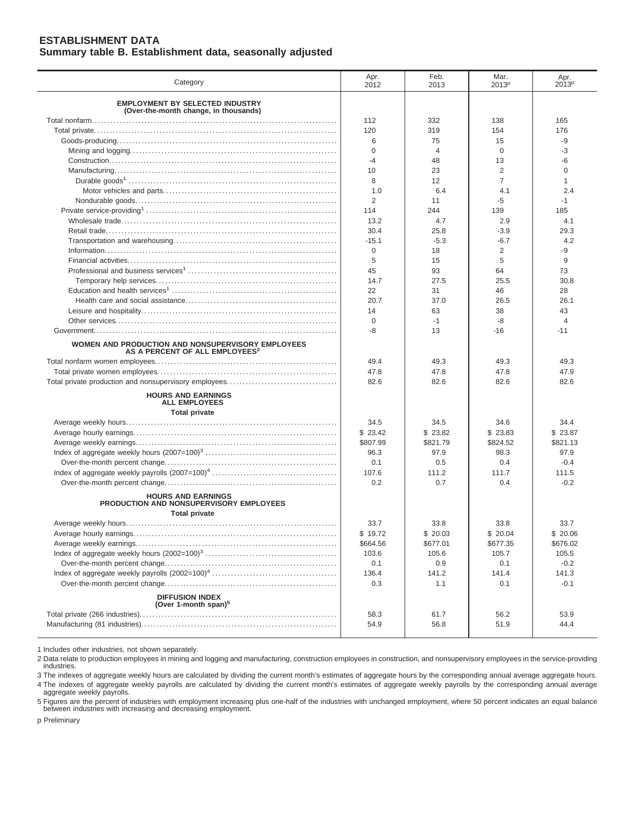#### **ESTABLISHMENT DATA Summary table B. Establishment data, seasonally adjusted**

| Category                                                                                        | Apr.<br>2012   | Feb.<br>2013      | Mar.<br>2013 <sup>P</sup> | Apr.<br>2013 <sup>p</sup> |
|-------------------------------------------------------------------------------------------------|----------------|-------------------|---------------------------|---------------------------|
| <b>EMPLOYMENT BY SELECTED INDUSTRY</b><br>(Over-the-month change, in thousands)                 |                |                   |                           |                           |
|                                                                                                 | 112            | 332               | 138                       | 165                       |
|                                                                                                 | 120            | 319               | 154                       | 176                       |
|                                                                                                 | 6              | 75                | 15                        | -9                        |
|                                                                                                 | $\mathbf 0$    | $\overline{4}$    | $\mathbf 0$               | -3                        |
|                                                                                                 | $-4$           | 48                | 13                        | -6                        |
|                                                                                                 | 10             | 23                | $\overline{2}$            | $\mathbf 0$               |
|                                                                                                 | 8              | $12 \overline{ }$ | $\overline{7}$            | 1                         |
|                                                                                                 | 1.0            | 6.4               | 4.1                       | 2.4                       |
|                                                                                                 | $\overline{2}$ | 11                | -5                        | $-1$                      |
|                                                                                                 | 114            | 244               | 139                       | 185                       |
|                                                                                                 | 13.2           | 4.7               | 2.9                       | 4.1                       |
|                                                                                                 | 30.4           | 25.8              | $-3.9$                    | 29.3                      |
|                                                                                                 | $-15.1$        | $-5.3$            | $-6.7$                    | 4.2                       |
|                                                                                                 | $\mathbf 0$    | 18                | 2                         | -9                        |
|                                                                                                 | 5              | 15                | 5                         | 9                         |
|                                                                                                 | 45             | 93                | 64                        | 73                        |
|                                                                                                 | 14.7           | 27.5              | 25.5                      | 30.8                      |
|                                                                                                 | 22             | 31                | 46                        | 28                        |
|                                                                                                 | 20.7           | 37.0              | 26.5                      | 26.1                      |
|                                                                                                 | 14             | 63                | 38                        | 43                        |
|                                                                                                 | $\Omega$       | -1                | -8                        | 4                         |
|                                                                                                 | -8             | 13                | -16                       | $-11$                     |
| WOMEN AND PRODUCTION AND NONSUPERVISORY EMPLOYEES<br>AS A PERCENT OF ALL EMPLOYEES <sup>2</sup> |                |                   |                           |                           |
|                                                                                                 | 49.4           | 49.3              | 49.3                      | 49.3                      |
|                                                                                                 | 47.8           | 47.8              | 47.8                      | 47.9                      |
| Total private production and nonsupervisory employees                                           | 82.6           | 82.6              | 82.6                      | 82.6                      |
| <b>HOURS AND EARNINGS</b><br><b>ALL EMPLOYEES</b>                                               |                |                   |                           |                           |
| <b>Total private</b>                                                                            |                |                   |                           |                           |
|                                                                                                 | 34.5           | 34.5              | 34.6                      | 34.4                      |
|                                                                                                 | \$23.42        | \$23.82           | \$23.83                   | \$23.87                   |
|                                                                                                 | \$807.99       | \$821.79          | \$824.52                  | \$821.13                  |
|                                                                                                 | 96.3           | 97.9              | 98.3                      | 97.9                      |
|                                                                                                 | 0.1            | 0.5               | 0.4                       | $-0.4$                    |
|                                                                                                 | 107.6          | 111.2             | 111.7                     | 111.5                     |
|                                                                                                 | 0.2            | 0.7               | 0.4                       | $-0.2$                    |
| <b>HOURS AND EARNINGS</b><br>PRODUCTION AND NONSUPERVISORY EMPLOYEES                            |                |                   |                           |                           |
| <b>Total private</b>                                                                            |                |                   |                           |                           |
|                                                                                                 | 33.7           | 33.8              | 33.8                      | 33.7                      |
| Average hourly earnings.                                                                        | \$19.72        | \$20.03           | \$20.04                   | \$20.06                   |
|                                                                                                 | \$664.56       | \$677.01          | \$677.35                  | \$676.02                  |
|                                                                                                 | 103.6          | 105.6             | 105.7                     | 105.5                     |
|                                                                                                 | 0.1            | 0.9               | 0.1                       | $-0.2$                    |
|                                                                                                 | 136.4          | 141.2             | 141.4                     | 141.3                     |
|                                                                                                 | 0.3            | 1.1               | 0.1                       | $-0.1$                    |
| <b>DIFFUSION INDEX</b><br>(Over 1-month span) <sup>5</sup>                                      |                |                   |                           |                           |
|                                                                                                 | 58.3           | 61.7              | 56.2                      | 53.9                      |
|                                                                                                 | 54.9           | 56.8              | 51.9                      | 44.4                      |
|                                                                                                 |                |                   |                           |                           |

1 Includes other industries, not shown separately.

2 Data relate to production employees in mining and logging and manufacturing, construction employees in construction, and nonsupervisory employees in the service-providing industries.

3 The indexes of aggregate weekly hours are calculated by dividing the current month's estimates of aggregate hours by the corresponding annual average aggregate hours. 4 The indexes of aggregate weekly payrolls are calculated by dividing the current month's estimates of aggregate weekly payrolls by the corresponding annual average aggregate weekly payrolls.

5 Figures are the percent of industries with employment increasing plus one-half of the industries with unchanged employment, where 50 percent indicates an equal balance between industries with increasing and decreasing employment.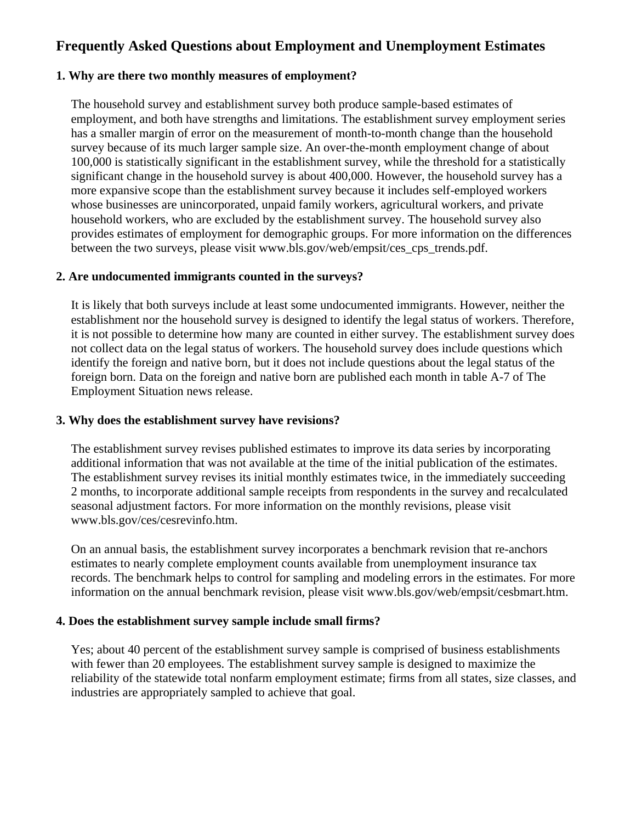# **Frequently Asked Questions about Employment and Unemployment Estimates**

## **1. Why are there two monthly measures of employment?**

The household survey and establishment survey both produce sample-based estimates of employment, and both have strengths and limitations. The establishment survey employment series has a smaller margin of error on the measurement of month-to-month change than the household survey because of its much larger sample size. An over-the-month employment change of about 100,000 is statistically significant in the establishment survey, while the threshold for a statistically significant change in the household survey is about 400,000. However, the household survey has a more expansive scope than the establishment survey because it includes self-employed workers whose businesses are unincorporated, unpaid family workers, agricultural workers, and private household workers, who are excluded by the establishment survey. The household survey also provides estimates of employment for demographic groups. For more information on the differences between the two surveys, please visit www.bls.gov/web/empsit/ces\_cps\_trends.pdf.

## **2. Are undocumented immigrants counted in the surveys?**

It is likely that both surveys include at least some undocumented immigrants. However, neither the establishment nor the household survey is designed to identify the legal status of workers. Therefore, it is not possible to determine how many are counted in either survey. The establishment survey does not collect data on the legal status of workers. The household survey does include questions which identify the foreign and native born, but it does not include questions about the legal status of the foreign born. Data on the foreign and native born are published each month in table A-7 of The Employment Situation news release.

## **3. Why does the establishment survey have revisions?**

The establishment survey revises published estimates to improve its data series by incorporating additional information that was not available at the time of the initial publication of the estimates. The establishment survey revises its initial monthly estimates twice, in the immediately succeeding 2 months, to incorporate additional sample receipts from respondents in the survey and recalculated seasonal adjustment factors. For more information on the monthly revisions, please visit www.bls.gov/ces/cesrevinfo.htm.

On an annual basis, the establishment survey incorporates a benchmark revision that re-anchors estimates to nearly complete employment counts available from unemployment insurance tax records. The benchmark helps to control for sampling and modeling errors in the estimates. For more information on the annual benchmark revision, please visit www.bls.gov/web/empsit/cesbmart.htm.

## **4. Does the establishment survey sample include small firms?**

Yes; about 40 percent of the establishment survey sample is comprised of business establishments with fewer than 20 employees. The establishment survey sample is designed to maximize the reliability of the statewide total nonfarm employment estimate; firms from all states, size classes, and industries are appropriately sampled to achieve that goal.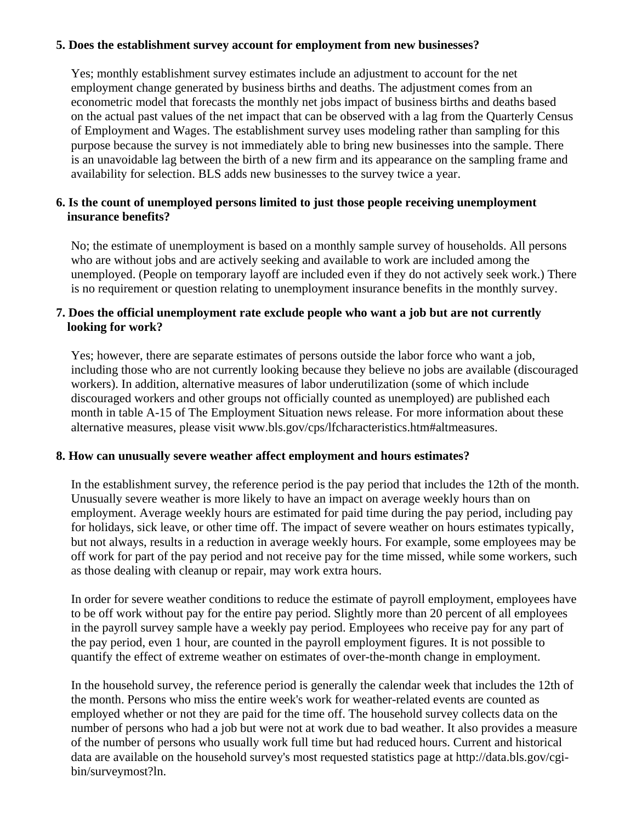## **5. Does the establishment survey account for employment from new businesses?**

Yes; monthly establishment survey estimates include an adjustment to account for the net employment change generated by business births and deaths. The adjustment comes from an econometric model that forecasts the monthly net jobs impact of business births and deaths based on the actual past values of the net impact that can be observed with a lag from the Quarterly Census of Employment and Wages. The establishment survey uses modeling rather than sampling for this purpose because the survey is not immediately able to bring new businesses into the sample. There is an unavoidable lag between the birth of a new firm and its appearance on the sampling frame and availability for selection. BLS adds new businesses to the survey twice a year.

## **6. Is the count of unemployed persons limited to just those people receiving unemployment insurance benefits?**

No; the estimate of unemployment is based on a monthly sample survey of households. All persons who are without jobs and are actively seeking and available to work are included among the unemployed. (People on temporary layoff are included even if they do not actively seek work.) There is no requirement or question relating to unemployment insurance benefits in the monthly survey.

## **7. Does the official unemployment rate exclude people who want a job but are not currently looking for work?**

Yes; however, there are separate estimates of persons outside the labor force who want a job, including those who are not currently looking because they believe no jobs are available (discouraged workers). In addition, alternative measures of labor underutilization (some of which include discouraged workers and other groups not officially counted as unemployed) are published each month in table A-15 of The Employment Situation news release. For more information about these alternative measures, please visit www.bls.gov/cps/lfcharacteristics.htm#altmeasures.

## **8. How can unusually severe weather affect employment and hours estimates?**

In the establishment survey, the reference period is the pay period that includes the 12th of the month. Unusually severe weather is more likely to have an impact on average weekly hours than on employment. Average weekly hours are estimated for paid time during the pay period, including pay for holidays, sick leave, or other time off. The impact of severe weather on hours estimates typically, but not always, results in a reduction in average weekly hours. For example, some employees may be off work for part of the pay period and not receive pay for the time missed, while some workers, such as those dealing with cleanup or repair, may work extra hours.

In order for severe weather conditions to reduce the estimate of payroll employment, employees have to be off work without pay for the entire pay period. Slightly more than 20 percent of all employees in the payroll survey sample have a weekly pay period. Employees who receive pay for any part of the pay period, even 1 hour, are counted in the payroll employment figures. It is not possible to quantify the effect of extreme weather on estimates of over-the-month change in employment.

In the household survey, the reference period is generally the calendar week that includes the 12th of the month. Persons who miss the entire week's work for weather-related events are counted as employed whether or not they are paid for the time off. The household survey collects data on the number of persons who had a job but were not at work due to bad weather. It also provides a measure of the number of persons who usually work full time but had reduced hours. Current and historical data are available on the household survey's most requested statistics page at http://data.bls.gov/cgibin/surveymost?ln.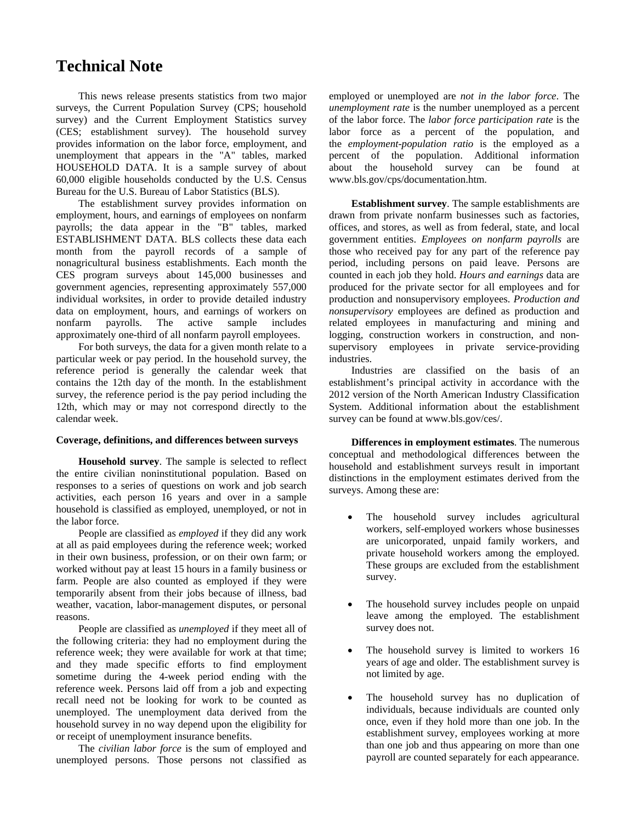# **Technical Note**

This news release presents statistics from two major surveys, the Current Population Survey (CPS; household survey) and the Current Employment Statistics survey (CES; establishment survey). The household survey provides information on the labor force, employment, and unemployment that appears in the "A" tables, marked HOUSEHOLD DATA. It is a sample survey of about 60,000 eligible households conducted by the U.S. Census Bureau for the U.S. Bureau of Labor Statistics (BLS).

The establishment survey provides information on employment, hours, and earnings of employees on nonfarm payrolls; the data appear in the "B" tables, marked ESTABLISHMENT DATA. BLS collects these data each month from the payroll records of a sample of nonagricultural business establishments. Each month the CES program surveys about 145,000 businesses and government agencies, representing approximately 557,000 individual worksites, in order to provide detailed industry data on employment, hours, and earnings of workers on nonfarm payrolls. The active sample includes approximately one-third of all nonfarm payroll employees.

For both surveys, the data for a given month relate to a particular week or pay period. In the household survey, the reference period is generally the calendar week that contains the 12th day of the month. In the establishment survey, the reference period is the pay period including the 12th, which may or may not correspond directly to the calendar week.

#### **Coverage, definitions, and differences between surveys**

**Household survey**. The sample is selected to reflect the entire civilian noninstitutional population. Based on responses to a series of questions on work and job search activities, each person 16 years and over in a sample household is classified as employed, unemployed, or not in the labor force.

People are classified as *employed* if they did any work at all as paid employees during the reference week; worked in their own business, profession, or on their own farm; or worked without pay at least 15 hours in a family business or farm. People are also counted as employed if they were temporarily absent from their jobs because of illness, bad weather, vacation, labor-management disputes, or personal reasons.

People are classified as *unemployed* if they meet all of the following criteria: they had no employment during the reference week; they were available for work at that time; and they made specific efforts to find employment sometime during the 4-week period ending with the reference week. Persons laid off from a job and expecting recall need not be looking for work to be counted as unemployed. The unemployment data derived from the household survey in no way depend upon the eligibility for or receipt of unemployment insurance benefits.

The *civilian labor force* is the sum of employed and unemployed persons. Those persons not classified as

employed or unemployed are *not in the labor force*. The *unemployment rate* is the number unemployed as a percent of the labor force. The *labor force participation rate* is the labor force as a percent of the population, and the *employment-population ratio* is the employed as a percent of the population. Additional information about the household survey can be found at www.bls.gov/cps/documentation.htm.

**Establishment survey**. The sample establishments are drawn from private nonfarm businesses such as factories, offices, and stores, as well as from federal, state, and local government entities. *Employees on nonfarm payrolls* are those who received pay for any part of the reference pay period, including persons on paid leave. Persons are counted in each job they hold. *Hours and earnings* data are produced for the private sector for all employees and for production and nonsupervisory employees. *Production and nonsupervisory* employees are defined as production and related employees in manufacturing and mining and logging, construction workers in construction, and nonsupervisory employees in private service-providing industries.

Industries are classified on the basis of an establishment's principal activity in accordance with the 2012 version of the North American Industry Classification System. Additional information about the establishment survey can be found at www.bls.gov/ces/.

**Differences in employment estimates**. The numerous conceptual and methodological differences between the household and establishment surveys result in important distinctions in the employment estimates derived from the surveys. Among these are:

- The household survey includes agricultural workers, self-employed workers whose businesses are unicorporated, unpaid family workers, and private household workers among the employed. These groups are excluded from the establishment survey.
- The household survey includes people on unpaid leave among the employed. The establishment survey does not.
- The household survey is limited to workers 16 years of age and older. The establishment survey is not limited by age.
- The household survey has no duplication of individuals, because individuals are counted only once, even if they hold more than one job. In the establishment survey, employees working at more than one job and thus appearing on more than one payroll are counted separately for each appearance.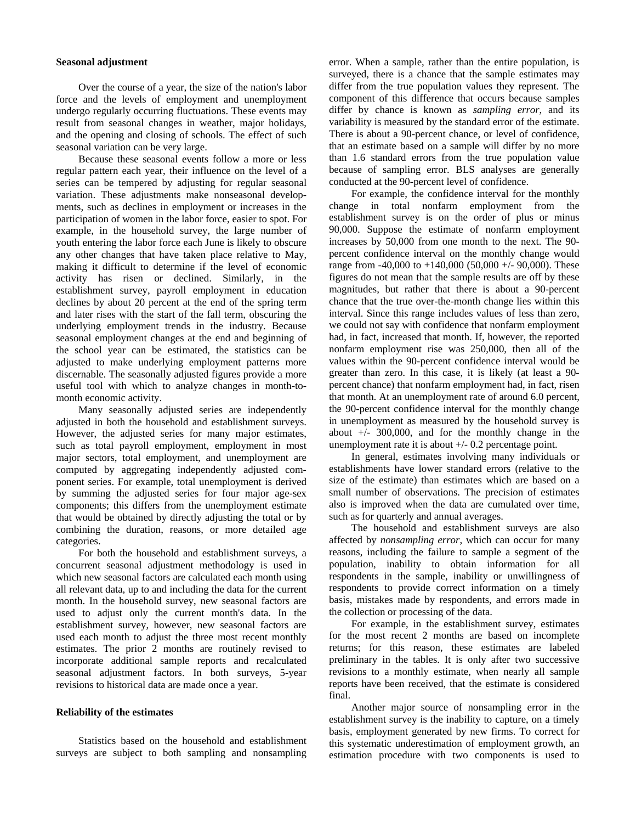#### **Seasonal adjustment**

Over the course of a year, the size of the nation's labor force and the levels of employment and unemployment undergo regularly occurring fluctuations. These events may result from seasonal changes in weather, major holidays, and the opening and closing of schools. The effect of such seasonal variation can be very large.

Because these seasonal events follow a more or less regular pattern each year, their influence on the level of a series can be tempered by adjusting for regular seasonal variation. These adjustments make nonseasonal developments, such as declines in employment or increases in the participation of women in the labor force, easier to spot. For example, in the household survey, the large number of youth entering the labor force each June is likely to obscure any other changes that have taken place relative to May, making it difficult to determine if the level of economic activity has risen or declined. Similarly, in the establishment survey, payroll employment in education declines by about 20 percent at the end of the spring term and later rises with the start of the fall term, obscuring the underlying employment trends in the industry. Because seasonal employment changes at the end and beginning of the school year can be estimated, the statistics can be adjusted to make underlying employment patterns more discernable. The seasonally adjusted figures provide a more useful tool with which to analyze changes in month-tomonth economic activity.

Many seasonally adjusted series are independently adjusted in both the household and establishment surveys. However, the adjusted series for many major estimates, such as total payroll employment, employment in most major sectors, total employment, and unemployment are computed by aggregating independently adjusted component series. For example, total unemployment is derived by summing the adjusted series for four major age-sex components; this differs from the unemployment estimate that would be obtained by directly adjusting the total or by combining the duration, reasons, or more detailed age categories.

For both the household and establishment surveys, a concurrent seasonal adjustment methodology is used in which new seasonal factors are calculated each month using all relevant data, up to and including the data for the current month. In the household survey, new seasonal factors are used to adjust only the current month's data. In the establishment survey, however, new seasonal factors are used each month to adjust the three most recent monthly estimates. The prior 2 months are routinely revised to incorporate additional sample reports and recalculated seasonal adjustment factors. In both surveys, 5-year revisions to historical data are made once a year.

#### **Reliability of the estimates**

Statistics based on the household and establishment surveys are subject to both sampling and nonsampling error. When a sample, rather than the entire population, is surveyed, there is a chance that the sample estimates may differ from the true population values they represent. The component of this difference that occurs because samples differ by chance is known as *sampling error*, and its variability is measured by the standard error of the estimate. There is about a 90-percent chance, or level of confidence, that an estimate based on a sample will differ by no more than 1.6 standard errors from the true population value because of sampling error. BLS analyses are generally conducted at the 90-percent level of confidence.

For example, the confidence interval for the monthly change in total nonfarm employment from the establishment survey is on the order of plus or minus 90,000. Suppose the estimate of nonfarm employment increases by 50,000 from one month to the next. The 90 percent confidence interval on the monthly change would range from -40,000 to +140,000 (50,000 +/- 90,000). These figures do not mean that the sample results are off by these magnitudes, but rather that there is about a 90-percent chance that the true over-the-month change lies within this interval. Since this range includes values of less than zero, we could not say with confidence that nonfarm employment had, in fact, increased that month. If, however, the reported nonfarm employment rise was 250,000, then all of the values within the 90-percent confidence interval would be greater than zero. In this case, it is likely (at least a 90 percent chance) that nonfarm employment had, in fact, risen that month. At an unemployment rate of around 6.0 percent, the 90-percent confidence interval for the monthly change in unemployment as measured by the household survey is about  $+/-$  300,000, and for the monthly change in the unemployment rate it is about +/- 0.2 percentage point.

In general, estimates involving many individuals or establishments have lower standard errors (relative to the size of the estimate) than estimates which are based on a small number of observations. The precision of estimates also is improved when the data are cumulated over time, such as for quarterly and annual averages.

The household and establishment surveys are also affected by *nonsampling error*, which can occur for many reasons, including the failure to sample a segment of the population, inability to obtain information for all respondents in the sample, inability or unwillingness of respondents to provide correct information on a timely basis, mistakes made by respondents, and errors made in the collection or processing of the data.

For example, in the establishment survey, estimates for the most recent 2 months are based on incomplete returns; for this reason, these estimates are labeled preliminary in the tables. It is only after two successive revisions to a monthly estimate, when nearly all sample reports have been received, that the estimate is considered final.

Another major source of nonsampling error in the establishment survey is the inability to capture, on a timely basis, employment generated by new firms. To correct for this systematic underestimation of employment growth, an estimation procedure with two components is used to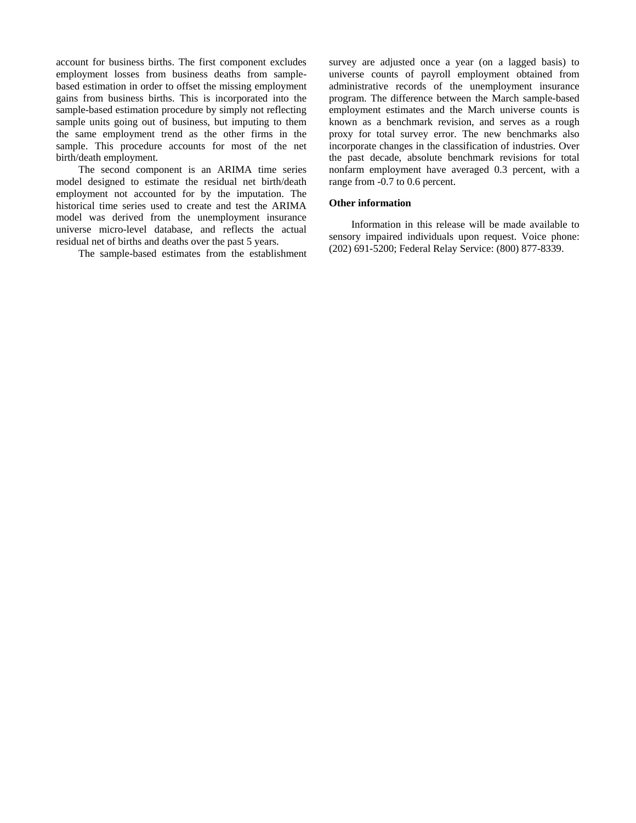account for business births. The first component excludes employment losses from business deaths from samplebased estimation in order to offset the missing employment gains from business births. This is incorporated into the sample-based estimation procedure by simply not reflecting sample units going out of business, but imputing to them the same employment trend as the other firms in the sample. This procedure accounts for most of the net birth/death employment.

The second component is an ARIMA time series model designed to estimate the residual net birth/death employment not accounted for by the imputation. The historical time series used to create and test the ARIMA model was derived from the unemployment insurance universe micro-level database, and reflects the actual residual net of births and deaths over the past 5 years.

The sample-based estimates from the establishment

survey are adjusted once a year (on a lagged basis) to universe counts of payroll employment obtained from administrative records of the unemployment insurance program. The difference between the March sample-based employment estimates and the March universe counts is known as a benchmark revision, and serves as a rough proxy for total survey error. The new benchmarks also incorporate changes in the classification of industries. Over the past decade, absolute benchmark revisions for total nonfarm employment have averaged 0.3 percent, with a range from -0.7 to 0.6 percent.

#### **Other information**

Information in this release will be made available to sensory impaired individuals upon request. Voice phone: (202) 691-5200; Federal Relay Service: (800) 877-8339.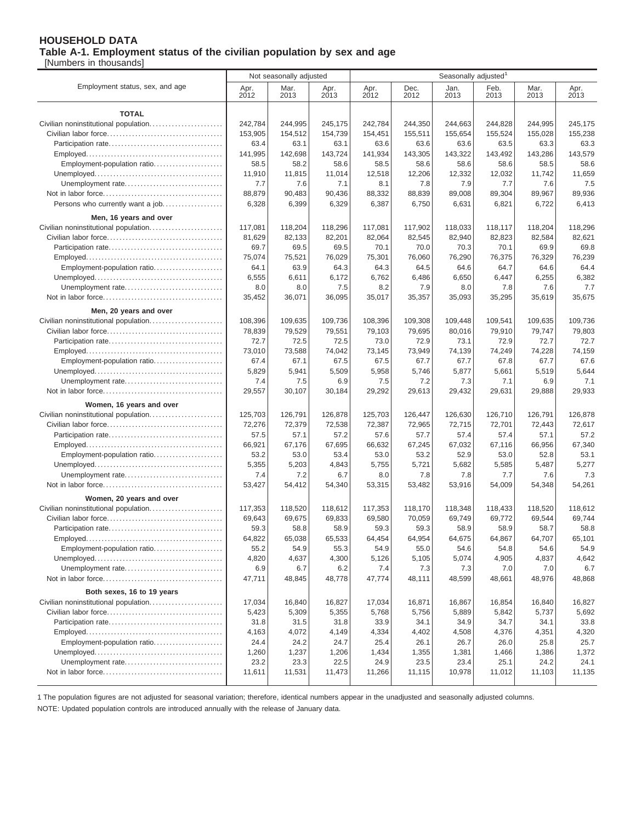## **HOUSEHOLD DATA**

### **Table A-1. Employment status of the civilian population by sex and age**

[Numbers in thousands]

|                                      |                | Not seasonally adjusted |                | Seasonally adjusted <sup>1</sup> |                |                |                |                |                |
|--------------------------------------|----------------|-------------------------|----------------|----------------------------------|----------------|----------------|----------------|----------------|----------------|
| Employment status, sex, and age      | Apr.<br>2012   | Mar.<br>2013            | Apr.<br>2013   | Apr.<br>2012                     | Dec.<br>2012   | Jan.<br>2013   | Feb.<br>2013   | Mar.<br>2013   | Apr.<br>2013   |
| <b>TOTAL</b>                         |                |                         |                |                                  |                |                |                |                |                |
| Civilian noninstitutional population | 242,784        | 244,995                 | 245,175        | 242,784                          | 244,350        | 244,663        | 244,828        | 244,995        | 245,175        |
|                                      | 153,905        | 154,512                 | 154.739        | 154,451                          | 155,511        | 155,654        | 155.524        | 155,028        | 155.238        |
|                                      | 63.4           | 63.1                    | 63.1           | 63.6                             | 63.6           | 63.6           | 63.5           | 63.3           | 63.3           |
|                                      | 141,995        | 142,698                 | 143,724        | 141,934                          | 143,305        | 143,322        | 143,492        | 143,286        | 143,579        |
| Employment-population ratio          | 58.5           | 58.2                    | 58.6           | 58.5                             | 58.6           | 58.6           | 58.6           | 58.5           | 58.6           |
|                                      | 11,910         | 11,815                  | 11,014         | 12,518                           | 12,206         | 12,332         | 12,032         | 11,742         | 11,659         |
| Unemployment rate                    | 7.7            | 7.6                     | 7.1            | 8.1                              | 7.8            | 7.9            | 7.7            | 7.6            | 7.5            |
|                                      | 88,879         | 90,483                  | 90,436         | 88,332                           | 88,839         | 89,008         | 89,304         | 89,967         | 89,936         |
| Persons who currently want a job     | 6,328          | 6,399                   | 6,329          | 6,387                            | 6,750          | 6,631          | 6,821          | 6,722          | 6,413          |
| Men, 16 years and over               |                |                         |                |                                  |                |                |                |                |                |
| Civilian noninstitutional population | 117,081        | 118,204                 | 118,296        | 117,081                          | 117,902        | 118,033        | 118,117        | 118,204        | 118,296        |
|                                      | 81,629         | 82,133                  | 82,201         | 82,064                           | 82,545         | 82,940         | 82,823         | 82,584         | 82,621         |
|                                      | 69.7           | 69.5                    | 69.5           | 70.1                             | 70.0           | 70.3           | 70.1           | 69.9           | 69.8           |
|                                      | 75,074         | 75,521                  | 76,029         | 75,301                           | 76,060         | 76,290         | 76,375         | 76,329         | 76,239         |
| Employment-population ratio          | 64.1           | 63.9                    | 64.3           | 64.3                             | 64.5           | 64.6           | 64.7           | 64.6           | 64.4           |
|                                      | 6,555          | 6,611                   | 6,172          | 6,762                            | 6,486          | 6,650          | 6,447          | 6,255          | 6,382          |
| Unemployment rate                    | 8.0            | 8.0                     | 7.5            | 8.2                              | 7.9            | 8.0            | 7.8            | 7.6            | 7.7            |
|                                      | 35,452         | 36,071                  | 36,095         | 35,017                           | 35,357         | 35,093         | 35,295         | 35,619         | 35,675         |
| Men, 20 years and over               |                |                         |                |                                  |                |                |                |                |                |
| Civilian noninstitutional population | 108,396        | 109.635                 | 109.736        | 108,396                          | 109,308        | 109,448        | 109.541        | 109,635        | 109,736        |
|                                      | 78,839         | 79,529                  | 79,551         | 79,103                           | 79,695         | 80,016         | 79,910         | 79,747         | 79,803         |
|                                      | 72.7           | 72.5                    | 72.5           | 73.0                             | 72.9           | 73.1           | 72.9           | 72.7           | 72.7           |
|                                      | 73,010         | 73,588                  | 74,042         | 73,145                           | 73,949         | 74,139         | 74,249         | 74,228         | 74,159         |
| Employment-population ratio          | 67.4           | 67.1                    | 67.5           | 67.5                             | 67.7           | 67.7           | 67.8           | 67.7           | 67.6           |
|                                      | 5,829          | 5,941                   | 5,509          | 5,958                            | 5,746          | 5,877          | 5,661          | 5,519          | 5,644          |
| Unemployment rate                    | 7.4            | 7.5                     | 6.9            | 7.5                              | 7.2            | 7.3            | 7.1            | 6.9            | 7.1            |
|                                      | 29,557         | 30,107                  | 30,184         | 29,292                           | 29,613         | 29,432         | 29,631         | 29,888         | 29,933         |
| Women, 16 years and over             |                |                         |                |                                  |                |                |                |                |                |
| Civilian noninstitutional population | 125,703        | 126,791                 | 126,878        | 125,703                          | 126,447        | 126,630        | 126,710        | 126,791        | 126,878        |
|                                      | 72,276         | 72,379                  | 72,538         | 72,387                           | 72,965         | 72,715         | 72,701         | 72,443         | 72,617         |
|                                      | 57.5           | 57.1                    | 57.2           | 57.6                             | 57.7           | 57.4           | 57.4           | 57.1           | 57.2           |
|                                      | 66,921         | 67,176                  | 67,695         | 66,632                           | 67,245         | 67,032         | 67,116         | 66,956         | 67,340         |
| Employment-population ratio          | 53.2           | 53.0                    | 53.4           | 53.0                             | 53.2           | 52.9           | 53.0           | 52.8           | 53.1           |
|                                      | 5,355          | 5,203                   | 4,843          | 5,755                            | 5,721          | 5,682          | 5,585          | 5,487          | 5,277          |
| Unemployment rate                    | 7.4            | 7.2                     | 6.7            | 8.0                              | 7.8            | 7.8            | 7.7            | 7.6            | 7.3            |
|                                      | 53,427         | 54,412                  | 54,340         | 53,315                           | 53,482         | 53,916         | 54,009         | 54,348         | 54,261         |
| Women, 20 years and over             |                |                         |                |                                  |                |                |                |                |                |
| Civilian noninstitutional population | 117,353        | 118,520                 | 118,612        | 117,353                          | 118.170        | 118,348        | 118,433        | 118,520        | 118.612        |
|                                      | 69,643         | 69,675                  | 69,833         | 69,580                           | 70,059         | 69,749         | 69,772         | 69,544         | 69,744         |
|                                      | 59.3           | 58.8                    | 58.9           | 59.3                             | 59.3           | 58.9           | 58.9           | 58.7           | 58.8           |
|                                      | 64,822<br>55.2 | 65,038<br>54.9          | 65,533<br>55.3 | 64,454<br>54.9                   | 64,954<br>55.0 | 64,675<br>54.6 | 64,867<br>54.8 | 64,707<br>54.6 | 65,101<br>54.9 |
| Employment-population ratio          | 4,820          | 4,637                   | 4,300          | 5,126                            | 5,105          | 5,074          | 4,905          | 4,837          | 4,642          |
| Unemployment rate                    | 6.9            | 6.7                     | 6.2            | 7.4                              | 7.3            | 7.3            | 7.0            | 7.0            | 6.7            |
|                                      | 47,711         | 48,845                  | 48,778         | 47,774                           | 48,111         | 48,599         | 48,661         | 48,976         | 48,868         |
| Both sexes, 16 to 19 years           |                |                         |                |                                  |                |                |                |                |                |
| Civilian noninstitutional population | 17,034         | 16,840                  | 16,827         | 17,034                           | 16,871         | 16,867         | 16,854         | 16,840         | 16,827         |
|                                      | 5,423          | 5,309                   | 5,355          | 5,768                            | 5,756          | 5,889          | 5,842          | 5,737          | 5,692          |
|                                      | 31.8           | 31.5                    | 31.8           | 33.9                             | 34.1           | 34.9           | 34.7           | 34.1           | 33.8           |
|                                      | 4,163          | 4,072                   | 4,149          | 4,334                            | 4,402          | 4,508          | 4,376          | 4,351          | 4,320          |
| Employment-population ratio          | 24.4           | 24.2                    | 24.7           | 25.4                             | 26.1           | 26.7           | 26.0           | 25.8           | 25.7           |
|                                      | 1,260          | 1,237                   | 1,206          | 1,434                            | 1,355          | 1,381          | 1,466          | 1,386          | 1,372          |
| Unemployment rate                    | 23.2           | 23.3                    | 22.5           | 24.9                             | 23.5           | 23.4           | 25.1           | 24.2           | 24.1           |
|                                      | 11,611         | 11,531                  | 11,473         | 11,266                           | 11,115         | 10,978         | 11,012         | 11,103         | 11,135         |
|                                      |                |                         |                |                                  |                |                |                |                |                |

1 The population figures are not adjusted for seasonal variation; therefore, identical numbers appear in the unadjusted and seasonally adjusted columns.

NOTE: Updated population controls are introduced annually with the release of January data.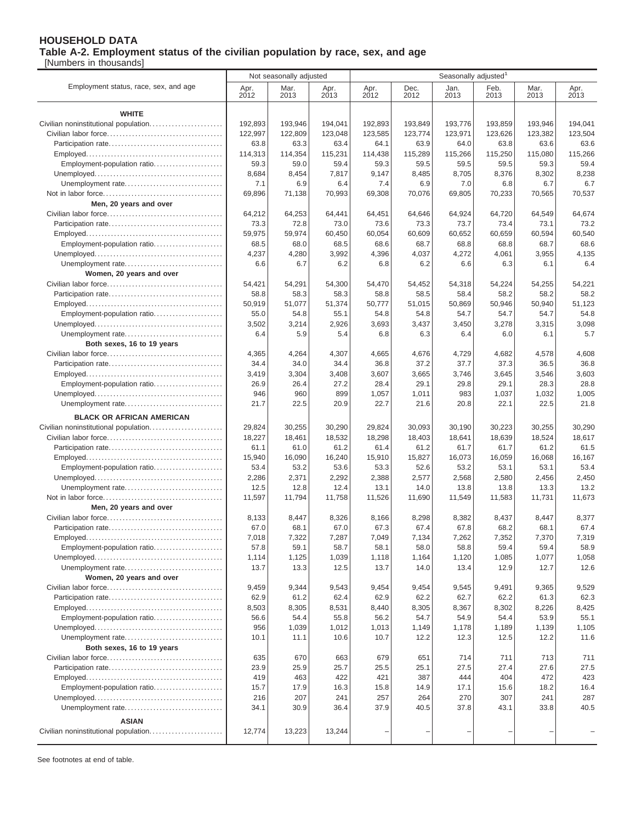## **HOUSEHOLD DATA**

#### **Table A-2. Employment status of the civilian population by race, sex, and age**

[Numbers in thousands]

|                                                                                                        |                  | Not seasonally adjusted |                | Seasonally adjusted <sup>1</sup> |                  |                |                |                |                  |  |  |
|--------------------------------------------------------------------------------------------------------|------------------|-------------------------|----------------|----------------------------------|------------------|----------------|----------------|----------------|------------------|--|--|
| Employment status, race, sex, and age                                                                  | Apr.<br>2012     | Mar.<br>2013            | Apr.<br>2013   | Apr.<br>2012                     | Dec.<br>2012     | Jan.<br>2013   | Feb.<br>2013   | Mar.<br>2013   | Apr.<br>2013     |  |  |
|                                                                                                        |                  |                         |                |                                  |                  |                |                |                |                  |  |  |
| <b>WHITE</b>                                                                                           |                  |                         |                |                                  |                  |                |                |                |                  |  |  |
| Civilian noninstitutional population                                                                   | 192,893          | 193,946                 | 194,041        | 192,893                          | 193,849          | 193,776        | 193,859        | 193,946        | 194,041          |  |  |
|                                                                                                        | 122,997          | 122,809                 | 123,048        | 123,585                          | 123,774          | 123,971        | 123,626        | 123,382        | 123,504          |  |  |
|                                                                                                        | 63.8             | 63.3                    | 63.4           | 64.1                             | 63.9             | 64.0           | 63.8           | 63.6           | 63.6             |  |  |
|                                                                                                        | 114,313          | 114,354                 | 115,231        | 114,438                          | 115,289          | 115,266        | 115,250        | 115,080        | 115,266          |  |  |
| Employment-population ratio                                                                            | 59.3             | 59.0                    | 59.4           | 59.3                             | 59.5             | 59.5           | 59.5           | 59.3           | 59.4             |  |  |
| Unemployment rate                                                                                      | 8,684<br>7.1     | 8,454<br>6.9            | 7,817<br>6.4   | 9,147<br>7.4                     | 8,485<br>6.9     | 8,705<br>7.0   | 8,376<br>6.8   | 8,302<br>6.7   | 8,238<br>6.7     |  |  |
|                                                                                                        |                  |                         |                |                                  |                  |                |                |                | 70,537           |  |  |
| Men, 20 years and over                                                                                 | 69,896           | 71,138                  | 70,993         | 69,308                           | 70,076           | 69,805         | 70,233         | 70,565         |                  |  |  |
|                                                                                                        | 64,212           | 64,253                  | 64,441         | 64,451                           | 64,646           | 64,924         | 64,720         | 64,549         | 64,674           |  |  |
|                                                                                                        | 73.3             | 72.8                    | 73.0           | 73.6                             | 73.3             | 73.7           | 73.4           | 73.1           | 73.2             |  |  |
|                                                                                                        | 59,975           | 59,974                  | 60,450         | 60,054                           | 60,609           | 60,652         | 60,659         | 60,594         | 60,540           |  |  |
| Employment-population ratio                                                                            | 68.5             | 68.0                    | 68.5           | 68.6                             | 68.7             | 68.8           | 68.8           | 68.7           | 68.6             |  |  |
|                                                                                                        | 4,237            | 4,280                   | 3,992          | 4,396                            | 4,037            | 4,272          | 4,061          | 3,955          | 4,135            |  |  |
| Unemployment rate                                                                                      | 6.6              | 6.7                     | 6.2            | 6.8                              | 6.2              | 6.6            | 6.3            | 6.1            | 6.4              |  |  |
| Women, 20 years and over                                                                               |                  |                         |                |                                  |                  |                |                |                |                  |  |  |
|                                                                                                        | 54,421           | 54,291                  | 54,300         | 54,470                           | 54,452           | 54,318         | 54,224         | 54,255         | 54,221           |  |  |
|                                                                                                        | 58.8             | 58.3                    | 58.3           | 58.8                             | 58.5             | 58.4           | 58.2           | 58.2           | 58.2             |  |  |
| $Emploved. \ldots \ldots \ldots \ldots \ldots \ldots \ldots \ldots \ldots \ldots \ldots \ldots \ldots$ | 50,919           | 51,077                  | 51,374         | 50,777                           | 51,015           | 50,869         | 50,946         | 50,940         | 51,123           |  |  |
| Employment-population ratio                                                                            | 55.0             | 54.8                    | 55.1           | 54.8                             | 54.8             | 54.7           | 54.7           | 54.7           | 54.8             |  |  |
|                                                                                                        | 3,502            | 3,214                   | 2,926          | 3,693                            | 3,437            | 3,450          | 3,278          | 3,315          | 3,098            |  |  |
| Unemployment rate                                                                                      | 6.4              | 5.9                     | 5.4            | 6.8                              | 6.3              | 6.4            | 6.0            | 6.1            | 5.7              |  |  |
| Both sexes, 16 to 19 years                                                                             |                  |                         |                |                                  |                  |                |                |                |                  |  |  |
|                                                                                                        | 4,365            | 4,264                   | 4,307          | 4,665                            | 4,676            | 4,729          | 4,682          | 4,578          | 4,608            |  |  |
|                                                                                                        | 34.4             | 34.0                    | 34.4           | 36.8                             | 37.2             | 37.7           | 37.3           | 36.5           | 36.8             |  |  |
|                                                                                                        | 3,419            | 3,304                   | 3,408          | 3,607                            | 3,665            | 3,746          | 3,645          | 3,546          | 3,603            |  |  |
| Employment-population ratio                                                                            | 26.9             | 26.4                    | 27.2           | 28.4                             | 29.1             | 29.8           | 29.1           | 28.3           | 28.8             |  |  |
|                                                                                                        | 946              | 960                     | 899            | 1,057                            | 1,011            | 983            | 1,037          | 1,032          | 1,005            |  |  |
| Unemployment rate                                                                                      | 21.7             | 22.5                    | 20.9           | 22.7                             | 21.6             | 20.8           | 22.1           | 22.5           | 21.8             |  |  |
|                                                                                                        |                  |                         |                |                                  |                  |                |                |                |                  |  |  |
| <b>BLACK OR AFRICAN AMERICAN</b>                                                                       |                  |                         |                |                                  |                  |                |                |                |                  |  |  |
| Civilian noninstitutional population                                                                   | 29,824<br>18,227 | 30,255                  | 30,290         | 29,824<br>18,298                 | 30,093<br>18,403 | 30,190         | 30,223         | 30,255         | 30,290<br>18,617 |  |  |
|                                                                                                        | 61.1             | 18,461<br>61.0          | 18,532<br>61.2 | 61.4                             | 61.2             | 18,641<br>61.7 | 18,639<br>61.7 | 18,524<br>61.2 | 61.5             |  |  |
|                                                                                                        | 15,940           | 16,090                  | 16,240         | 15,910                           | 15,827           | 16,073         | 16,059         | 16,068         | 16,167           |  |  |
| Employment-population ratio                                                                            | 53.4             | 53.2                    | 53.6           | 53.3                             | 52.6             | 53.2           | 53.1           | 53.1           | 53.4             |  |  |
|                                                                                                        | 2,286            | 2,371                   | 2,292          | 2,388                            | 2,577            | 2,568          | 2,580          | 2,456          | 2,450            |  |  |
| Unemployment rate                                                                                      | 12.5             | 12.8                    | 12.4           | 13.1                             | 14.0             | 13.8           | 13.8           | 13.3           | 13.2             |  |  |
|                                                                                                        | 11,597           | 11,794                  | 11,758         | 11,526                           | 11,690           | 11,549         | 11,583         | 11,731         | 11,673           |  |  |
| Men, 20 years and over                                                                                 |                  |                         |                |                                  |                  |                |                |                |                  |  |  |
|                                                                                                        | 8,133            | 8,447                   | 8,326          | 8,166                            | 8,298            | 8,382          | 8,437          | 8,447          | 8,377            |  |  |
|                                                                                                        | 67.0             | 68.1                    | 67.0           | 67.3                             | 67.4             | 67.8           | 68.2           | 68.1           | 67.4             |  |  |
|                                                                                                        | 7,018            | 7,322                   | 7,287          | 7,049                            | 7,134            | 7,262          | 7,352          | 7,370          | 7,319            |  |  |
| Employment-population ratio                                                                            | 57.8             | 59.1                    | 58.7           | 58.1                             | 58.0             | 58.8           | 59.4           | 59.4           | 58.9             |  |  |
|                                                                                                        | 1,114            | 1,125                   | 1,039          | 1,118                            | 1,164            | 1,120          | 1,085          | 1,077          | 1,058            |  |  |
| Unemployment rate                                                                                      | 13.7             | 13.3                    | 12.5           | 13.7                             | 14.0             | 13.4           | 12.9           | 12.7           | 12.6             |  |  |
| Women, 20 years and over                                                                               |                  |                         |                |                                  |                  |                |                |                |                  |  |  |
|                                                                                                        | 9,459            | 9,344                   | 9,543          | 9,454                            | 9,454            | 9,545          | 9,491          | 9,365          | 9,529            |  |  |
|                                                                                                        | 62.9             | 61.2                    | 62.4           | 62.9                             | 62.2             | 62.7           | 62.2           | 61.3           | 62.3             |  |  |
|                                                                                                        | 8,503            | 8,305                   | 8,531          | 8,440                            | 8,305            | 8,367          | 8,302          | 8,226          | 8,425            |  |  |
| Employment-population ratio                                                                            | 56.6             | 54.4                    | 55.8           | 56.2                             | 54.7             | 54.9           | 54.4           | 53.9           | 55.1             |  |  |
|                                                                                                        | 956              | 1,039                   | 1,012          | 1,013                            | 1,149            | 1,178          | 1,189          | 1,139          | 1,105            |  |  |
| Unemployment rate                                                                                      | 10.1             | 11.1                    | 10.6           | 10.7                             | 12.2             | 12.3           | 12.5           | 12.2           | 11.6             |  |  |
| Both sexes, 16 to 19 years                                                                             |                  |                         |                |                                  |                  |                |                |                |                  |  |  |
|                                                                                                        | 635              | 670                     | 663            | 679                              | 651              | 714            | 711            | 713            | 711              |  |  |
|                                                                                                        | 23.9             | 25.9                    | 25.7           | 25.5                             | 25.1             | 27.5           | 27.4           | 27.6           | 27.5             |  |  |
|                                                                                                        | 419              | 463                     | 422            | 421                              | 387              | 444            | 404            | 472            | 423              |  |  |
| Employment-population ratio                                                                            | 15.7             | 17.9                    | 16.3           | 15.8                             | 14.9             | 17.1           | 15.6           | 18.2           | 16.4             |  |  |
|                                                                                                        | 216              | 207                     | 241            | 257                              | 264              | 270            | 307            | 241            | 287              |  |  |
| Unemployment rate                                                                                      | 34.1             | 30.9                    | 36.4           | 37.9                             | 40.5             | 37.8           | 43.1           | 33.8           | 40.5             |  |  |
| <b>ASIAN</b>                                                                                           |                  |                         |                |                                  |                  |                |                |                |                  |  |  |
| Civilian noninstitutional population                                                                   | 12,774           | 13,223                  | 13,244         |                                  |                  |                |                |                |                  |  |  |
|                                                                                                        |                  |                         |                |                                  |                  |                |                |                |                  |  |  |

See footnotes at end of table.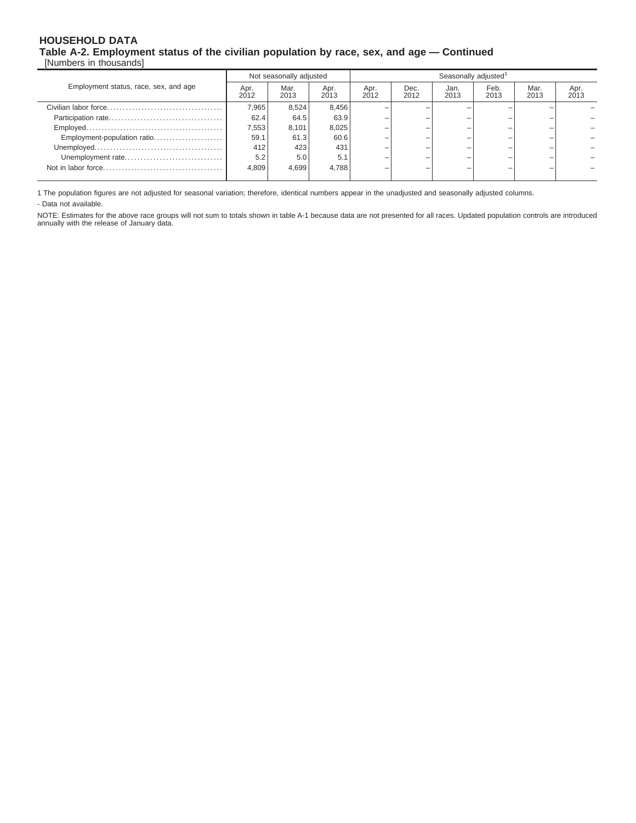#### **HOUSEHOLD DATA Table A-2. Employment status of the civilian population by race, sex, and age — Continued** [Numbers in thousands]

|              | Not seasonally adjusted                          |              |              | Seasonally adjusted <sup>1</sup> |              |              |              |              |  |
|--------------|--------------------------------------------------|--------------|--------------|----------------------------------|--------------|--------------|--------------|--------------|--|
| Apr.<br>2012 | Mar.<br>2013                                     | Apr.<br>2013 | Apr.<br>2012 | Dec.<br>2012                     | Jan.<br>2013 | Feb.<br>2013 | Mar.<br>2013 | Apr.<br>2013 |  |
| 7,965        | 8,524                                            | 8,456        |              |                                  |              |              |              |              |  |
| 62.4         | 64.5                                             | 63.9         |              |                                  |              |              |              |              |  |
| 7.553        | 8.101                                            | 8,025        |              |                                  |              |              |              |              |  |
| 59.1         | 61.3                                             | 60.6         |              |                                  |              |              |              |              |  |
| 412          | 423                                              | 431          |              |                                  |              |              |              |              |  |
| 5.2          | 5.0                                              | 5.1          |              |                                  |              |              |              |              |  |
| 4.809        | 4.699                                            | 4.788        |              |                                  |              |              |              |              |  |
|              | Employment-population ratio<br>Unemployment rate |              |              |                                  |              |              |              |              |  |

1 The population figures are not adjusted for seasonal variation; therefore, identical numbers appear in the unadjusted and seasonally adjusted columns.

- Data not available.

NOTE: Estimates for the above race groups will not sum to totals shown in table A-1 because data are not presented for all races. Updated population controls are introduced annually with the release of January data.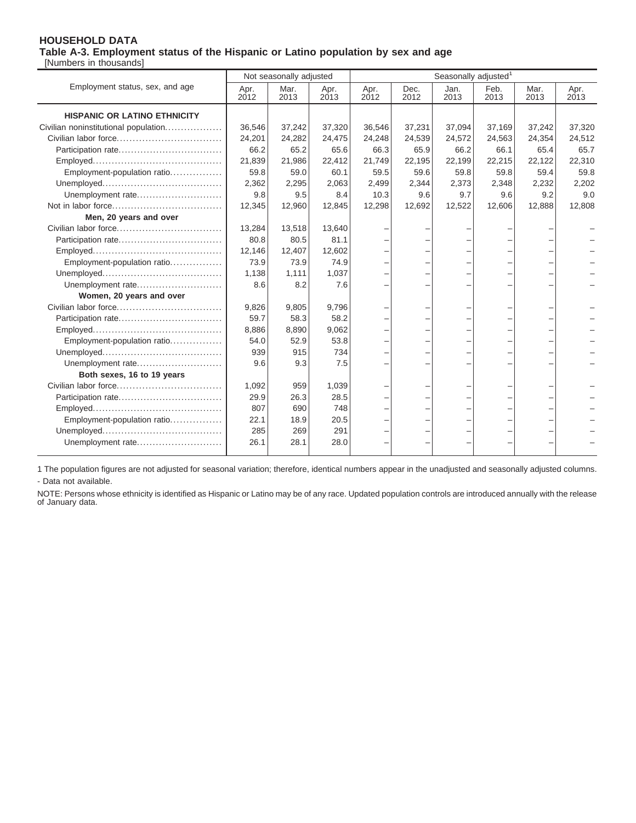## **HOUSEHOLD DATA Table A-3. Employment status of the Hispanic or Latino population by sex and age**

[Numbers in thousands]

|                                      |              | Not seasonally adjusted |              |              |              | Seasonally adjusted <sup>1</sup> |              |              |              |
|--------------------------------------|--------------|-------------------------|--------------|--------------|--------------|----------------------------------|--------------|--------------|--------------|
| Employment status, sex, and age      | Apr.<br>2012 | Mar.<br>2013            | Apr.<br>2013 | Apr.<br>2012 | Dec.<br>2012 | Jan.<br>2013                     | Feb.<br>2013 | Mar.<br>2013 | Apr.<br>2013 |
| <b>HISPANIC OR LATINO ETHNICITY</b>  |              |                         |              |              |              |                                  |              |              |              |
| Civilian noninstitutional population | 36,546       | 37,242                  | 37,320       | 36,546       | 37,231       | 37,094                           | 37,169       | 37,242       | 37,320       |
|                                      | 24,201       | 24,282                  | 24,475       | 24,248       | 24,539       | 24,572                           | 24,563       | 24,354       | 24,512       |
|                                      | 66.2         | 65.2                    | 65.6         | 66.3         | 65.9         | 66.2                             | 66.1         | 65.4         | 65.7         |
|                                      | 21,839       | 21,986                  | 22,412       | 21,749       | 22,195       | 22,199                           | 22,215       | 22,122       | 22,310       |
| Employment-population ratio          | 59.8         | 59.0                    | 60.1         | 59.5         | 59.6         | 59.8                             | 59.8         | 59.4         | 59.8         |
|                                      | 2,362        | 2,295                   | 2,063        | 2,499        | 2,344        | 2,373                            | 2,348        | 2,232        | 2,202        |
| Unemployment rate                    | 9.8          | 9.5                     | 8.4          | 10.3         | 9.6          | 9.7                              | 9.6          | 9.2          | 9.0          |
|                                      | 12,345       | 12,960                  | 12,845       | 12,298       | 12,692       | 12,522                           | 12,606       | 12,888       | 12,808       |
| Men, 20 years and over               |              |                         |              |              |              |                                  |              |              |              |
| Civilian labor force                 | 13,284       | 13,518                  | 13,640       |              |              |                                  |              |              |              |
| Participation rate                   | 80.8         | 80.5                    | 81.1         |              |              |                                  |              |              |              |
|                                      | 12,146       | 12,407                  | 12,602       |              |              |                                  |              |              |              |
| Employment-population ratio          | 73.9         | 73.9                    | 74.9         |              |              |                                  |              |              |              |
|                                      | 1,138        | 1,111                   | 1,037        |              |              |                                  |              |              |              |
| Unemployment rate                    | 8.6          | 8.2                     | 7.6          |              |              |                                  |              |              |              |
| Women, 20 years and over             |              |                         |              |              |              |                                  |              |              |              |
| Civilian labor force                 | 9,826        | 9,805                   | 9,796        |              |              |                                  |              |              |              |
|                                      | 59.7         | 58.3                    | 58.2         |              |              |                                  |              |              |              |
|                                      | 8,886        | 8,890                   | 9,062        |              |              |                                  |              |              |              |
| Employment-population ratio          | 54.0         | 52.9                    | 53.8         |              |              |                                  |              |              |              |
|                                      | 939          | 915                     | 734          |              |              |                                  |              |              |              |
| Unemployment rate                    | 9.6          | 9.3                     | 7.5          |              |              |                                  |              |              |              |
| Both sexes, 16 to 19 years           |              |                         |              |              |              |                                  |              |              |              |
| Civilian labor force                 | 1,092        | 959                     | 1,039        |              |              |                                  |              |              |              |
| Participation rate                   | 29.9         | 26.3                    | 28.5         |              |              |                                  |              |              |              |
|                                      | 807          | 690                     | 748          |              |              |                                  |              |              |              |
| Employment-population ratio          | 22.1         | 18.9                    | 20.5         |              |              |                                  |              |              |              |
|                                      | 285          | 269                     | 291          |              |              |                                  |              |              |              |
| Unemployment rate                    | 26.1         | 28.1                    | 28.0         |              |              |                                  |              |              |              |
|                                      |              |                         |              |              |              |                                  |              |              |              |

1 The population figures are not adjusted for seasonal variation; therefore, identical numbers appear in the unadjusted and seasonally adjusted columns. - Data not available.

NOTE: Persons whose ethnicity is identified as Hispanic or Latino may be of any race. Updated population controls are introduced annually with the release of January data.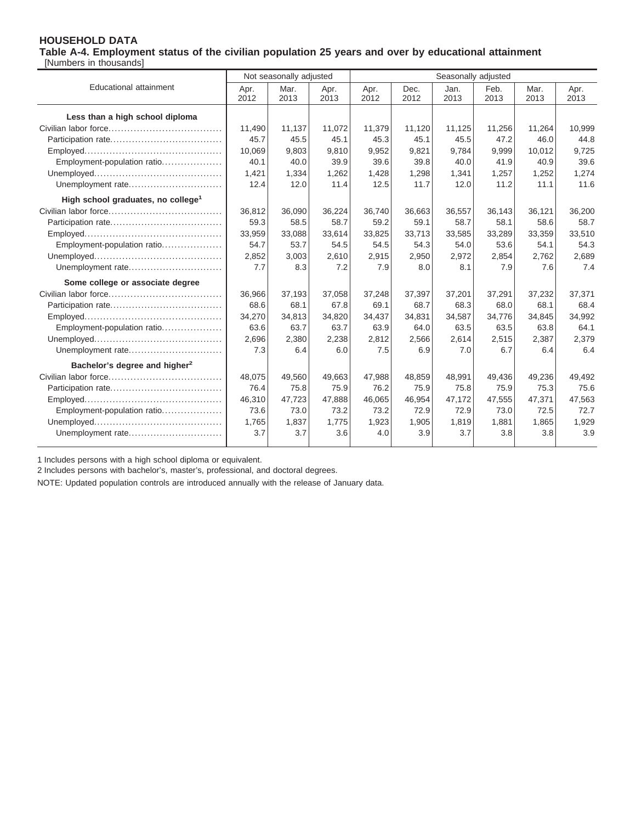## **HOUSEHOLD DATA Table A-4. Employment status of the civilian population 25 years and over by educational attainment**

[Numbers in thousands]

|                                                |              | Not seasonally adjusted |              | Seasonally adjusted |              |              |              |              |              |  |  |
|------------------------------------------------|--------------|-------------------------|--------------|---------------------|--------------|--------------|--------------|--------------|--------------|--|--|
| <b>Educational attainment</b>                  | Apr.<br>2012 | Mar.<br>2013            | Apr.<br>2013 | Apr.<br>2012        | Dec.<br>2012 | Jan.<br>2013 | Feb.<br>2013 | Mar.<br>2013 | Apr.<br>2013 |  |  |
| Less than a high school diploma                |              |                         |              |                     |              |              |              |              |              |  |  |
|                                                | 11.490       | 11.137                  | 11.072       | 11.379              | 11.120       | 11,125       | 11,256       | 11.264       | 10,999       |  |  |
|                                                | 45.7         | 45.5                    | 45.1         | 45.3                | 45.1         | 45.5         | 47.2         | 46.0         | 44.8         |  |  |
|                                                | 10,069       | 9,803                   | 9,810        | 9,952               | 9,821        | 9,784        | 9,999        | 10,012       | 9,725        |  |  |
| Employment-population ratio                    | 40.1         | 40.0                    | 39.9         | 39.6                | 39.8         | 40.0         | 41.9         | 40.9         | 39.6         |  |  |
|                                                | 1,421        | 1,334                   | 1,262        | 1,428               | 1,298        | 1,341        | 1,257        | 1,252        | 1,274        |  |  |
| Unemployment rate                              | 12.4         | 12.0                    | 11.4         | 12.5                | 11.7         | 12.0         | 11.2         | 11.1         | 11.6         |  |  |
| High school graduates, no college <sup>1</sup> |              |                         |              |                     |              |              |              |              |              |  |  |
|                                                | 36,812       | 36,090                  | 36,224       | 36,740              | 36,663       | 36,557       | 36,143       | 36,121       | 36,200       |  |  |
|                                                | 59.3         | 58.5                    | 58.7         | 59.2                | 59.1         | 58.7         | 58.1         | 58.6         | 58.7         |  |  |
|                                                | 33,959       | 33,088                  | 33,614       | 33,825              | 33,713       | 33,585       | 33,289       | 33,359       | 33,510       |  |  |
| Employment-population ratio                    | 54.7         | 53.7                    | 54.5         | 54.5                | 54.3         | 54.0         | 53.6         | 54.1         | 54.3         |  |  |
|                                                | 2,852        | 3,003                   | 2.610        | 2,915               | 2,950        | 2,972        | 2.854        | 2.762        | 2,689        |  |  |
| Unemployment rate                              | 7.7          | 8.3                     | 7.2          | 7.9                 | 8.0          | 8.1          | 7.9          | 7.6          | 7.4          |  |  |
| Some college or associate degree               |              |                         |              |                     |              |              |              |              |              |  |  |
|                                                | 36,966       | 37,193                  | 37,058       | 37,248              | 37,397       | 37,201       | 37,291       | 37,232       | 37,371       |  |  |
|                                                | 68.6         | 68.1                    | 67.8         | 69.1                | 68.7         | 68.3         | 68.0         | 68.1         | 68.4         |  |  |
|                                                | 34,270       | 34,813                  | 34,820       | 34,437              | 34,831       | 34,587       | 34,776       | 34,845       | 34,992       |  |  |
| Employment-population ratio                    | 63.6         | 63.7                    | 63.7         | 63.9                | 64.0         | 63.5         | 63.5         | 63.8         | 64.1         |  |  |
|                                                | 2,696        | 2,380                   | 2,238        | 2,812               | 2,566        | 2,614        | 2,515        | 2,387        | 2,379        |  |  |
| Unemployment rate                              | 7.3          | 6.4                     | 6.0          | 7.5                 | 6.9          | 7.0          | 6.7          | 6.4          | 6.4          |  |  |
| Bachelor's degree and higher <sup>2</sup>      |              |                         |              |                     |              |              |              |              |              |  |  |
|                                                | 48,075       | 49,560                  | 49,663       | 47,988              | 48,859       | 48,991       | 49,436       | 49,236       | 49,492       |  |  |
|                                                | 76.4         | 75.8                    | 75.9         | 76.2                | 75.9         | 75.8         | 75.9         | 75.3         | 75.6         |  |  |
|                                                | 46,310       | 47,723                  | 47,888       | 46,065              | 46,954       | 47,172       | 47,555       | 47.371       | 47,563       |  |  |
| Employment-population ratio                    | 73.6         | 73.0                    | 73.2         | 73.2                | 72.9         | 72.9         | 73.0         | 72.5         | 72.7         |  |  |
|                                                | 1,765        | 1,837                   | 1.775        | 1,923               | 1,905        | 1,819        | 1,881        | 1,865        | 1,929        |  |  |
| Unemployment rate                              | 3.7          | 3.7                     | 3.6          | 4.0                 | 3.9          | 3.7          | 3.8          | 3.8          | 3.9          |  |  |

1 Includes persons with a high school diploma or equivalent.

2 Includes persons with bachelor's, master's, professional, and doctoral degrees.

NOTE: Updated population controls are introduced annually with the release of January data.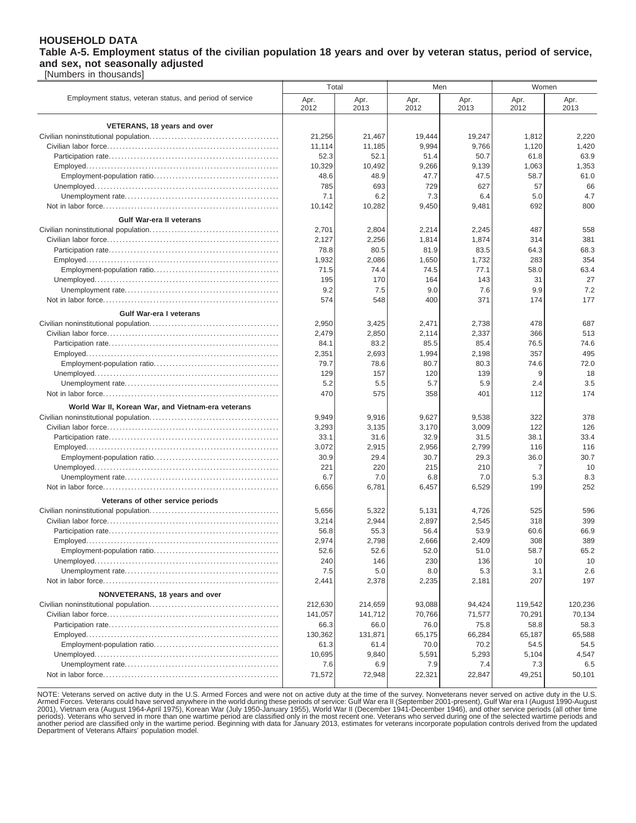#### **HOUSEHOLD DATA Table A-5. Employment status of the civilian population 18 years and over by veteran status, period of service, and sex, not seasonally adjusted**

[Numbers in thousands]

|                                                          | Total        |              |              | Men          | Women        |              |
|----------------------------------------------------------|--------------|--------------|--------------|--------------|--------------|--------------|
| Employment status, veteran status, and period of service | Apr.<br>2012 | Apr.<br>2013 | Apr.<br>2012 | Apr.<br>2013 | Apr.<br>2012 | Apr.<br>2013 |
| VETERANS, 18 years and over                              |              |              |              |              |              |              |
|                                                          | 21,256       | 21,467       | 19,444       | 19.247       | 1,812        | 2,220        |
|                                                          | 11,114       | 11,185       | 9,994        | 9,766        | 1,120        | 1,420        |
|                                                          | 52.3         | 52.1         | 51.4         | 50.7         | 61.8         | 63.9         |
|                                                          | 10,329       | 10,492       | 9,266        | 9,139        | 1,063        | 1,353        |
|                                                          | 48.6         | 48.9         | 47.7         | 47.5         | 58.7         | 61.0         |
|                                                          | 785          | 693          | 729          | 627          | 57           | 66           |
|                                                          | 7.1          | 6.2          | 7.3          | 6.4          | 5.0          | 4.7          |
|                                                          | 10,142       | 10,282       | 9,450        | 9,481        | 692          | 800          |
|                                                          |              |              |              |              |              |              |
| <b>Gulf War-era II veterans</b>                          |              |              |              |              |              |              |
|                                                          | 2,701        | 2,804        | 2,214        | 2,245        | 487          | 558          |
|                                                          | 2,127        | 2,256        | 1,814        | 1,874        | 314          | 381          |
|                                                          | 78.8         | 80.5         | 81.9         | 83.5         | 64.3         | 68.3         |
|                                                          | 1,932        | 2,086        | 1,650        | 1,732        | 283          | 354          |
|                                                          | 71.5         | 74.4         | 74.5         | 77.1         | 58.0         | 63.4         |
|                                                          | 195          | 170          | 164          | 143          | 31           | 27           |
|                                                          | 9.2          | 7.5          | 9.0          | 7.6          | 9.9          | 7.2          |
|                                                          | 574          | 548          | 400          | 371          | 174          | 177          |
| <b>Gulf War-era I veterans</b>                           |              |              |              |              |              |              |
|                                                          | 2,950        | 3,425        | 2,471        | 2,738        | 478          | 687          |
|                                                          | 2,479        | 2,850        | 2,114        | 2,337        | 366          | 513          |
|                                                          | 84.1         | 83.2         | 85.5         | 85.4         | 76.5         | 74.6         |
|                                                          | 2,351        | 2,693        | 1,994        | 2,198        | 357          | 495          |
|                                                          | 79.7         | 78.6         | 80.7         | 80.3         | 74.6         | 72.0         |
|                                                          | 129          | 157          | 120          | 139          | 9            | 18           |
|                                                          | 5.2          | 5.5          | 5.7          | 5.9          | 2.4          | 3.5          |
|                                                          | 470          | 575          | 358          | 401          | 112          | 174          |
| World War II, Korean War, and Vietnam-era veterans       |              |              |              |              |              |              |
|                                                          | 9,949        | 9,916        | 9,627        | 9,538        | 322          | 378          |
|                                                          | 3,293        | 3,135        | 3,170        | 3,009        | 122          | 126          |
|                                                          | 33.1         | 31.6         | 32.9         | 31.5         | 38.1         | 33.4         |
|                                                          | 3,072        | 2,915        | 2,956        | 2,799        | 116          | 116          |
|                                                          | 30.9         | 29.4         | 30.7         | 29.3         | 36.0         | 30.7         |
|                                                          | 221          | 220          | 215          | 210          | 7            | 10           |
|                                                          | 6.7          | 7.0          | 6.8          | 7.0          | 5.3          | 8.3          |
|                                                          | 6,656        | 6,781        | 6,457        | 6,529        | 199          | 252          |
|                                                          |              |              |              |              |              |              |
| Veterans of other service periods                        |              |              |              |              |              |              |
|                                                          | 5,656        | 5,322        | 5,131        | 4,726        | 525          | 596          |
|                                                          | 3,214        | 2,944        | 2,897        | 2,545        | 318          | 399          |
|                                                          | 56.8         | 55.3         | 56.4         | 53.9         | 60.6         | 66.9         |
|                                                          | 2,974        | 2,798        | 2,666        | 2,409        | 308          | 389          |
|                                                          | 52.6         | 52.6         | 52.0         | 51.0         | 58.7         | 65.2         |
|                                                          | 240          | 146          | 230          | 136          | 10           | 10           |
|                                                          | 7.5          | 5.0          | 8.0          | 5.3          | 3.1          | 2.6          |
|                                                          | 2,441        | 2,378        | 2,235        | 2,181        | 207          | 197          |
| <b>NONVETERANS, 18 years and over</b>                    |              |              |              |              |              |              |
|                                                          | 212,630      | 214,659      | 93,088       | 94,424       | 119,542      | 120,236      |
|                                                          | 141,057      | 141,712      | 70,766       | 71,577       | 70,291       | 70,134       |
|                                                          | 66.3         | 66.0         | 76.0         | 75.8         | 58.8         | 58.3         |
|                                                          | 130,362      | 131,871      | 65,175       | 66,284       | 65,187       | 65,588       |
|                                                          | 61.3         | 61.4         | 70.0         | 70.2         | 54.5         | 54.5         |
|                                                          | 10,695       | 9,840        | 5,591        | 5,293        | 5,104        | 4,547        |
|                                                          | 7.6          | 6.9          | 7.9          | 7.4          | 7.3          | 6.5          |
|                                                          | 71,572       | 72,948       | 22,321       | 22,847       | 49,251       | 50,101       |
|                                                          |              |              |              |              |              |              |

NOTE: Veterans served on active duty in the U.S. Armed Forces and were not on active duty at the time of the survey. Nonveterans never served on active duty in the U.S.<br>Armed Forces. Veterans could have served anywhere in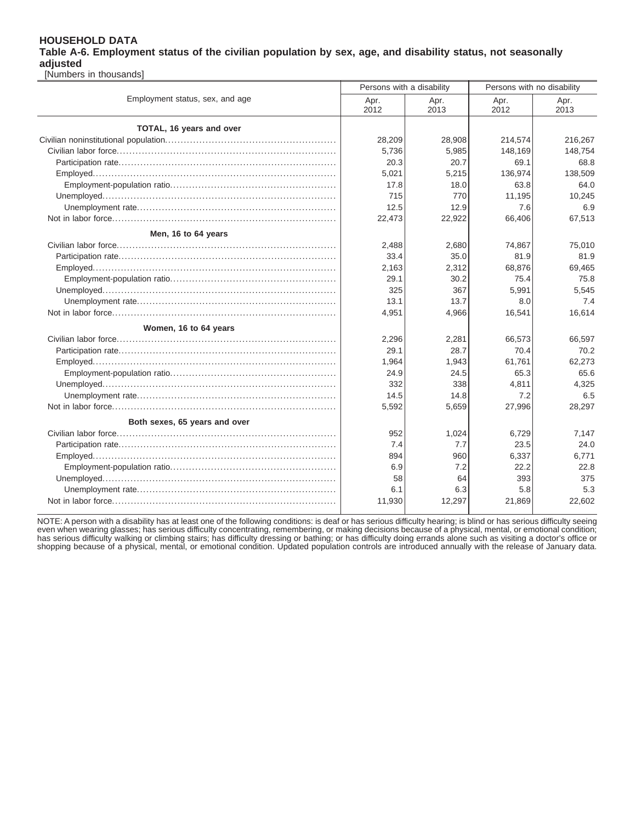#### **HOUSEHOLD DATA Table A-6. Employment status of the civilian population by sex, age, and disability status, not seasonally adjusted**

[Numbers in thousands]

|                                 | Persons with a disability |              | Persons with no disability |              |
|---------------------------------|---------------------------|--------------|----------------------------|--------------|
| Employment status, sex, and age | Apr.<br>2012              | Apr.<br>2013 | Apr.<br>2012               | Apr.<br>2013 |
| TOTAL, 16 years and over        |                           |              |                            |              |
|                                 | 28,209                    | 28,908       | 214,574                    | 216,267      |
|                                 | 5,736                     | 5,985        | 148,169                    | 148,754      |
|                                 | 20.3                      | 20.7         | 69.1                       | 68.8         |
|                                 | 5,021                     | 5,215        | 136,974                    | 138,509      |
|                                 | 17.8                      | 18.0         | 63.8                       | 64.0         |
|                                 | 715                       | 770          | 11,195                     | 10,245       |
|                                 | 12.5                      | 12.9         | 7.6                        | 6.9          |
|                                 | 22,473                    | 22,922       | 66,406                     | 67,513       |
| Men, 16 to 64 years             |                           |              |                            |              |
|                                 | 2,488                     | 2,680        | 74,867                     | 75,010       |
|                                 | 33.4                      | 35.0         | 81.9                       | 81.9         |
|                                 | 2,163                     | 2,312        | 68,876                     | 69,465       |
|                                 | 29.1                      | 30.2         | 75.4                       | 75.8         |
|                                 | 325                       | 367          | 5,991                      | 5,545        |
|                                 | 13.1                      | 13.7         | 8.0                        | 7.4          |
|                                 | 4,951                     | 4,966        | 16,541                     | 16,614       |
| Women, 16 to 64 years           |                           |              |                            |              |
|                                 | 2,296                     | 2.281        | 66,573                     | 66.597       |
|                                 | 29.1                      | 28.7         | 70.4                       | 70.2         |
|                                 | 1,964                     | 1,943        | 61,761                     | 62,273       |
|                                 | 24.9                      | 24.5         | 65.3                       | 65.6         |
|                                 | 332                       | 338          | 4,811                      | 4,325        |
|                                 | 14.5                      | 14.8         | 7.2                        | 6.5          |
|                                 | 5,592                     | 5,659        | 27,996                     | 28,297       |
| Both sexes, 65 years and over   |                           |              |                            |              |
|                                 | 952                       | 1,024        | 6,729                      | 7,147        |
|                                 | 7.4                       | 7.7          | 23.5                       | 24.0         |
|                                 | 894                       | 960          | 6,337                      | 6,771        |
|                                 | 6.9                       | 7.2          | 22.2                       | 22.8         |
|                                 | 58                        | 64           | 393                        | 375          |
|                                 | 6.1                       | 6.3          | 5.8                        | 5.3          |
|                                 | 11,930                    | 12,297       | 21,869                     | 22,602       |

NOTE: A person with a disability has at least one of the following conditions: is deaf or has serious difficulty hearing; is blind or has serious difficulty seeing<br>even when wearing glasses; has serious difficulty concentr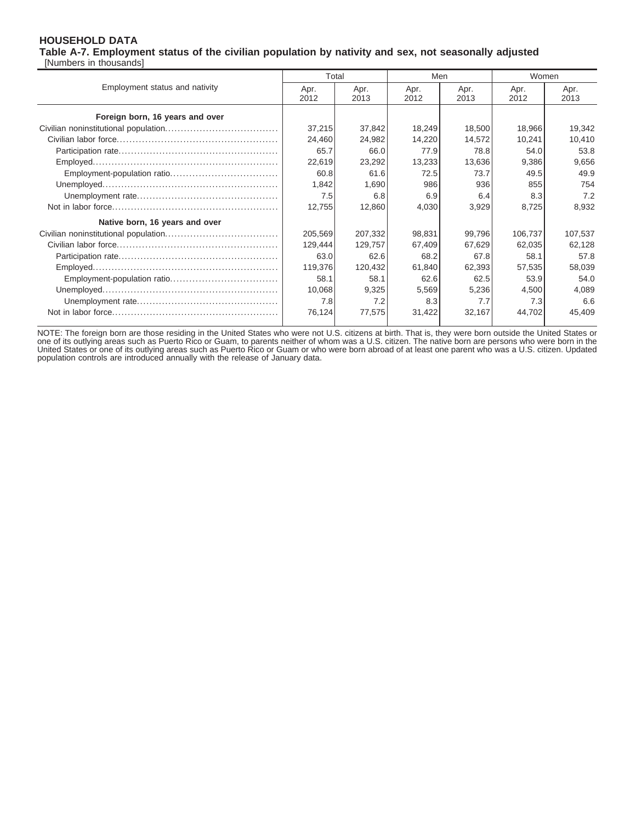## **HOUSEHOLD DATA Table A-7. Employment status of the civilian population by nativity and sex, not seasonally adjusted**

[Numbers in thousands]

|                                 |              | Total        | Men          |              | Women        |              |  |
|---------------------------------|--------------|--------------|--------------|--------------|--------------|--------------|--|
| Employment status and nativity  | Apr.<br>2012 | Apr.<br>2013 | Apr.<br>2012 | Apr.<br>2013 | Apr.<br>2012 | Apr.<br>2013 |  |
| Foreign born, 16 years and over |              |              |              |              |              |              |  |
|                                 | 37,215       | 37,842       | 18,249       | 18,500       | 18,966       | 19,342       |  |
|                                 | 24,460       | 24,982       | 14,220       | 14,572       | 10,241       | 10,410       |  |
|                                 | 65.7         | 66.0         | 77.9         | 78.8         | 54.0         | 53.8         |  |
|                                 | 22,619       | 23,292       | 13,233       | 13,636       | 9,386        | 9,656        |  |
|                                 | 60.8         | 61.6         | 72.5         | 73.7         | 49.5         | 49.9         |  |
|                                 | 1,842        | 1,690        | 986          | 936          | 855          | 754          |  |
|                                 | 7.5          | 6.8          | 6.9          | 6.4          | 8.3          | 7.2          |  |
|                                 | 12,755       | 12,860       | 4,030        | 3,929        | 8,725        | 8,932        |  |
| Native born, 16 years and over  |              |              |              |              |              |              |  |
|                                 | 205,569      | 207,332      | 98,831       | 99,796       | 106,737      | 107,537      |  |
|                                 | 129,444      | 129,757      | 67,409       | 67,629       | 62,035       | 62,128       |  |
|                                 | 63.0         | 62.6         | 68.2         | 67.8         | 58.1         | 57.8         |  |
|                                 | 119,376      | 120,432      | 61,840       | 62,393       | 57,535       | 58,039       |  |
|                                 | 58.1         | 58.1         | 62.6         | 62.5         | 53.9         | 54.0         |  |
|                                 | 10,068       | 9,325        | 5,569        | 5,236        | 4,500        | 4,089        |  |
|                                 | 7.8          | 7.2          | 8.3          | 7.7          | 7.3          | 6.6          |  |
|                                 | 76,124       | 77,575       | 31,422       | 32,167       | 44,702       | 45,409       |  |

NOTE: The foreign born are those residing in the United States who were not U.S. citizens at birth. That is, they were born outside the United States or<br>one of its outlying areas such as Puerto Rico or Guam, to parents nei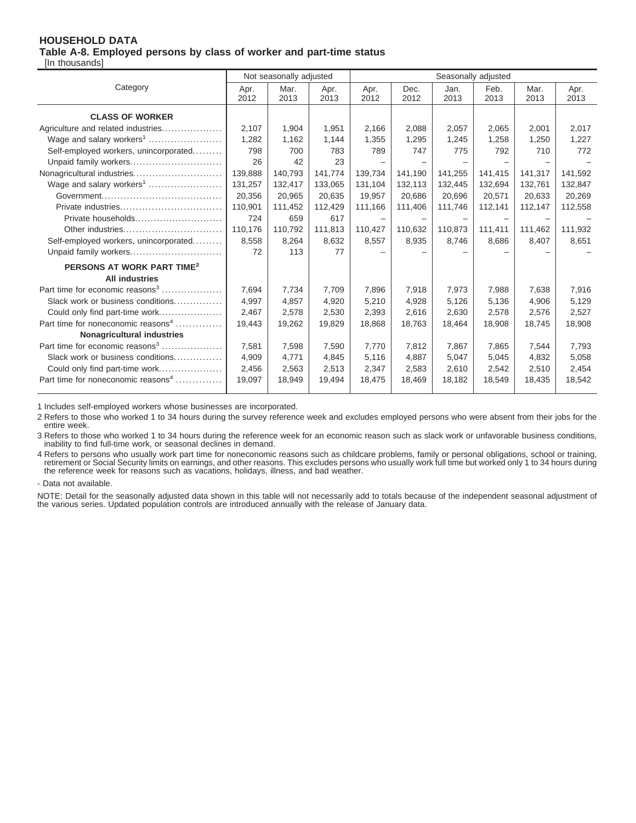## **HOUSEHOLD DATA Table A-8. Employed persons by class of worker and part-time status**

[In thousands]

|                                                |              | Not seasonally adjusted |              |              |              | Seasonally adjusted |              |              |              |
|------------------------------------------------|--------------|-------------------------|--------------|--------------|--------------|---------------------|--------------|--------------|--------------|
| Category                                       | Apr.<br>2012 | Mar.<br>2013            | Apr.<br>2013 | Apr.<br>2012 | Dec.<br>2012 | Jan.<br>2013        | Feb.<br>2013 | Mar.<br>2013 | Apr.<br>2013 |
| <b>CLASS OF WORKER</b>                         |              |                         |              |              |              |                     |              |              |              |
| Agriculture and related industries             | 2,107        | 1,904                   | 1,951        | 2,166        | 2,088        | 2,057               | 2,065        | 2,001        | 2,017        |
|                                                | 1,282        | 1,162                   | 1.144        | 1,355        | 1,295        | 1,245               | 1,258        | 1,250        | 1,227        |
| Self-employed workers, unincorporated          | 798          | 700                     | 783          | 789          | 747          | 775                 | 792          | 710          | 772          |
| Unpaid family workers                          | 26           | 42                      | 23           |              |              |                     |              |              |              |
| Nonagricultural industries                     | 139.888      | 140,793                 | 141.774      | 139,734      | 141,190      | 141,255             | 141,415      | 141.317      | 141.592      |
| Wage and salary workers <sup>1</sup>           | 131,257      | 132,417                 | 133,065      | 131,104      | 132,113      | 132,445             | 132,694      | 132,761      | 132,847      |
|                                                | 20,356       | 20,965                  | 20,635       | 19,957       | 20,686       | 20,696              | 20,571       | 20,633       | 20,269       |
| Private industries                             | 110,901      | 111,452                 | 112,429      | 111,166      | 111,406      | 111,746             | 112,141      | 112,147      | 112,558      |
| Private households                             | 724          | 659                     | 617          |              |              |                     |              |              |              |
| Other industries                               | 110,176      | 110,792                 | 111,813      | 110,427      | 110,632      | 110,873             | 111,411      | 111,462      | 111,932      |
| Self-employed workers, unincorporated          | 8,558        | 8,264                   | 8,632        | 8,557        | 8,935        | 8,746               | 8,686        | 8,407        | 8,651        |
| Unpaid family workers                          | 72           | 113                     | 77           |              |              |                     |              |              |              |
| PERSONS AT WORK PART TIME <sup>2</sup>         |              |                         |              |              |              |                     |              |              |              |
| <b>All industries</b>                          |              |                         |              |              |              |                     |              |              |              |
| Part time for economic reasons <sup>3</sup>    | 7,694        | 7,734                   | 7,709        | 7,896        | 7,918        | 7,973               | 7,988        | 7,638        | 7,916        |
| Slack work or business conditions              | 4,997        | 4.857                   | 4.920        | 5,210        | 4.928        | 5,126               | 5,136        | 4,906        | 5,129        |
| Could only find part-time work                 | 2,467        | 2,578                   | 2,530        | 2,393        | 2,616        | 2,630               | 2,578        | 2,576        | 2,527        |
| Part time for noneconomic reasons <sup>4</sup> | 19,443       | 19,262                  | 19,829       | 18,868       | 18,763       | 18,464              | 18,908       | 18,745       | 18,908       |
| Nonagricultural industries                     |              |                         |              |              |              |                     |              |              |              |
| Part time for economic reasons <sup>3</sup>    | 7.581        | 7.598                   | 7.590        | 7,770        | 7,812        | 7.867               | 7.865        | 7,544        | 7,793        |
| Slack work or business conditions              | 4,909        | 4,771                   | 4,845        | 5,116        | 4,887        | 5,047               | 5,045        | 4,832        | 5,058        |
| Could only find part-time work                 | 2,456        | 2,563                   | 2,513        | 2,347        | 2,583        | 2,610               | 2,542        | 2,510        | 2,454        |
| Part time for noneconomic reasons <sup>4</sup> | 19,097       | 18,949                  | 19,494       | 18,475       | 18,469       | 18,182              | 18,549       | 18,435       | 18,542       |

1 Includes self-employed workers whose businesses are incorporated.

2 Refers to those who worked 1 to 34 hours during the survey reference week and excludes employed persons who were absent from their jobs for the entire week.

3 Refers to those who worked 1 to 34 hours during the reference week for an economic reason such as slack work or unfavorable business conditions, inability to find full-time work, or seasonal declines in demand.

4 Refers to persons who usually work part time for noneconomic reasons such as childcare problems, family or personal obligations, school or training, retirement or Social Security limits on earnings, and other reasons. This excludes persons who usually work full time but worked only 1 to 34 hours during the reference week for reasons such as vacations, holidays, illness, and bad weather.

- Data not available.

NOTE: Detail for the seasonally adjusted data shown in this table will not necessarily add to totals because of the independent seasonal adjustment of the various series. Updated population controls are introduced annually with the release of January data.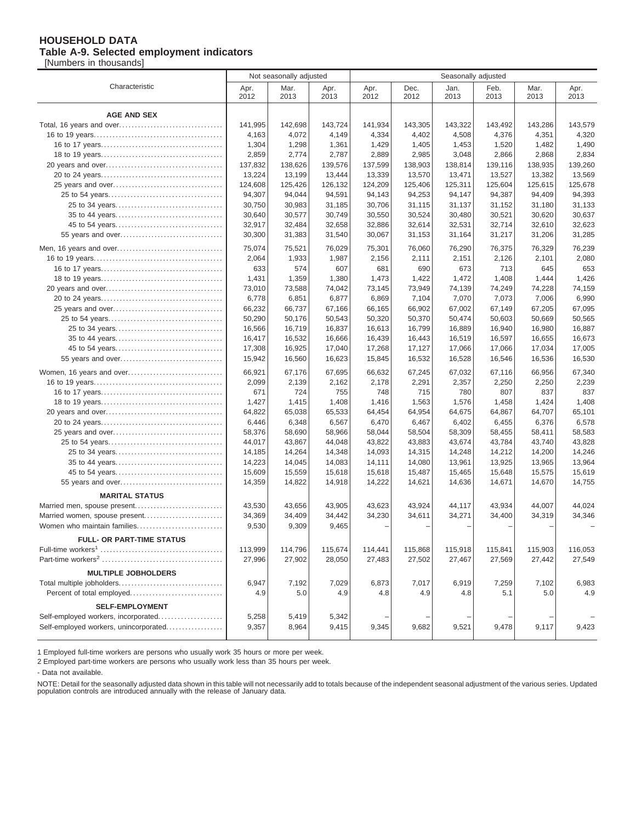### **HOUSEHOLD DATA Table A-9. Selected employment indicators**

[Numbers in thousands]

|                                       |              | Not seasonally adjusted |              |              |              |              | Seasonally adjusted |              |              |
|---------------------------------------|--------------|-------------------------|--------------|--------------|--------------|--------------|---------------------|--------------|--------------|
| Characteristic                        | Apr.<br>2012 | Mar.<br>2013            | Apr.<br>2013 | Apr.<br>2012 | Dec.<br>2012 | Jan.<br>2013 | Feb.<br>2013        | Mar.<br>2013 | Apr.<br>2013 |
| <b>AGE AND SEX</b>                    |              |                         |              |              |              |              |                     |              |              |
|                                       | 141,995      | 142,698                 | 143,724      | 141,934      | 143,305      | 143,322      | 143,492             | 143,286      | 143,579      |
|                                       | 4,163        | 4,072                   | 4,149        | 4,334        | 4,402        | 4,508        | 4,376               | 4,351        | 4,320        |
|                                       | 1,304        | 1,298                   | 1,361        | 1,429        | 1,405        | 1,453        | 1,520               | 1,482        | 1,490        |
|                                       | 2,859        | 2,774                   | 2,787        | 2,889        | 2,985        | 3,048        | 2,866               | 2,868        | 2,834        |
|                                       | 137,832      | 138,626                 | 139,576      | 137,599      | 138,903      | 138,814      | 139,116             | 138,935      | 139,260      |
|                                       | 13,224       | 13,199                  | 13,444       | 13,339       | 13,570       | 13,471       | 13,527              | 13,382       | 13,569       |
|                                       | 124,608      | 125,426                 | 126,132      | 124,209      | 125,406      | 125,311      | 125,604             | 125,615      | 125,678      |
|                                       | 94,307       | 94,044                  | 94,591       | 94,143       | 94,253       | 94,147       | 94,387              | 94,409       | 94,393       |
|                                       | 30,750       | 30,983                  | 31,185       | 30,706       | 31,115       | 31,137       | 31,152              | 31,180       | 31,133       |
| 35 to 44 years                        | 30,640       | 30,577                  | 30,749       | 30,550       | 30,524       | 30,480       | 30,521              | 30,620       | 30,637       |
|                                       | 32,917       | 32,484                  | 32,658       | 32,886       | 32,614       | 32,531       | 32,714              | 32,610       | 32,623       |
| 55 years and over                     | 30,300       | 31,383                  | 31,540       | 30,067       | 31,153       | 31,164       | 31,217              | 31,206       | 31,285       |
|                                       | 75,074       | 75,521                  | 76,029       | 75,301       | 76,060       | 76,290       | 76,375              | 76,329       | 76,239       |
|                                       | 2,064        | 1,933                   | 1,987        | 2,156        | 2,111        | 2,151        | 2,126               | 2,101        | 2,080        |
|                                       | 633          | 574                     | 607          | 681          | 690          | 673          | 713                 | 645          | 653          |
|                                       | 1,431        | 1,359                   | 1,380        | 1,473        | 1,422        | 1,472        | 1,408               | 1,444        | 1,426        |
|                                       | 73,010       | 73,588                  | 74,042       | 73,145       | 73,949       | 74,139       | 74,249              | 74,228       | 74,159       |
|                                       | 6,778        | 6,851                   | 6,877        | 6,869        | 7,104        | 7,070        | 7,073               | 7,006        | 6,990        |
|                                       | 66,232       | 66,737                  | 67,166       | 66,165       | 66,902       | 67,002       | 67,149              | 67,205       | 67,095       |
|                                       | 50,290       | 50,176                  | 50,543       | 50,320       | 50,370       | 50,474       | 50,603              | 50,669       | 50,565       |
|                                       | 16,566       | 16,719                  | 16,837       | 16,613       | 16,799       | 16,889       | 16,940              | 16,980       | 16,887       |
|                                       | 16,417       | 16,532                  | 16,666       | 16,439       | 16,443       | 16,519       | 16,597              | 16,655       | 16,673       |
|                                       | 17,308       | 16,925                  | 17,040       | 17,268       | 17,127       | 17,066       | 17,066              | 17,034       | 17,005       |
|                                       | 15,942       | 16,560                  | 16,623       | 15,845       | 16,532       | 16,528       | 16,546              | 16,536       | 16,530       |
|                                       | 66,921       | 67,176                  | 67,695       | 66,632       | 67,245       | 67,032       | 67,116              | 66,956       | 67,340       |
|                                       | 2,099        | 2,139                   | 2,162        | 2,178        | 2,291        | 2,357        | 2,250               | 2,250        | 2,239        |
|                                       | 671          | 724                     | 755          | 748          | 715          | 780          | 807                 | 837          | 837          |
|                                       | 1,427        | 1,415                   | 1,408        | 1,416        | 1,563        | 1,576        | 1,458               | 1,424        | 1,408        |
|                                       | 64,822       | 65,038                  | 65,533       | 64,454       | 64,954       | 64,675       | 64,867              | 64,707       | 65,101       |
|                                       | 6,446        | 6,348                   | 6,567        | 6,470        | 6,467        | 6,402        | 6,455               | 6,376        | 6,578        |
|                                       | 58,376       | 58,690                  | 58,966       | 58,044       | 58,504       | 58,309       | 58,455              | 58,411       | 58,583       |
|                                       | 44,017       | 43,867                  | 44,048       | 43,822       | 43,883       | 43,674       | 43,784              | 43,740       | 43,828       |
|                                       | 14,185       | 14,264                  | 14,348       | 14,093       | 14,315       | 14,248       | 14,212              | 14,200       | 14,246       |
|                                       | 14,223       | 14,045                  | 14,083       | 14,111       | 14,080       | 13,961       | 13,925              | 13,965       | 13,964       |
|                                       | 15,609       | 15,559                  | 15,618       | 15,618       | 15,487       | 15,465       | 15,648              | 15,575       | 15,619       |
|                                       | 14,359       | 14,822                  | 14,918       | 14,222       | 14,621       | 14,636       | 14,671              | 14,670       | 14,755       |
| <b>MARITAL STATUS</b>                 |              |                         |              |              |              |              |                     |              |              |
| Married men, spouse present           | 43,530       | 43,656                  | 43,905       | 43,623       | 43,924       | 44,117       | 43,934              | 44,007       | 44,024       |
| Married women, spouse present         | 34,369       | 34,409                  | 34,442       | 34,230       | 34,611       | 34,271       | 34,400              | 34,319       | 34,346       |
| Women who maintain families           | 9,530        | 9,309                   | 9,465        |              |              |              |                     |              |              |
| <b>FULL- OR PART-TIME STATUS</b>      |              |                         |              |              |              |              |                     |              |              |
|                                       | 113,999      | 114,796                 | 115,674      | 114,441      | 115,868      | 115,918      | 115,841             | 115,903      | 116,053      |
|                                       | 27,996       | 27,902                  | 28,050       | 27,483       | 27,502       | 27,467       | 27,569              | 27,442       | 27,549       |
| <b>MULTIPLE JOBHOLDERS</b>            |              |                         |              |              |              |              |                     |              |              |
| Total multiple jobholders             | 6,947        | 7,192                   | 7,029        | 6,873        | 7,017        | 6,919        | 7,259               | 7,102        | 6,983        |
| Percent of total employed             | 4.9          | 5.0                     | 4.9          | 4.8          | 4.9          | 4.8          | 5.1                 | 5.0          | 4.9          |
| <b>SELF-EMPLOYMENT</b>                |              |                         |              |              |              |              |                     |              |              |
| Self-employed workers, incorporated   | 5,258        | 5,419                   | 5,342        |              |              |              |                     |              |              |
| Self-employed workers, unincorporated | 9,357        | 8,964                   | 9,415        | 9,345        | 9,682        | 9,521        | 9,478               | 9,117        | 9,423        |
|                                       |              |                         |              |              |              |              |                     |              |              |

1 Employed full-time workers are persons who usually work 35 hours or more per week.

2 Employed part-time workers are persons who usually work less than 35 hours per week.

- Data not available.

NOTE: Detail for the seasonally adjusted data shown in this table will not necessarily add to totals because of the independent seasonal adjustment of the various series. Updated<br>population controls are introduced annually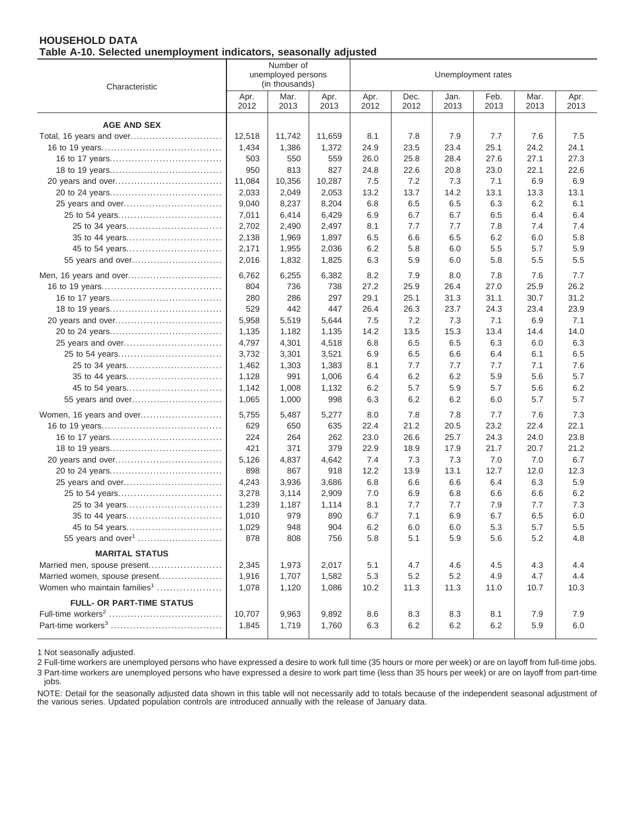### **HOUSEHOLD DATA Table A-10. Selected unemployment indicators, seasonally adjusted**

| Characteristic                           | Number of<br>unemployed persons<br>Unemployment rates<br>(in thousands) |              |              |              |              |              |              |              |              |
|------------------------------------------|-------------------------------------------------------------------------|--------------|--------------|--------------|--------------|--------------|--------------|--------------|--------------|
|                                          | Apr.<br>2012                                                            | Mar.<br>2013 | Apr.<br>2013 | Apr.<br>2012 | Dec.<br>2012 | Jan.<br>2013 | Feb.<br>2013 | Mar.<br>2013 | Apr.<br>2013 |
| <b>AGE AND SEX</b>                       |                                                                         |              |              |              |              |              |              |              |              |
| Total, 16 years and over                 | 12,518                                                                  | 11,742       | 11,659       | 8.1          | 7.8          | 7.9          | 7.7          | 7.6          | 7.5          |
|                                          | 1,434                                                                   | 1,386        | 1,372        | 24.9         | 23.5         | 23.4         | 25.1         | 24.2         | 24.1         |
|                                          | 503                                                                     | 550          | 559          | 26.0         | 25.8         | 28.4         | 27.6         | 27.1         | 27.3         |
|                                          | 950                                                                     | 813          | 827          | 24.8         | 22.6         | 20.8         | 23.0         | 22.1         | 22.6         |
|                                          | 11,084                                                                  | 10,356       | 10,287       | 7.5          | 7.2          | 7.3          | 7.1          | 6.9          | 6.9          |
|                                          | 2,033                                                                   | 2,049        | 2,053        | 13.2         | 13.7         | 14.2         | 13.1         | 13.3         | 13.1         |
|                                          | 9,040                                                                   | 8,237        | 8,204        | 6.8          | 6.5          | 6.5          | 6.3          | 6.2          | 6.1          |
|                                          | 7,011                                                                   | 6,414        | 6,429        | 6.9          | 6.7          | 6.7          | 6.5          | 6.4          | 6.4          |
| 25 to 34 years                           | 2,702                                                                   | 2,490        | 2,497        | 8.1          | 7.7          | 7.7          | 7.8          | 7.4          | 7.4          |
| 35 to 44 years                           | 2,138                                                                   | 1,969        | 1,897        | 6.5          | 6.6          | 6.5          | 6.2          | 6.0          | 5.8          |
|                                          | 2,171                                                                   | 1,955        | 2,036        | 6.2          | 5.8          | 6.0          | 5.5          | 5.7          | 5.9          |
| 55 years and over                        | 2,016                                                                   | 1,832        | 1,825        | 6.3          | 5.9          | 6.0          | 5.8          | 5.5          | 5.5          |
|                                          | 6,762                                                                   | 6,255        | 6,382        | 8.2          | 7.9          | 8.0          | 7.8          | 7.6          | 7.7          |
|                                          | 804                                                                     | 736          | 738          | 27.2         | 25.9         | 26.4         | 27.0         | 25.9         | 26.2         |
|                                          | 280                                                                     | 286          | 297          | 29.1         | 25.1         | 31.3         | 31.1         | 30.7         | 31.2         |
|                                          | 529                                                                     | 442          | 447          | 26.4         | 26.3         | 23.7         | 24.3         | 23.4         | 23.9         |
|                                          | 5,958                                                                   | 5,519        | 5,644        | 7.5          | 7.2          | 7.3          | 7.1          | 6.9          | 7.1          |
|                                          | 1,135                                                                   | 1,182        | 1,135        | 14.2         | 13.5         | 15.3         | 13.4         | 14.4         | 14.0         |
|                                          | 4,797                                                                   | 4,301        | 4,518        | 6.8          | 6.5          | 6.5          | 6.3          | 6.0          | 6.3          |
|                                          | 3,732                                                                   | 3,301        | 3,521        | 6.9          | 6.5          | 6.6          | 6.4          | 6.1          | 6.5          |
| 25 to 34 years                           | 1,462                                                                   | 1,303        | 1,383        | 8.1          | 7.7          | 7.7          | 7.7          | 7.1          | 7.6          |
| 35 to 44 years                           | 1,128                                                                   | 991          | 1,006        | 6.4          | 6.2          | 6.2          | 5.9          | 5.6          | 5.7          |
|                                          | 1,142                                                                   | 1,008        | 1,132        | 6.2          | 5.7          | 5.9          | 5.7          | 5.6          | 6.2          |
| 55 years and over                        | 1,065                                                                   | 1,000        | 998          | 6.3          | 6.2          | 6.2          | 6.0          | 5.7          | 5.7          |
| Women, 16 years and over                 | 5,755                                                                   | 5,487        | 5,277        | 8.0          | 7.8          | 7.8          | 7.7          | 7.6          | 7.3          |
|                                          | 629                                                                     | 650          | 635          | 22.4         | 21.2         | 20.5         | 23.2         | 22.4         | 22.1         |
|                                          | 224                                                                     | 264          | 262          | 23.0         | 26.6         | 25.7         | 24.3         | 24.0         | 23.8         |
|                                          | 421                                                                     | 371          | 379          | 22.9         | 18.9         | 17.9         | 21.7         | 20.7         | 21.2         |
|                                          | 5,126                                                                   | 4,837        | 4,642        | 7.4          | 7.3          | 7.3          | 7.0          | 7.0          | 6.7          |
|                                          | 898                                                                     | 867          | 918          | 12.2         | 13.9         | 13.1         | 12.7         | 12.0         | 12.3         |
|                                          | 4,243                                                                   | 3,936        | 3,686        | 6.8          | 6.6          | 6.6          | 6.4          | 6.3          | 5.9          |
|                                          | 3,278                                                                   | 3,114        | 2,909        | 7.0          | 6.9          | 6.8          | 6.6          | 6.6          | 6.2          |
| 25 to 34 years                           | 1,239                                                                   | 1,187        | 1,114        | 8.1          | 7.7          | 7.7          | 7.9          | 7.7          | 7.3          |
| 35 to 44 years                           | 1,010                                                                   | 979          | 890          | 6.7          | 7.1          | 6.9          | 6.7          | 6.5          | 6.0          |
| 45 to 54 years                           | 1,029                                                                   | 948          | 904          | 6.2          | 6.0          | 6.0          | 5.3          | $5.7\,$      | 5.5          |
|                                          | 878                                                                     | 808          | 756          | 5.8          | 5.1          | 5.9          | 5.6          | 5.2          | 4.8          |
| <b>MARITAL STATUS</b>                    |                                                                         |              |              |              |              |              |              |              |              |
| Married men, spouse present              | 2,345                                                                   | 1,973        | 2,017        | 5.1          | 4.7          | 4.6          | 4.5          | 4.3          | 4.4          |
| Married women, spouse present            | 1,916                                                                   | 1,707        | 1,582        | 5.3          | 5.2          | 5.2          | 4.9          | 4.7          | 4.4          |
| Women who maintain families <sup>1</sup> | 1,078                                                                   | 1,120        | 1,086        | 10.2         | 11.3         | 11.3         | 11.0         | 10.7         | 10.3         |
| <b>FULL- OR PART-TIME STATUS</b>         |                                                                         |              |              |              |              |              |              |              |              |
|                                          | 10,707                                                                  | 9,963        | 9,892        | 8.6          | 8.3          | 8.3          | 8.1          | 7.9          | 7.9          |
|                                          | 1,845                                                                   | 1,719        | 1,760        | 6.3          | 6.2          | 6.2          | 6.2          | 5.9          | 6.0          |

1 Not seasonally adjusted.

2 Full-time workers are unemployed persons who have expressed a desire to work full time (35 hours or more per week) or are on layoff from full-time jobs. 3 Part-time workers are unemployed persons who have expressed a desire to work part time (less than 35 hours per week) or are on layoff from part-time jobs.

NOTE: Detail for the seasonally adjusted data shown in this table will not necessarily add to totals because of the independent seasonal adjustment of the various series. Updated population controls are introduced annually with the release of January data.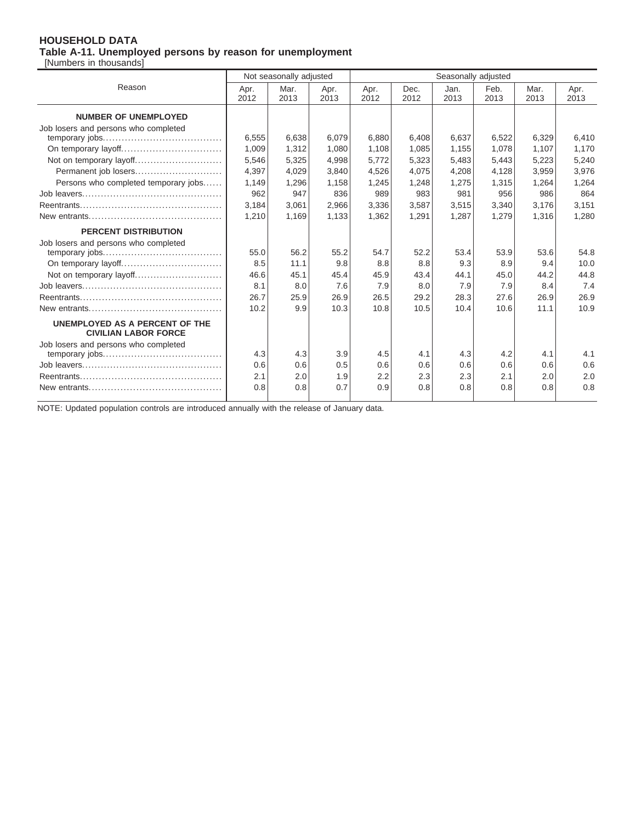## **HOUSEHOLD DATA Table A-11. Unemployed persons by reason for unemployment**

[Numbers in thousands]

|                                                               |              | Not seasonally adjusted |              |              |              | Seasonally adjusted |              |              |              |
|---------------------------------------------------------------|--------------|-------------------------|--------------|--------------|--------------|---------------------|--------------|--------------|--------------|
| Reason                                                        | Apr.<br>2012 | Mar.<br>2013            | Apr.<br>2013 | Apr.<br>2012 | Dec.<br>2012 | Jan.<br>2013        | Feb.<br>2013 | Mar.<br>2013 | Apr.<br>2013 |
| <b>NUMBER OF UNEMPLOYED</b>                                   |              |                         |              |              |              |                     |              |              |              |
| Job losers and persons who completed                          |              |                         |              |              |              |                     |              |              |              |
|                                                               | 6.555        | 6.638                   | 6.079        | 6.880        | 6.408        | 6.637               | 6.522        | 6.329        | 6.410        |
|                                                               | 1,009        | 1,312                   | 1,080        | 1,108        | 1,085        | 1,155               | 1,078        | 1,107        | 1,170        |
|                                                               | 5.546        | 5,325                   | 4.998        | 5.772        | 5,323        | 5.483               | 5,443        | 5,223        | 5,240        |
| Permanent job losers                                          | 4,397        | 4,029                   | 3,840        | 4,526        | 4,075        | 4,208               | 4,128        | 3,959        | 3,976        |
| Persons who completed temporary jobs                          | 1.149        | 1,296                   | 1,158        | 1.245        | 1,248        | 1.275               | 1,315        | 1.264        | 1,264        |
|                                                               | 962          | 947                     | 836          | 989          | 983          | 981                 | 956          | 986          | 864          |
|                                                               | 3,184        | 3,061                   | 2,966        | 3,336        | 3,587        | 3,515               | 3,340        | 3,176        | 3,151        |
|                                                               | 1,210        | 1,169                   | 1,133        | 1,362        | 1,291        | 1,287               | 1,279        | 1,316        | 1,280        |
| <b>PERCENT DISTRIBUTION</b>                                   |              |                         |              |              |              |                     |              |              |              |
| Job losers and persons who completed                          |              |                         |              |              |              |                     |              |              |              |
|                                                               | 55.0         | 56.2                    | 55.2         | 54.7         | 52.2         | 53.4                | 53.9         | 53.6         | 54.8         |
|                                                               | 8.5          | 11.1                    | 9.8          | 8.8          | 8.8          | 9.3                 | 8.9          | 9.4          | 10.0         |
|                                                               | 46.6         | 45.1                    | 45.4         | 45.9         | 43.4         | 44.1                | 45.0         | 44.2         | 44.8         |
|                                                               | 8.1          | 8.0                     | 7.6          | 7.9          | 8.0          | 7.9                 | 7.9          | 8.4          | 7.4          |
|                                                               | 26.7         | 25.9                    | 26.9         | 26.5         | 29.2         | 28.3                | 27.6         | 26.9         | 26.9         |
|                                                               | 10.2         | 9.9                     | 10.3         | 10.8         | 10.5         | 10.4                | 10.6         | 11.1         | 10.9         |
| UNEMPLOYED AS A PERCENT OF THE<br><b>CIVILIAN LABOR FORCE</b> |              |                         |              |              |              |                     |              |              |              |
| Job losers and persons who completed                          |              |                         |              |              |              |                     |              |              |              |
|                                                               | 4.3          | 4.3                     | 3.9          | 4.5          | 4.1          | 4.3                 | 4.2          | 4.1          | 4.1          |
|                                                               | 0.6          | 0.6                     | 0.5          | 0.6          | 0.6          | 0.6                 | 0.6          | 0.6          | 0.6          |
|                                                               | 2.1          | 2.0                     | 1.9          | 2.2          | 2.3          | 2.3                 | 2.1          | 2.0          | 2.0          |
|                                                               | 0.8          | 0.8                     | 0.7          | 0.9          | 0.8          | 0.8                 | 0.8          | 0.8          | 0.8          |
|                                                               |              |                         |              |              |              |                     |              |              |              |

NOTE: Updated population controls are introduced annually with the release of January data.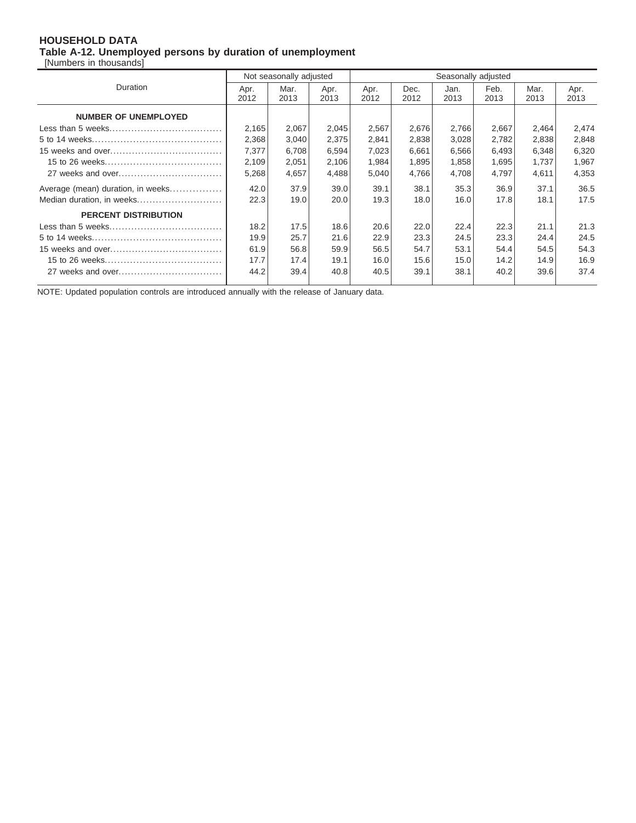## **HOUSEHOLD DATA Table A-12. Unemployed persons by duration of unemployment**

[Numbers in thousands]

|                                   |              |              | Not seasonally adjusted |              |              | Seasonally adjusted |              |              |              |  |  |
|-----------------------------------|--------------|--------------|-------------------------|--------------|--------------|---------------------|--------------|--------------|--------------|--|--|
| Duration                          | Apr.<br>2012 | Mar.<br>2013 | Apr.<br>2013            | Apr.<br>2012 | Dec.<br>2012 | Jan.<br>2013        | Feb.<br>2013 | Mar.<br>2013 | Apr.<br>2013 |  |  |
|                                   |              |              |                         |              |              |                     |              |              |              |  |  |
| <b>NUMBER OF UNEMPLOYED</b>       |              |              |                         |              |              |                     |              |              |              |  |  |
|                                   | 2,165        | 2,067        | 2,045                   | 2,567        | 2,676        | 2,766               | 2,667        | 2,464        | 2,474        |  |  |
|                                   | 2,368        | 3,040        | 2,375                   | 2,841        | 2,838        | 3,028               | 2,782        | 2,838        | 2,848        |  |  |
|                                   | 7.377        | 6.708        | 6,594                   | 7.023        | 6.661        | 6.566               | 6.493        | 6.348        | 6,320        |  |  |
|                                   | 2,109        | 2,051        | 2,106                   | 1,984        | 1.895        | 1.858               | 1.695        | 1.737        | 1,967        |  |  |
|                                   | 5,268        | 4,657        | 4,488                   | 5,040        | 4,766        | 4,708               | 4,797        | 4,611        | 4,353        |  |  |
| Average (mean) duration, in weeks | 42.0         | 37.9         | 39.0                    | 39.1         | 38.1         | 35.3                | 36.9         | 37.1         | 36.5         |  |  |
| Median duration, in weeks         | 22.3         | 19.0         | 20.0                    | 19.3         | 18.0         | 16.0                | 17.8         | 18.1         | 17.5         |  |  |
| <b>PERCENT DISTRIBUTION</b>       |              |              |                         |              |              |                     |              |              |              |  |  |
|                                   | 18.2         | 17.5         | 18.6                    | 20.6         | 22.0         | 22.4                | 22.3         | 21.1         | 21.3         |  |  |
|                                   | 19.9         | 25.7         | 21.6                    | 22.9         | 23.3         | 24.5                | 23.3         | 24.4         | 24.5         |  |  |
|                                   | 61.9         | 56.8         | 59.9                    | 56.5         | 54.7         | 53.1                | 54.4         | 54.5         | 54.3         |  |  |
|                                   | 17.7         | 17.4         | 19.1                    | 16.0         | 15.6         | 15.0                | 14.2         | 14.9         | 16.9         |  |  |
| 27 weeks and over                 | 44.2         | 39.4         | 40.8                    | 40.5         | 39.1         | 38.1                | 40.2         | 39.6         | 37.4         |  |  |

NOTE: Updated population controls are introduced annually with the release of January data.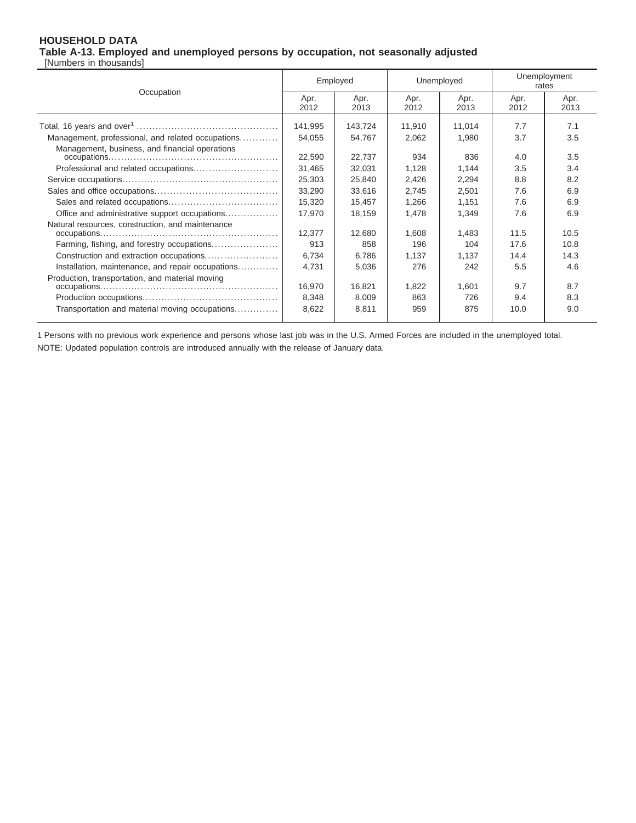#### **HOUSEHOLD DATA Table A-13. Employed and unemployed persons by occupation, not seasonally adjusted** [Numbers in thousands]

| Occupation                                        |                 | Employed        |              | Unemployed   |              | Unemployment<br>rates |
|---------------------------------------------------|-----------------|-----------------|--------------|--------------|--------------|-----------------------|
|                                                   | Apr.<br>2012    | Apr.<br>2013    | Apr.<br>2012 | Apr.<br>2013 | Apr.<br>2012 | Apr.<br>2013          |
|                                                   | 141,995         | 143,724         | 11,910       | 11,014       | 7.7          | 7.1                   |
| Management, professional, and related occupations | 54,055          | 54,767          | 2,062        | 1.980        | 3.7          | 3.5                   |
| Management, business, and financial operations    | 22,590          | 22,737          | 934          | 836          | 4.0          | 3.5                   |
|                                                   | 31,465          | 32,031          | 1,128        | 1,144        | 3.5          | 3.4                   |
|                                                   | 25,303          | 25,840          | 2,426        | 2,294        | 8.8          | 8.2                   |
|                                                   | 33,290          | 33,616          | 2,745        | 2,501        | 7.6          | 6.9                   |
|                                                   | 15,320          | 15,457          | 1,266        | 1,151        | 7.6          | 6.9                   |
| Office and administrative support occupations     | 17,970          | 18,159          | 1,478        | 1,349        | 7.6          | 6.9                   |
| Natural resources, construction, and maintenance  | 12,377          | 12,680          | 1,608        | 1,483        | 11.5         | 10.5                  |
| Farming, fishing, and forestry occupations        | 913             | 858             | 196          | 104          | 17.6         | 10.8                  |
| Construction and extraction occupations           | 6,734           | 6,786           | 1,137        | 1,137        | 14.4         | 14.3                  |
| Installation, maintenance, and repair occupations | 4,731           | 5,036           | 276          | 242          | 5.5          | 4.6                   |
| Production, transportation, and material moving   | 16,970<br>8,348 | 16,821<br>8,009 | 1,822<br>863 | 1,601<br>726 | 9.7<br>9.4   | 8.7<br>8.3            |
| Transportation and material moving occupations    | 8,622           | 8,811           | 959          | 875          | 10.0         | 9.0                   |

1 Persons with no previous work experience and persons whose last job was in the U.S. Armed Forces are included in the unemployed total. NOTE: Updated population controls are introduced annually with the release of January data.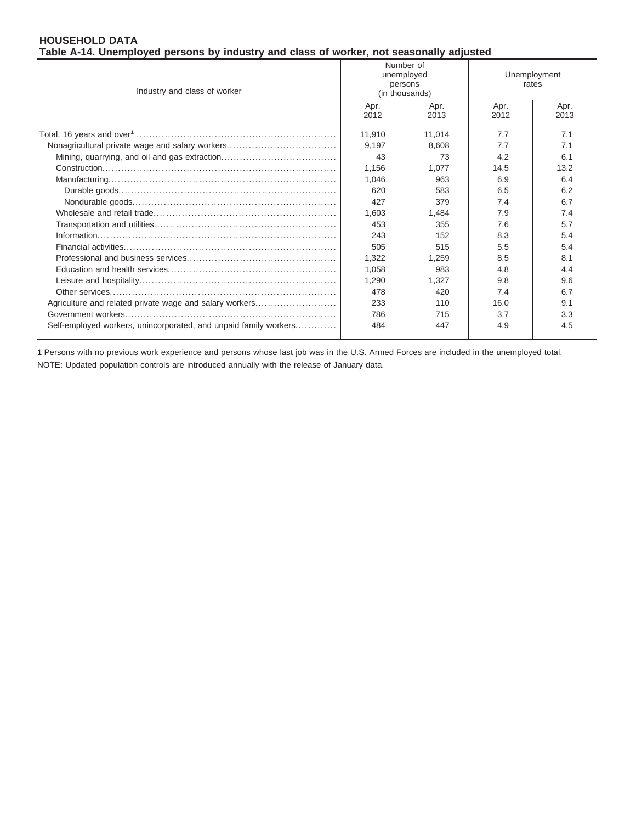### **HOUSEHOLD DATA Table A-14. Unemployed persons by industry and class of worker, not seasonally adjusted**

| Industry and class of worker                                     |              | Number of<br>unemployed<br>persons<br>(in thousands) |              | Unemployment<br>rates |
|------------------------------------------------------------------|--------------|------------------------------------------------------|--------------|-----------------------|
|                                                                  | Apr.<br>2012 | Apr.<br>2013                                         | Apr.<br>2012 | Apr.<br>2013          |
|                                                                  | 11,910       | 11,014                                               | 7.7          | 7.1                   |
| Nonagricultural private wage and salary workers                  | 9.197        | 8.608                                                | 7.7          | 7.1                   |
|                                                                  | 43           | 73                                                   | 4.2          | 6.1                   |
|                                                                  | 1,156        | 1.077                                                | 14.5         | 13.2                  |
|                                                                  | 1.046        | 963                                                  | 6.9          | 6.4                   |
|                                                                  | 620          | 583                                                  | 6.5          | 6.2                   |
|                                                                  | 427          | 379                                                  | 7.4          | 6.7                   |
|                                                                  | 1.603        | 1.484                                                | 7.9          | 7.4                   |
|                                                                  | 453          | 355                                                  | 7.6          | 5.7                   |
|                                                                  | 243          | 152                                                  | 8.3          | 5.4                   |
|                                                                  | 505          | 515                                                  | 5.5          | 5.4                   |
|                                                                  | 1,322        | 1,259                                                | 8.5          | 8.1                   |
|                                                                  | 1.058        | 983                                                  | 4.8          | 4.4                   |
|                                                                  | 1,290        | 1.327                                                | 9.8          | 9.6                   |
|                                                                  | 478          | 420                                                  | 7.4          | 6.7                   |
| Agriculture and related private wage and salary workers          | 233          | 110                                                  | 16.0         | 9.1                   |
|                                                                  | 786          | 715                                                  | 3.7          | 3.3                   |
| Self-employed workers, unincorporated, and unpaid family workers | 484          | 447                                                  | 4.9          | 4.5                   |

1 Persons with no previous work experience and persons whose last job was in the U.S. Armed Forces are included in the unemployed total. NOTE: Updated population controls are introduced annually with the release of January data.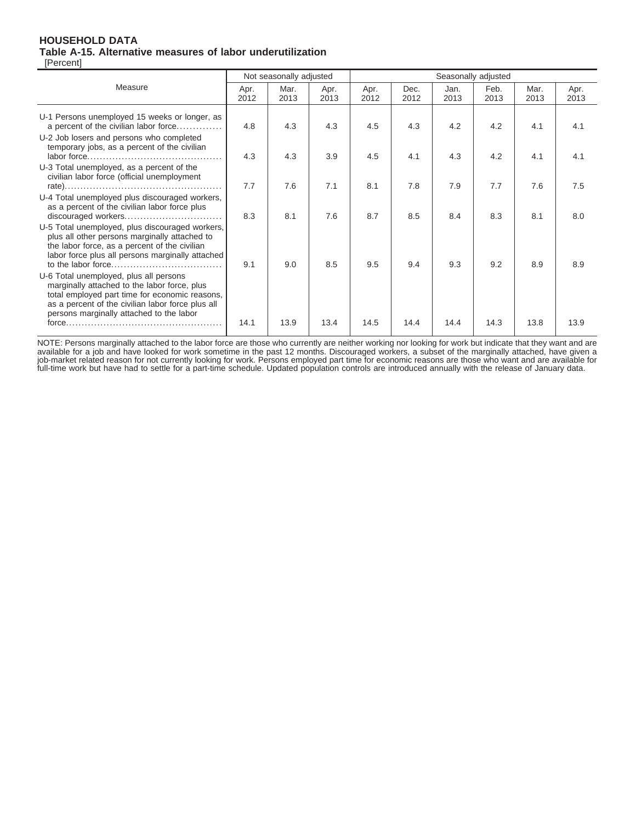### **HOUSEHOLD DATA Table A-15. Alternative measures of labor underutilization**

[Percent]

|                                                                                                                                                                                                                                           |              | Not seasonally adjusted |              | Seasonally adjusted |              |              |              |              |              |
|-------------------------------------------------------------------------------------------------------------------------------------------------------------------------------------------------------------------------------------------|--------------|-------------------------|--------------|---------------------|--------------|--------------|--------------|--------------|--------------|
| Measure                                                                                                                                                                                                                                   | Apr.<br>2012 | Mar.<br>2013            | Apr.<br>2013 | Apr.<br>2012        | Dec.<br>2012 | Jan.<br>2013 | Feb.<br>2013 | Mar.<br>2013 | Apr.<br>2013 |
| U-1 Persons unemployed 15 weeks or longer, as<br>a percent of the civilian labor force                                                                                                                                                    | 4.8          | 4.3                     | 4.3          | 4.5                 | 4.3          | 4.2          | 4.2          | 4.1          | 4.1          |
| U-2 Job losers and persons who completed<br>temporary jobs, as a percent of the civilian<br>$labor force \dots \dots \dots \dots \dots \dots \dots \dots \dots \dots \dots \dots \dots$                                                   | 4.3          | 4.3                     | 3.9          | 4.5                 | 4.1          | 4.3          | 4.2          | 4.1          | 4.1          |
| U-3 Total unemployed, as a percent of the<br>civilian labor force (official unemployment<br>$rate)$                                                                                                                                       | 7.7          | 7.6                     | 7.1          | 8.1                 | 7.8          | 7.9          | 7.7          | 7.6          | 7.5          |
| U-4 Total unemployed plus discouraged workers,<br>as a percent of the civilian labor force plus                                                                                                                                           | 8.3          | 8.1                     | 7.6          | 8.7                 | 8.5          | 8.4          | 8.3          | 8.1          | 8.0          |
| U-5 Total unemployed, plus discouraged workers,<br>plus all other persons marginally attached to<br>the labor force, as a percent of the civilian<br>labor force plus all persons marginally attached                                     | 9.1          | 9.0                     | 8.5          | 9.5                 | 9.4          | 9.3          | 9.2          | 8.9          | 8.9          |
| U-6 Total unemployed, plus all persons<br>marginally attached to the labor force, plus<br>total employed part time for economic reasons,<br>as a percent of the civilian labor force plus all<br>persons marginally attached to the labor |              |                         |              |                     |              |              |              |              |              |
|                                                                                                                                                                                                                                           | 14.1         | 13.9                    | 13.4         | 14.5                | 14.4         | 14.4         | 14.3         | 13.8         | 13.9         |

NOTE: Persons marginally attached to the labor force are those who currently are neither working nor looking for work but indicate that they want and are<br>available for a job and have looked for work sometime in the past 12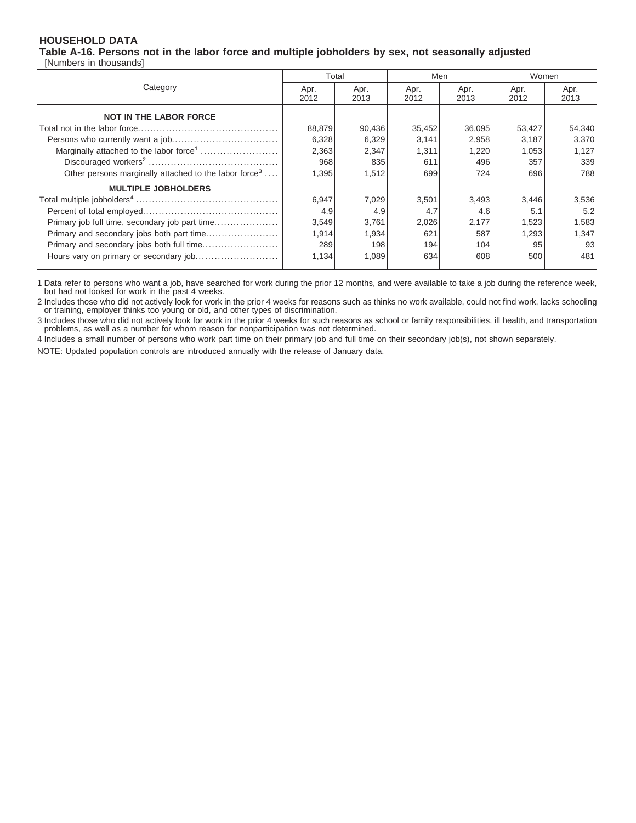#### **HOUSEHOLD DATA Table A-16. Persons not in the labor force and multiple jobholders by sex, not seasonally adjusted** [Numbers in thousands]

|                                                                   |              | Total        | Men          |              |              | Women        |
|-------------------------------------------------------------------|--------------|--------------|--------------|--------------|--------------|--------------|
| Category                                                          | Apr.<br>2012 | Apr.<br>2013 | Apr.<br>2012 | Apr.<br>2013 | Apr.<br>2012 | Apr.<br>2013 |
| <b>NOT IN THE LABOR FORCE</b>                                     |              |              |              |              |              |              |
|                                                                   | 88,879       | 90,436       | 35,452       | 36,095       | 53,427       | 54,340       |
|                                                                   | 6,328        | 6,329        | 3,141        | 2,958        | 3,187        | 3,370        |
| Marginally attached to the labor force <sup>1</sup>               | 2,363        | 2,347        | 1,311        | 1,220        | 1,053        | 1,127        |
|                                                                   | 968          | 835          | 611          | 496          | 357          | 339          |
| Other persons marginally attached to the labor force <sup>3</sup> | 1.395        | 1.512        | 699          | 724          | 696          | 788          |
| <b>MULTIPLE JOBHOLDERS</b>                                        |              |              |              |              |              |              |
|                                                                   | 6,947        | 7,029        | 3,501        | 3,493        | 3,446        | 3,536        |
|                                                                   | 4.9          | 4.9          | 4.7          | 4.6          | 5.1          | 5.2          |
| Primary job full time, secondary job part time                    | 3,549        | 3,761        | 2,026        | 2,177        | 1,523        | 1,583        |
|                                                                   | 1,914        | 1,934        | 621          | 587          | 1,293        | 1.347        |
|                                                                   | 289          | 198          | 194          | 104          | 95           | 93           |
|                                                                   | 1,134        | 1,089        | 634          | 608          | 500          | 481          |

1 Data refer to persons who want a job, have searched for work during the prior 12 months, and were available to take a job during the reference week, but had not looked for work in the past 4 weeks.

2 Includes those who did not actively look for work in the prior 4 weeks for reasons such as thinks no work available, could not find work, lacks schooling or training, employer thinks too young or old, and other types of discrimination.

3 Includes those who did not actively look for work in the prior 4 weeks for such reasons as school or family responsibilities, ill health, and transportation problems, as well as a number for whom reason for nonparticipation was not determined.

4 Includes a small number of persons who work part time on their primary job and full time on their secondary job(s), not shown separately.

NOTE: Updated population controls are introduced annually with the release of January data.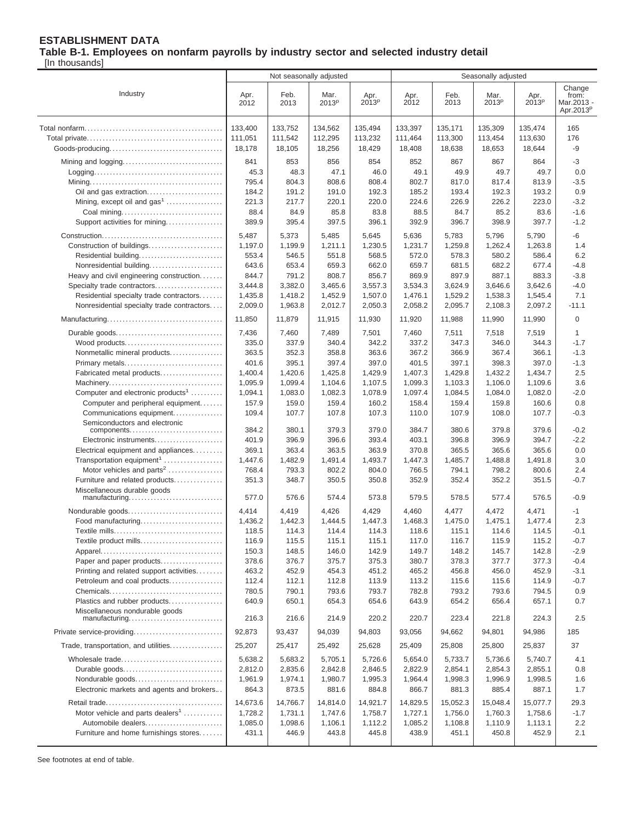## **ESTABLISHMENT DATA Table B-1. Employees on nonfarm payrolls by industry sector and selected industry detail**

[In thousands]

|                                                                                    |                  |                  | Not seasonally adjusted   |                           |                  |                  | Seasonally adjusted       |                           |                                               |
|------------------------------------------------------------------------------------|------------------|------------------|---------------------------|---------------------------|------------------|------------------|---------------------------|---------------------------|-----------------------------------------------|
| Industry                                                                           | Apr.<br>2012     | Feb.<br>2013     | Mar.<br>2013 <sup>p</sup> | Apr.<br>2013 <sup>p</sup> | Apr.<br>2012     | Feb.<br>2013     | Mar.<br>2013 <sup>p</sup> | Apr.<br>2013 <sup>p</sup> | Change<br>from:<br>Mar.2013 -<br>Apr.2013 $P$ |
|                                                                                    | 133,400          | 133,752          | 134,562                   | 135,494                   | 133,397          | 135,171          | 135,309                   | 135,474                   | 165                                           |
|                                                                                    | 111,051          | 111,542          | 112,295                   | 113,232                   | 111,464          | 113,300          | 113,454                   | 113,630                   | 176                                           |
|                                                                                    | 18,178           | 18,105           | 18,256                    | 18,429                    | 18,408           | 18,638           | 18,653                    | 18,644                    | -9                                            |
|                                                                                    | 841              | 853              | 856                       | 854                       | 852              | 867              | 867                       | 864                       | -3                                            |
|                                                                                    | 45.3             | 48.3             | 47.1                      | 46.0                      | 49.1             | 49.9             | 49.7                      | 49.7                      | 0.0                                           |
|                                                                                    | 795.4            | 804.3            | 808.6                     | 808.4                     | 802.7            | 817.0            | 817.4                     | 813.9                     | $-3.5$                                        |
| Oil and gas extraction                                                             | 184.2            | 191.2            | 191.0                     | 192.3                     | 185.2            | 193.4            | 192.3                     | 193.2                     | 0.9                                           |
| Mining, except oil and $gas1$                                                      | 221.3            | 217.7            | 220.1                     | 220.0                     | 224.6            | 226.9            | 226.2                     | 223.0                     | $-3.2$                                        |
|                                                                                    | 88.4             | 84.9             | 85.8                      | 83.8                      | 88.5             | 84.7             | 85.2                      | 83.6                      | $-1.6$                                        |
| Support activities for mining                                                      | 389.9            | 395.4            | 397.5                     | 396.1                     | 392.9            | 396.7            | 398.9                     | 397.7                     | $-1.2$                                        |
|                                                                                    | 5,487            | 5,373            | 5,485                     | 5,645                     | 5,636            | 5,783            | 5,796                     | 5,790                     | -6                                            |
| Construction of buildings                                                          | 1,197.0          | 1,199.9          | 1,211.1                   | 1,230.5                   | 1,231.7          | 1,259.8          | 1,262.4                   | 1,263.8                   | 1.4                                           |
| Residential building                                                               | 553.4            | 546.5            | 551.8                     | 568.5                     | 572.0            | 578.3            | 580.2                     | 586.4                     | 6.2                                           |
| Nonresidential building                                                            | 643.6            | 653.4            | 659.3                     | 662.0                     | 659.7            | 681.5            | 682.2                     | 677.4                     | $-4.8$                                        |
| Heavy and civil engineering construction                                           | 844.7            | 791.2            | 808.7                     | 856.7                     | 869.9            | 897.9            | 887.1                     | 883.3                     | $-3.8$                                        |
| Specialty trade contractors                                                        | 3,444.8          | 3.382.0          | 3,465.6                   | 3,557.3                   | 3,534.3          | 3,624.9          | 3.646.6                   | 3,642.6                   | $-4.0$                                        |
| Residential specialty trade contractors                                            | 1,435.8          | 1,418.2          | 1,452.9                   | 1,507.0                   | 1,476.1          | 1,529.2          | 1,538.3                   | 1,545.4                   | 7.1                                           |
| Nonresidential specialty trade contractors                                         | 2,009.0          | 1,963.8          | 2,012.7                   | 2,050.3                   | 2,058.2          | 2,095.7          | 2,108.3                   | 2,097.2                   | $-11.1$                                       |
|                                                                                    | 11,850           | 11,879           | 11,915                    | 11,930                    | 11,920           | 11,988           | 11,990                    | 11,990                    | 0                                             |
| Durable goods                                                                      | 7,436            | 7,460            | 7,489                     | 7,501                     | 7,460            | 7,511            | 7,518                     | 7,519                     | $\mathbf{1}$                                  |
| Wood products                                                                      | 335.0            | 337.9            | 340.4                     | 342.2                     | 337.2            | 347.3            | 346.0                     | 344.3                     | $-1.7$                                        |
| Nonmetallic mineral products                                                       | 363.5            | 352.3            | 358.8                     | 363.6                     | 367.2            | 366.9            | 367.4                     | 366.1                     | $-1.3$                                        |
| Primary metals                                                                     | 401.6            | 395.1            | 397.4                     | 397.0                     | 401.5            | 397.1            | 398.3                     | 397.0                     | $-1.3$                                        |
| Fabricated metal products                                                          | 1,400.4          | 1,420.6          | 1,425.8                   | 1,429.9                   | 1,407.3          | 1,429.8          | 1,432.2                   | 1,434.7                   | 2.5                                           |
| Machinery                                                                          | 1,095.9          | 1,099.4          | 1,104.6                   | 1,107.5                   | 1,099.3          | 1,103.3          | 1,106.0                   | 1,109.6                   | 3.6                                           |
| Computer and electronic products <sup>1</sup><br>Computer and peripheral equipment | 1,094.1<br>157.9 | 1,083.0<br>159.0 | 1,082.3<br>159.4          | 1,078.9<br>160.2          | 1,097.4<br>158.4 | 1,084.5<br>159.4 | 1,084.0<br>159.8          | 1,082.0<br>160.6          | $-2.0$<br>0.8                                 |
| Communications equipment                                                           | 109.4            | 107.7            | 107.8                     | 107.3                     | 110.0            | 107.9            | 108.0                     | 107.7                     | $-0.3$                                        |
| Semiconductors and electronic                                                      |                  |                  |                           |                           |                  |                  |                           |                           |                                               |
| components                                                                         | 384.2            | 380.1            | 379.3                     | 379.0                     | 384.7            | 380.6            | 379.8                     | 379.6                     | $-0.2$                                        |
| Electronic instruments                                                             | 401.9            | 396.9            | 396.6                     | 393.4                     | 403.1            | 396.8            | 396.9                     | 394.7                     | $-2.2$                                        |
| Electrical equipment and appliances                                                | 369.1            | 363.4            | 363.5                     | 363.9                     | 370.8            | 365.5            | 365.6                     | 365.6                     | 0.0                                           |
| Transportation equipment <sup>1</sup>                                              | 1,447.6          | 1,482.9          | 1,491.4                   | 1,493.7                   | 1,447.3          | 1,485.7          | 1,488.8                   | 1,491.8                   | 3.0                                           |
| Motor vehicles and parts <sup>2</sup>                                              | 768.4            | 793.3            | 802.2                     | 804.0                     | 766.5            | 794.1            | 798.2                     | 800.6                     | 2.4                                           |
| Furniture and related products<br>Miscellaneous durable goods                      | 351.3            | 348.7            | 350.5                     | 350.8                     | 352.9            | 352.4            | 352.2                     | 351.5                     | $-0.7$                                        |
| manufacturing                                                                      | 577.0            | 576.6            | 574.4                     | 573.8                     | 579.5            | 578.5            | 577.4                     | 576.5                     | $-0.9$                                        |
| Nondurable goods                                                                   | 4,414            | 4,419            | 4,426                     | 4,429                     | 4,460            | 4,477            | 4,472                     | 4,471                     | -1                                            |
|                                                                                    | 1,436.2          | 1,442.3          | 1,444.5                   | 1,447.3                   | 1,468.3          | 1,475.0          | 1,475.1                   | 1,477.4                   | 2.3                                           |
|                                                                                    | 118.5            | 114.3            | 114.4                     | 114.3                     | 118.6            | 115.1            | 114.6                     | 114.5                     | $-0.1$                                        |
| Textile product mills                                                              | 116.9            | 115.5            | 115.1                     | 115.1                     | 117.0            | 116.7            | 115.9                     | 115.2                     | $-0.7$                                        |
|                                                                                    | 150.3            | 148.5            | 146.0                     | 142.9                     | 149.7            | 148.2            | 145.7                     | 142.8                     | $-2.9$                                        |
| Paper and paper products                                                           | 378.6            | 376.7            | 375.7                     | 375.3                     | 380.7            | 378.3            | 377.7                     | 377.3                     | $-0.4$                                        |
| Printing and related support activities                                            | 463.2            | 452.9            | 454.3                     | 451.2                     | 465.2            | 456.8            | 456.0                     | 452.9                     | $-3.1$                                        |
| Petroleum and coal products                                                        | 112.4            | 112.1            | 112.8                     | 113.9                     | 113.2            | 115.6            | 115.6                     | 114.9                     | $-0.7$                                        |
| Chemicals<br>Plastics and rubber products                                          | 780.5<br>640.9   | 790.1<br>650.1   | 793.6<br>654.3            | 793.7<br>654.6            | 782.8<br>643.9   | 793.2<br>654.2   | 793.6<br>656.4            | 794.5<br>657.1            | 0.9<br>0.7                                    |
| Miscellaneous nondurable goods                                                     |                  |                  |                           |                           |                  |                  |                           |                           |                                               |
| manufacturing                                                                      | 216.3            | 216.6            | 214.9                     | 220.2                     | 220.7            | 223.4            | 221.8                     | 224.3                     | 2.5                                           |
| Private service-providing                                                          | 92,873           | 93,437           | 94,039                    | 94,803                    | 93,056           | 94,662           | 94,801                    | 94,986                    | 185                                           |
| Trade, transportation, and utilities                                               | 25,207           | 25,417           | 25,492                    | 25,628                    | 25,409           | 25,808           | 25,800                    | 25,837                    | 37                                            |
| Wholesale trade                                                                    | 5,638.2          | 5,683.2          | 5,705.1                   | 5,726.6                   | 5,654.0          | 5,733.7          | 5,736.6                   | 5,740.7                   | 4.1                                           |
| Durable goods                                                                      | 2,812.0          | 2,835.6          | 2,842.8                   | 2,846.5                   | 2,822.9          | 2,854.1          | 2,854.3                   | 2,855.1                   | 0.8                                           |
| Nondurable goods                                                                   | 1,961.9          | 1,974.1          | 1,980.7                   | 1,995.3                   | 1,964.4          | 1,998.3          | 1,996.9                   | 1,998.5                   | 1.6                                           |
| Electronic markets and agents and brokers                                          | 864.3            | 873.5            | 881.6                     | 884.8                     | 866.7            | 881.3            | 885.4                     | 887.1                     | 1.7                                           |
|                                                                                    | 14,673.6         | 14,766.7         | 14,814.0                  | 14,921.7                  | 14,829.5         | 15,052.3         | 15,048.4                  | 15,077.7                  | 29.3                                          |
| Motor vehicle and parts dealers <sup>1</sup>                                       | 1,728.2          | 1,731.1          | 1,747.6                   | 1,758.7                   | 1,727.1          | 1,756.0          | 1,760.3                   | 1,758.6                   | $-1.7$                                        |
| Automobile dealers                                                                 | 1,085.0          | 1,098.6          | 1,106.1                   | 1,112.2                   | 1,085.2          | 1,108.8          | 1,110.9                   | 1,113.1                   | 2.2                                           |
| Furniture and home furnishings stores                                              | 431.1            | 446.9            | 443.8                     | 445.8                     | 438.9            | 451.1            | 450.8                     | 452.9                     | 2.1                                           |
|                                                                                    |                  |                  |                           |                           |                  |                  |                           |                           |                                               |

See footnotes at end of table.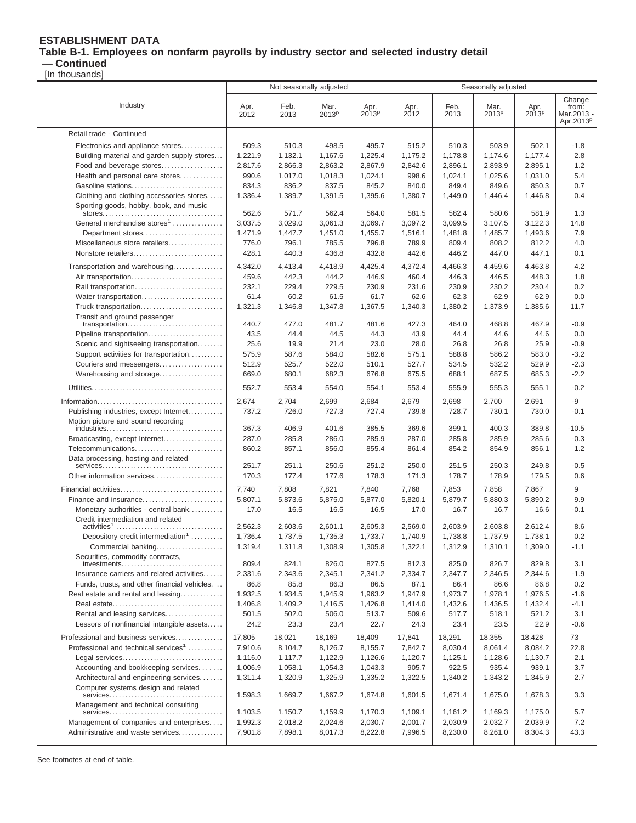### **ESTABLISHMENT DATA Table B-1. Employees on nonfarm payrolls by industry sector and selected industry detail — Continued**

[In thousands]

|                                                                                    | Not seasonally adjusted |                    |                           |                           | Seasonally adjusted |                    |                           |                           |                                                        |  |
|------------------------------------------------------------------------------------|-------------------------|--------------------|---------------------------|---------------------------|---------------------|--------------------|---------------------------|---------------------------|--------------------------------------------------------|--|
| Industry                                                                           | Apr.<br>2012            | Feb.<br>2013       | Mar.<br>2013 <sup>P</sup> | Apr.<br>2013 <sup>P</sup> | Apr.<br>2012        | Feb.<br>2013       | Mar.<br>2013 <sup>p</sup> | Apr.<br>2013 <sup>p</sup> | Change<br>from:<br>Mar.2013 -<br>Apr.2013 <sup>P</sup> |  |
| Retail trade - Continued                                                           |                         |                    |                           |                           |                     |                    |                           |                           |                                                        |  |
| Electronics and appliance stores                                                   | 509.3                   | 510.3              | 498.5                     | 495.7                     | 515.2               | 510.3              | 503.9                     | 502.1                     | $-1.8$                                                 |  |
| Building material and garden supply stores                                         | 1,221.9                 | 1,132.1            | 1,167.6                   | 1,225.4                   | 1,175.2             | 1,178.8            | 1,174.6                   | 1,177.4                   | 2.8                                                    |  |
| Food and beverage stores                                                           | 2,817.6                 | 2,866.3            | 2,863.2                   | 2,867.9                   | 2,842.6             | 2,896.1            | 2,893.9                   | 2,895.1                   | 1.2                                                    |  |
| Health and personal care stores                                                    | 990.6                   | 1,017.0            | 1,018.3                   | 1,024.1                   | 998.6               | 1,024.1            | 1,025.6                   | 1,031.0                   | 5.4                                                    |  |
| Gasoline stations                                                                  | 834.3                   | 836.2              | 837.5                     | 845.2                     | 840.0               | 849.4              | 849.6                     | 850.3                     | 0.7                                                    |  |
| Clothing and clothing accessories stores<br>Sporting goods, hobby, book, and music | 1,336.4<br>562.6        | 1,389.7<br>571.7   | 1,391.5<br>562.4          | 1,395.6<br>564.0          | 1,380.7<br>581.5    | 1,449.0<br>582.4   | 1,446.4<br>580.6          | 1,446.8<br>581.9          | 0.4<br>1.3                                             |  |
| General merchandise stores <sup>1</sup>                                            | 3,037.5                 | 3,029.0            | 3,061.3                   | 3,069.7                   | 3,097.2             | 3,099.5            | 3,107.5                   | 3,122.3                   | 14.8                                                   |  |
| Department stores                                                                  | 1,471.9                 | 1,447.7            | 1,451.0                   | 1,455.7                   | 1,516.1             | 1,481.8            | 1,485.7                   | 1,493.6                   | 7.9                                                    |  |
| Miscellaneous store retailers                                                      | 776.0                   | 796.1              | 785.5                     | 796.8                     | 789.9               | 809.4              | 808.2                     | 812.2                     | 4.0                                                    |  |
| Nonstore retailers                                                                 | 428.1                   | 440.3              | 436.8                     | 432.8                     | 442.6               | 446.2              | 447.0                     | 447.1                     | 0.1                                                    |  |
| Transportation and warehousing                                                     | 4,342.0                 | 4,413.4            | 4,418.9                   | 4,425.4                   | 4,372.4             | 4,466.3            | 4,459.6                   | 4,463.8                   | 4.2                                                    |  |
| Air transportation                                                                 | 459.6                   | 442.3              | 444.2                     | 446.9                     | 460.4               | 446.3              | 446.5                     | 448.3                     | 1.8                                                    |  |
| Rail transportation                                                                | 232.1                   | 229.4              | 229.5                     | 230.9                     | 231.6               | 230.9              | 230.2                     | 230.4                     | 0.2                                                    |  |
| Water transportation                                                               | 61.4                    | 60.2               | 61.5                      | 61.7                      | 62.6                | 62.3               | 62.9                      | 62.9                      | 0.0                                                    |  |
| Truck transportation                                                               | 1,321.3                 | 1,346.8            | 1,347.8                   | 1,367.5                   | 1,340.3             | 1,380.2            | 1,373.9                   | 1,385.6                   | 11.7                                                   |  |
| Transit and ground passenger<br>transportation                                     | 440.7                   | 477.0              | 481.7                     | 481.6                     | 427.3               | 464.0              | 468.8                     | 467.9                     | $-0.9$                                                 |  |
| Pipeline transportation                                                            | 43.5                    | 44.4               | 44.5                      | 44.3                      | 43.9                | 44.4               | 44.6                      | 44.6                      | 0.0                                                    |  |
| Scenic and sightseeing transportation                                              | 25.6                    | 19.9               | 21.4                      | 23.0                      | 28.0                | 26.8               | 26.8                      | 25.9                      | $-0.9$                                                 |  |
| Support activities for transportation<br>Couriers and messengers                   | 575.9<br>512.9          | 587.6<br>525.7     | 584.0<br>522.0            | 582.6<br>510.1            | 575.1<br>527.7      | 588.8<br>534.5     | 586.2<br>532.2            | 583.0<br>529.9            | $-3.2$<br>$-2.3$                                       |  |
| Warehousing and storage                                                            | 669.0                   | 680.1              | 682.3                     | 676.8                     | 675.5               | 688.1              | 687.5                     | 685.3                     | $-2.2$                                                 |  |
|                                                                                    | 552.7                   | 553.4              | 554.0                     | 554.1                     | 553.4               | 555.9              | 555.3                     | 555.1                     | $-0.2$                                                 |  |
|                                                                                    | 2,674                   | 2,704              | 2,699                     | 2,684                     | 2,679               | 2,698              | 2,700                     | 2,691                     | -9                                                     |  |
| Publishing industries, except Internet<br>Motion picture and sound recording       | 737.2                   | 726.0              | 727.3                     | 727.4                     | 739.8               | 728.7              | 730.1                     | 730.0                     | $-0.1$                                                 |  |
|                                                                                    | 367.3                   | 406.9              | 401.6                     | 385.5                     | 369.6               | 399.1              | 400.3                     | 389.8                     | $-10.5$                                                |  |
| Broadcasting, except Internet                                                      | 287.0                   | 285.8              | 286.0                     | 285.9                     | 287.0               | 285.8              | 285.9                     | 285.6                     | $-0.3$                                                 |  |
| Telecommunications                                                                 | 860.2                   | 857.1              | 856.0                     | 855.4                     | 861.4               | 854.2              | 854.9                     | 856.1                     | 1.2                                                    |  |
| Data processing, hosting and related                                               | 251.7                   | 251.1              | 250.6                     | 251.2                     | 250.0               | 251.5              | 250.3                     | 249.8                     | $-0.5$                                                 |  |
| Other information services                                                         | 170.3                   | 177.4              | 177.6                     | 178.3                     | 171.3               | 178.7              | 178.9                     | 179.5                     | 0.6                                                    |  |
|                                                                                    | 7,740                   | 7,808              | 7,821                     | 7,840                     | 7,768               | 7,853              | 7,858                     | 7,867                     | 9                                                      |  |
| Finance and insurance                                                              | 5,807.1                 | 5,873.6            | 5,875.0                   | 5,877.0                   | 5,820.1             | 5,879.7            | 5,880.3                   | 5,890.2                   | 9.9                                                    |  |
| Monetary authorities - central bank                                                | 17.0                    | 16.5               | 16.5                      | 16.5                      | 17.0                | 16.7               | 16.7                      | 16.6                      | $-0.1$                                                 |  |
| Credit intermediation and related<br>activities <sup>1</sup>                       | 2,562.3                 | 2,603.6            | 2,601.1                   | 2,605.3                   | 2,569.0             | 2,603.9            | 2,603.8                   | 2,612.4                   | 8.6                                                    |  |
| Depository credit intermediation <sup>1</sup>                                      | 1,736.4                 | 1,737.5            | 1,735.3                   | 1,733.7                   | 1,740.9             | 1,738.8            | 1,737.9                   | 1,738.1                   | 0.2                                                    |  |
| Commercial banking                                                                 | 1,319.4                 | 1,311.8            | 1,308.9                   | 1,305.8                   | 1,322.1             | 1,312.9            | 1,310.1                   | 1,309.0                   | $-1.1$                                                 |  |
| Securities, commodity contracts,<br>investments                                    | 809.4                   | 824.1              | 826.0                     | 827.5                     | 812.3               | 825.0              | 826.7                     | 829.8                     | 3.1                                                    |  |
| Insurance carriers and related activities                                          | 2,331.6                 | 2,343.6            | 2,345.1                   | 2,341.2                   | 2,334.7             | 2,347.7            | 2,346.5                   | 2,344.6                   | $-1.9$                                                 |  |
| Funds, trusts, and other financial vehicles.                                       | 86.8                    | 85.8               | 86.3                      | 86.5                      | 87.1                | 86.4               | 86.6                      | 86.8                      | 0.2                                                    |  |
| Real estate and rental and leasing                                                 | 1,932.5                 | 1,934.5            | 1,945.9                   | 1,963.2                   | 1,947.9             | 1,973.7            | 1,978.1                   | 1,976.5                   | $-1.6$                                                 |  |
|                                                                                    | 1,406.8                 | 1,409.2            | 1,416.5                   | 1,426.8                   | 1,414.0             | 1,432.6            | 1,436.5                   | 1,432.4                   | -4.1                                                   |  |
| Rental and leasing services                                                        | 501.5                   | 502.0              | 506.0                     | 513.7                     | 509.6               | 517.7              | 518.1                     | 521.2                     | 3.1                                                    |  |
| Lessors of nonfinancial intangible assets                                          | 24.2                    | 23.3               | 23.4                      | 22.7                      | 24.3                | 23.4               | 23.5                      | 22.9                      | $-0.6$                                                 |  |
| Professional and business services                                                 | 17,805                  | 18,021             | 18,169                    | 18,409                    | 17,841              | 18,291             | 18,355                    | 18,428                    | 73                                                     |  |
| Professional and technical services <sup>1</sup><br>Legal services                 | 7,910.6<br>1,116.0      | 8,104.7<br>1,117.7 | 8,126.7<br>1,122.9        | 8,155.7<br>1,126.6        | 7.842.7<br>1,120.7  | 8,030.4<br>1,125.1 | 8,061.4<br>1,128.6        | 8,084.2<br>1,130.7        | 22.8<br>2.1                                            |  |
| Accounting and bookkeeping services                                                | 1,006.9                 | 1,058.1            | 1,054.3                   | 1,043.3                   | 905.7               | 922.5              | 935.4                     | 939.1                     | 3.7                                                    |  |
| Architectural and engineering services                                             | 1,311.4                 | 1,320.9            | 1,325.9                   | 1,335.2                   | 1,322.5             | 1,340.2            | 1,343.2                   | 1,345.9                   | 2.7                                                    |  |
| Computer systems design and related                                                |                         |                    |                           |                           |                     |                    |                           |                           |                                                        |  |
| Management and technical consulting                                                | 1,598.3                 | 1,669.7            | 1,667.2                   | 1,674.8                   | 1,601.5             | 1,671.4            | 1,675.0                   | 1,678.3                   | 3.3                                                    |  |
|                                                                                    | 1,103.5                 | 1,150.7            | 1,159.9                   | 1,170.3                   | 1,109.1             | 1,161.2            | 1,169.3                   | 1,175.0                   | 5.7                                                    |  |
| Management of companies and enterprises                                            | 1,992.3                 | 2,018.2            | 2,024.6                   | 2,030.7                   | 2,001.7             | 2,030.9            | 2,032.7                   | 2,039.9                   | 7.2                                                    |  |
| Administrative and waste services                                                  | 7,901.8                 | 7,898.1            | 8,017.3                   | 8,222.8                   | 7,996.5             | 8,230.0            | 8,261.0                   | 8,304.3                   | 43.3                                                   |  |

See footnotes at end of table.

÷.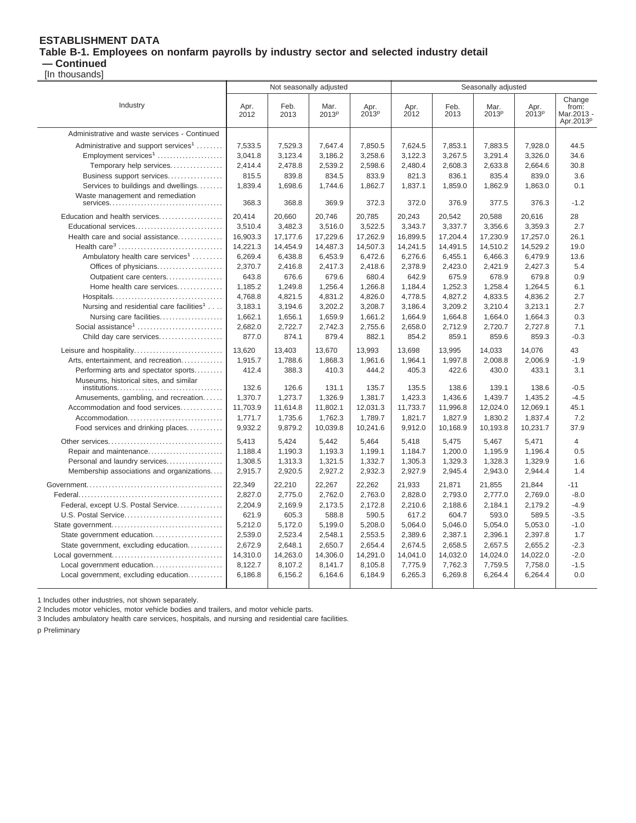## **ESTABLISHMENT DATA Table B-1. Employees on nonfarm payrolls by industry sector and selected industry detail — Continued**

[In thousands]

| Industry<br>Apr.<br>Feb.<br>Mar.<br>Feb.<br>Mar.<br>Apr.<br>Apr.<br>Apr.<br>2013 <sup>P</sup><br>2012<br>20 <sup>13<sup>p</sup></sup><br>2013 <sup>P</sup><br>2013<br>2012<br>2013<br>2013 <sup>P</sup><br>Administrative and waste services - Continued<br>7,533.5<br>7,529.3<br>7,647.4<br>7,850.5<br>7,624.5<br>7,853.1<br>7,883.5<br>7,928.0<br>Administrative and support services <sup>1</sup><br>Employment services <sup>1</sup><br>3,041.8<br>3,123.4<br>3,186.2<br>3,258.6<br>3,122.3<br>3,267.5<br>3,291.4<br>3,326.0<br>2,478.8<br>2,539.2<br>2,480.4<br>2,608.3<br>2,633.8<br>Temporary help services<br>2,414.4<br>2,598.6<br>2,664.6<br>839.8<br>834.5<br>833.9<br>821.3<br>835.4<br>839.0<br>Business support services<br>815.5<br>836.1<br>1,839.4<br>1,698.6<br>1,744.6<br>1,862.7<br>1,837.1<br>1,859.0<br>1,862.9<br>1,863.0<br>Services to buildings and dwellings<br>Waste management and remediation<br>368.3<br>368.8<br>369.9<br>372.3<br>372.0<br>376.9<br>377.5<br>376.3<br>Education and health services<br>20.414<br>20,660<br>20,746<br>20,785<br>20,243<br>20,542<br>20,588<br>20,616<br>3.510.4<br>3,482.3<br>3,516.0<br>3,522.5<br>3,343.7<br>3,337.7<br>3,356.6<br>3,359.3<br>Educational services | Change<br>from:<br>Mar.2013 -<br>Apr.2013 <sup>p</sup><br>44.5<br>34.6<br>30.8<br>3.6<br>0.1<br>$-1.2$<br>28<br>2.7<br>26.1<br>19.0<br>13.6 |
|--------------------------------------------------------------------------------------------------------------------------------------------------------------------------------------------------------------------------------------------------------------------------------------------------------------------------------------------------------------------------------------------------------------------------------------------------------------------------------------------------------------------------------------------------------------------------------------------------------------------------------------------------------------------------------------------------------------------------------------------------------------------------------------------------------------------------------------------------------------------------------------------------------------------------------------------------------------------------------------------------------------------------------------------------------------------------------------------------------------------------------------------------------------------------------------------------------------------------------------|---------------------------------------------------------------------------------------------------------------------------------------------|
|                                                                                                                                                                                                                                                                                                                                                                                                                                                                                                                                                                                                                                                                                                                                                                                                                                                                                                                                                                                                                                                                                                                                                                                                                                      |                                                                                                                                             |
|                                                                                                                                                                                                                                                                                                                                                                                                                                                                                                                                                                                                                                                                                                                                                                                                                                                                                                                                                                                                                                                                                                                                                                                                                                      |                                                                                                                                             |
|                                                                                                                                                                                                                                                                                                                                                                                                                                                                                                                                                                                                                                                                                                                                                                                                                                                                                                                                                                                                                                                                                                                                                                                                                                      |                                                                                                                                             |
|                                                                                                                                                                                                                                                                                                                                                                                                                                                                                                                                                                                                                                                                                                                                                                                                                                                                                                                                                                                                                                                                                                                                                                                                                                      |                                                                                                                                             |
|                                                                                                                                                                                                                                                                                                                                                                                                                                                                                                                                                                                                                                                                                                                                                                                                                                                                                                                                                                                                                                                                                                                                                                                                                                      |                                                                                                                                             |
|                                                                                                                                                                                                                                                                                                                                                                                                                                                                                                                                                                                                                                                                                                                                                                                                                                                                                                                                                                                                                                                                                                                                                                                                                                      |                                                                                                                                             |
|                                                                                                                                                                                                                                                                                                                                                                                                                                                                                                                                                                                                                                                                                                                                                                                                                                                                                                                                                                                                                                                                                                                                                                                                                                      |                                                                                                                                             |
|                                                                                                                                                                                                                                                                                                                                                                                                                                                                                                                                                                                                                                                                                                                                                                                                                                                                                                                                                                                                                                                                                                                                                                                                                                      |                                                                                                                                             |
|                                                                                                                                                                                                                                                                                                                                                                                                                                                                                                                                                                                                                                                                                                                                                                                                                                                                                                                                                                                                                                                                                                                                                                                                                                      |                                                                                                                                             |
|                                                                                                                                                                                                                                                                                                                                                                                                                                                                                                                                                                                                                                                                                                                                                                                                                                                                                                                                                                                                                                                                                                                                                                                                                                      |                                                                                                                                             |
| 16,903.3<br>17,177.6<br>17,229.6<br>17,262.9<br>16,899.5<br>17,204.4<br>17,230.9<br>17,257.0<br>Health care and social assistance                                                                                                                                                                                                                                                                                                                                                                                                                                                                                                                                                                                                                                                                                                                                                                                                                                                                                                                                                                                                                                                                                                    |                                                                                                                                             |
| 14,221.3<br>14,454.9<br>14,487.3<br>14,507.3<br>14,241.5<br>14,491.5<br>14,510.2<br>14,529.2                                                                                                                                                                                                                                                                                                                                                                                                                                                                                                                                                                                                                                                                                                                                                                                                                                                                                                                                                                                                                                                                                                                                         |                                                                                                                                             |
| Ambulatory health care services <sup>1</sup><br>6,269.4<br>6,438.8<br>6,453.9<br>6,472.6<br>6,276.6<br>6,455.1<br>6,466.3<br>6,479.9                                                                                                                                                                                                                                                                                                                                                                                                                                                                                                                                                                                                                                                                                                                                                                                                                                                                                                                                                                                                                                                                                                 |                                                                                                                                             |
| 2,370.7<br>2,416.8<br>2,417.3<br>2,418.6<br>2,378.9<br>2,423.0<br>2,421.9<br>2,427.3<br>Offices of physicians                                                                                                                                                                                                                                                                                                                                                                                                                                                                                                                                                                                                                                                                                                                                                                                                                                                                                                                                                                                                                                                                                                                        | 5.4                                                                                                                                         |
| 643.8<br>676.6<br>679.6<br>680.4<br>642.9<br>675.9<br>678.9<br>679.8<br>Outpatient care centers                                                                                                                                                                                                                                                                                                                                                                                                                                                                                                                                                                                                                                                                                                                                                                                                                                                                                                                                                                                                                                                                                                                                      | 0.9                                                                                                                                         |
| Home health care services<br>1,185.2<br>1,249.8<br>1,256.4<br>1,266.8<br>1,184.4<br>1,252.3<br>1,258.4<br>1,264.5                                                                                                                                                                                                                                                                                                                                                                                                                                                                                                                                                                                                                                                                                                                                                                                                                                                                                                                                                                                                                                                                                                                    | 6.1                                                                                                                                         |
| 4,826.0<br>4,778.5<br>4,827.2<br>4,833.5<br>4,836.2<br>Hospitals<br>4,768.8<br>4,821.5<br>4,831.2                                                                                                                                                                                                                                                                                                                                                                                                                                                                                                                                                                                                                                                                                                                                                                                                                                                                                                                                                                                                                                                                                                                                    | 2.7                                                                                                                                         |
| Nursing and residential care facilities <sup>1</sup><br>3,183.1<br>3,194.6<br>3,202.2<br>3,208.7<br>3,186.4<br>3,209.2<br>3,210.4<br>3,213.1                                                                                                                                                                                                                                                                                                                                                                                                                                                                                                                                                                                                                                                                                                                                                                                                                                                                                                                                                                                                                                                                                         | 2.7                                                                                                                                         |
| 1,659.9<br>1,661.2<br>1,664.9<br>1,664.8<br>1,664.0<br>1,664.3<br>Nursing care facilities<br>1,662.1<br>1,656.1                                                                                                                                                                                                                                                                                                                                                                                                                                                                                                                                                                                                                                                                                                                                                                                                                                                                                                                                                                                                                                                                                                                      | 0.3                                                                                                                                         |
| Social assistance <sup>1</sup><br>2,682.0<br>2,742.3<br>2,658.0<br>2,720.7<br>2,722.7<br>2,755.6<br>2,712.9<br>2,727.8                                                                                                                                                                                                                                                                                                                                                                                                                                                                                                                                                                                                                                                                                                                                                                                                                                                                                                                                                                                                                                                                                                               | 7.1                                                                                                                                         |
| 877.0<br>879.4<br>882.1<br>859.6<br>859.3<br>Child day care services<br>874.1<br>854.2<br>859.1                                                                                                                                                                                                                                                                                                                                                                                                                                                                                                                                                                                                                                                                                                                                                                                                                                                                                                                                                                                                                                                                                                                                      | $-0.3$                                                                                                                                      |
| 13,993<br>14,076<br>Leisure and hospitality<br>13,620<br>13,403<br>13,670<br>13,698<br>13,995<br>14,033                                                                                                                                                                                                                                                                                                                                                                                                                                                                                                                                                                                                                                                                                                                                                                                                                                                                                                                                                                                                                                                                                                                              | 43                                                                                                                                          |
| 1,788.6<br>1,961.6<br>1,964.1<br>1,997.8<br>2,008.8<br>2,006.9<br>Arts, entertainment, and recreation<br>1,915.7<br>1,868.3                                                                                                                                                                                                                                                                                                                                                                                                                                                                                                                                                                                                                                                                                                                                                                                                                                                                                                                                                                                                                                                                                                          | $-1.9$                                                                                                                                      |
| Performing arts and spectator sports<br>412.4<br>388.3<br>410.3<br>444.2<br>405.3<br>422.6<br>430.0<br>433.1                                                                                                                                                                                                                                                                                                                                                                                                                                                                                                                                                                                                                                                                                                                                                                                                                                                                                                                                                                                                                                                                                                                         | 3.1                                                                                                                                         |
| Museums, historical sites, and similar                                                                                                                                                                                                                                                                                                                                                                                                                                                                                                                                                                                                                                                                                                                                                                                                                                                                                                                                                                                                                                                                                                                                                                                               |                                                                                                                                             |
| 132.6<br>126.6<br>131.1<br>135.7<br>135.5<br>138.6<br>139.1<br>138.6<br>institutions                                                                                                                                                                                                                                                                                                                                                                                                                                                                                                                                                                                                                                                                                                                                                                                                                                                                                                                                                                                                                                                                                                                                                 | $-0.5$                                                                                                                                      |
| 1,370.7<br>1,273.7<br>1,326.9<br>1,381.7<br>1,423.3<br>1,436.6<br>1,439.7<br>1,435.2<br>Amusements, gambling, and recreation                                                                                                                                                                                                                                                                                                                                                                                                                                                                                                                                                                                                                                                                                                                                                                                                                                                                                                                                                                                                                                                                                                         | $-4.5$                                                                                                                                      |
| 11,733.7<br>Accommodation and food services<br>11.703.9<br>11,614.8<br>11,802.1<br>12,031.3<br>11,996.8<br>12,024.0<br>12,069.1                                                                                                                                                                                                                                                                                                                                                                                                                                                                                                                                                                                                                                                                                                                                                                                                                                                                                                                                                                                                                                                                                                      | 45.1                                                                                                                                        |
| Accommodation<br>1,771.7<br>1,735.6<br>1,762.3<br>1,789.7<br>1,821.7<br>1,827.9<br>1,830.2<br>1,837.4                                                                                                                                                                                                                                                                                                                                                                                                                                                                                                                                                                                                                                                                                                                                                                                                                                                                                                                                                                                                                                                                                                                                | 7.2                                                                                                                                         |
| 9,932.2<br>9,879.2<br>10,039.8<br>10,241.6<br>9,912.0<br>10,168.9<br>10,193.8<br>10,231.7<br>Food services and drinking places                                                                                                                                                                                                                                                                                                                                                                                                                                                                                                                                                                                                                                                                                                                                                                                                                                                                                                                                                                                                                                                                                                       | 37.9                                                                                                                                        |
| 5,424<br>5,442<br>5,464<br>5.418<br>5,475<br>5,471<br>5.413<br>5,467                                                                                                                                                                                                                                                                                                                                                                                                                                                                                                                                                                                                                                                                                                                                                                                                                                                                                                                                                                                                                                                                                                                                                                 | 4                                                                                                                                           |
| Repair and maintenance<br>1.188.4<br>1,190.3<br>1,193.3<br>1.184.7<br>1,200.0<br>1,195.9<br>1,196.4<br>1.199.1                                                                                                                                                                                                                                                                                                                                                                                                                                                                                                                                                                                                                                                                                                                                                                                                                                                                                                                                                                                                                                                                                                                       | 0.5                                                                                                                                         |
| 1,308.5<br>1,313.3<br>1,321.5<br>1,332.7<br>1,305.3<br>1,329.3<br>1,328.3<br>1,329.9<br>Personal and laundry services                                                                                                                                                                                                                                                                                                                                                                                                                                                                                                                                                                                                                                                                                                                                                                                                                                                                                                                                                                                                                                                                                                                | 1.6                                                                                                                                         |
| 2,915.7<br>2,920.5<br>2,927.2<br>2,932.3<br>2,927.9<br>2,945.4<br>2,943.0<br>2,944.4<br>Membership associations and organizations                                                                                                                                                                                                                                                                                                                                                                                                                                                                                                                                                                                                                                                                                                                                                                                                                                                                                                                                                                                                                                                                                                    | 1.4                                                                                                                                         |
| 22.349<br>22,210<br>22,267<br>22,262<br>21,933<br>21,871<br>21,855<br>21.844                                                                                                                                                                                                                                                                                                                                                                                                                                                                                                                                                                                                                                                                                                                                                                                                                                                                                                                                                                                                                                                                                                                                                         | $-11$                                                                                                                                       |
| 2,827.0<br>2,775.0<br>2,762.0<br>2,763.0<br>2,828.0<br>2,793.0<br>2,777.0<br>2,769.0                                                                                                                                                                                                                                                                                                                                                                                                                                                                                                                                                                                                                                                                                                                                                                                                                                                                                                                                                                                                                                                                                                                                                 | $-8.0$                                                                                                                                      |
| Federal. except U.S. Postal Service<br>2,204.9<br>2.169.9<br>2,173.5<br>2,172.8<br>2,210.6<br>2.188.6<br>2,184.1<br>2.179.2                                                                                                                                                                                                                                                                                                                                                                                                                                                                                                                                                                                                                                                                                                                                                                                                                                                                                                                                                                                                                                                                                                          | $-4.9$                                                                                                                                      |
| U.S. Postal Service<br>621.9<br>605.3<br>588.8<br>590.5<br>617.2<br>604.7<br>593.0<br>589.5                                                                                                                                                                                                                                                                                                                                                                                                                                                                                                                                                                                                                                                                                                                                                                                                                                                                                                                                                                                                                                                                                                                                          | $-3.5$                                                                                                                                      |
| 5,212.0<br>5,172.0<br>5,199.0<br>5,208.0<br>5,064.0<br>5,046.0<br>5,054.0<br>5,053.0                                                                                                                                                                                                                                                                                                                                                                                                                                                                                                                                                                                                                                                                                                                                                                                                                                                                                                                                                                                                                                                                                                                                                 | $-1.0$                                                                                                                                      |
| 2,539.0<br>2,523.4<br>2,548.1<br>2,553.5<br>2,389.6<br>2,387.1<br>2,396.1<br>2,397.8<br>State government education                                                                                                                                                                                                                                                                                                                                                                                                                                                                                                                                                                                                                                                                                                                                                                                                                                                                                                                                                                                                                                                                                                                   | 1.7                                                                                                                                         |
| 2,672.9<br>2,648.1<br>2,650.7<br>2,654.4<br>2,674.5<br>2,658.5<br>2,657.5<br>2,655.2<br>State government, excluding education                                                                                                                                                                                                                                                                                                                                                                                                                                                                                                                                                                                                                                                                                                                                                                                                                                                                                                                                                                                                                                                                                                        | $-2.3$                                                                                                                                      |
| 14,310.0<br>14,263.0<br>14,306.0<br>14,291.0<br>14,041.0<br>14,032.0<br>14,024.0<br>14,022.0                                                                                                                                                                                                                                                                                                                                                                                                                                                                                                                                                                                                                                                                                                                                                                                                                                                                                                                                                                                                                                                                                                                                         | $-2.0$                                                                                                                                      |
| Local government education<br>8,122.7<br>8,107.2<br>8,141.7<br>8,105.8<br>7,775.9<br>7,762.3<br>7,759.5<br>7,758.0                                                                                                                                                                                                                                                                                                                                                                                                                                                                                                                                                                                                                                                                                                                                                                                                                                                                                                                                                                                                                                                                                                                   | $-1.5$                                                                                                                                      |
| 6,186.8<br>6,156.2<br>6,164.6<br>6,184.9<br>6,265.3<br>6,269.8<br>6,264.4<br>6,264.4<br>Local government, excluding education                                                                                                                                                                                                                                                                                                                                                                                                                                                                                                                                                                                                                                                                                                                                                                                                                                                                                                                                                                                                                                                                                                        | 0.0                                                                                                                                         |

1 Includes other industries, not shown separately.

2 Includes motor vehicles, motor vehicle bodies and trailers, and motor vehicle parts.

3 Includes ambulatory health care services, hospitals, and nursing and residential care facilities.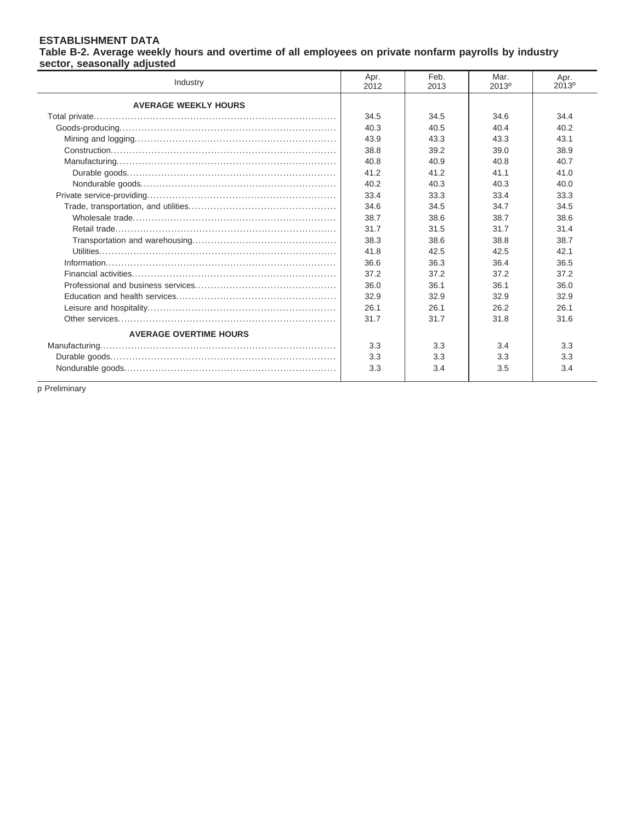### **ESTABLISHMENT DATA Table B-2. Average weekly hours and overtime of all employees on private nonfarm payrolls by industry sector, seasonally adjusted**

| Industry                      | Apr.<br>2012 | Feb.<br>2013 | Mar.<br>2013 <sup>p</sup> | Apr.<br>2013 <sup>p</sup> |
|-------------------------------|--------------|--------------|---------------------------|---------------------------|
| <b>AVERAGE WEEKLY HOURS</b>   |              |              |                           |                           |
|                               | 34.5         | 34.5         | 34.6                      | 34.4                      |
|                               | 40.3         | 40.5         | 40.4                      | 40.2                      |
|                               | 43.9         | 43.3         | 43.3                      | 43.1                      |
|                               | 38.8         | 39.2         | 39.0                      | 38.9                      |
|                               | 40.8         | 40.9         | 40.8                      | 40.7                      |
|                               | 41.2         | 41.2         | 41.1                      | 41.0                      |
|                               | 40.2         | 40.3         | 40.3                      | 40.0                      |
|                               | 33.4         | 33.3         | 33.4                      | 33.3                      |
|                               | 34.6         | 34.5         | 34.7                      | 34.5                      |
|                               | 38.7         | 38.6         | 38.7                      | 38.6                      |
|                               | 31.7         | 31.5         | 31.7                      | 31.4                      |
|                               | 38.3         | 38.6         | 38.8                      | 38.7                      |
|                               | 41.8         | 42.5         | 42.5                      | 42.1                      |
|                               | 36.6         | 36.3         | 36.4                      | 36.5                      |
|                               | 37.2         | 37.2         | 37.2                      | 37.2                      |
|                               | 36.0         | 36.1         | 36.1                      | 36.0                      |
|                               | 32.9         | 32.9         | 32.9                      | 32.9                      |
|                               | 26.1         | 26.1         | 26.2                      | 26.1                      |
|                               | 31.7         | 31.7         | 31.8                      | 31.6                      |
| <b>AVERAGE OVERTIME HOURS</b> |              |              |                           |                           |
|                               | 3.3          | 3.3          | 3.4                       | 3.3                       |
|                               | 3.3          | 3.3          | 3.3                       | 3.3                       |
|                               | 3.3          | 3.4          | 3.5                       | 3.4                       |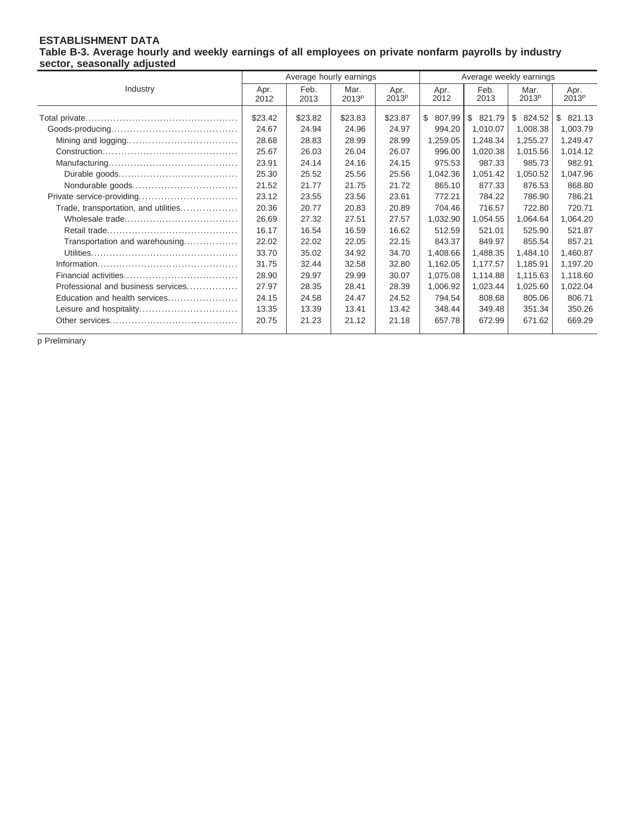### **ESTABLISHMENT DATA Table B-3. Average hourly and weekly earnings of all employees on private nonfarm payrolls by industry sector, seasonally adjusted**

|                                      |              | Average hourly earnings |                           |                           | Average weekly earnings |              |                           |                           |  |
|--------------------------------------|--------------|-------------------------|---------------------------|---------------------------|-------------------------|--------------|---------------------------|---------------------------|--|
| Industry                             | Apr.<br>2012 | Feb.<br>2013            | Mar.<br>2013 <sup>P</sup> | Apr.<br>2013 <sup>p</sup> | Apr.<br>2012            | Feb.<br>2013 | Mar.<br>2013 <sup>p</sup> | Apr.<br>2013 <sup>p</sup> |  |
|                                      | \$23.42      | \$23.82                 | \$23.83                   | \$23.87                   | \$ 807.99               | \$821.79     | \$824.52                  | 821.13<br>\$              |  |
|                                      | 24.67        | 24.94                   | 24.96                     | 24.97                     | 994.20                  | 1,010.07     | 1,008.38                  | 1,003.79                  |  |
|                                      | 28.68        | 28.83                   | 28.99                     | 28.99                     | 1,259.05                | 1,248.34     | 1,255.27                  | 1,249.47                  |  |
|                                      | 25.67        | 26.03                   | 26.04                     | 26.07                     | 996.00                  | 1,020.38     | 1,015.56                  | 1,014.12                  |  |
|                                      | 23.91        | 24.14                   | 24.16                     | 24.15                     | 975.53                  | 987.33       | 985.73                    | 982.91                    |  |
|                                      | 25.30        | 25.52                   | 25.56                     | 25.56                     | 1,042.36                | 1,051.42     | 1,050.52                  | 1,047.96                  |  |
|                                      | 21.52        | 21.77                   | 21.75                     | 21.72                     | 865.10                  | 877.33       | 876.53                    | 868.80                    |  |
|                                      | 23.12        | 23.55                   | 23.56                     | 23.61                     | 772.21                  | 784.22       | 786.90                    | 786.21                    |  |
| Trade, transportation, and utilities | 20.36        | 20.77                   | 20.83                     | 20.89                     | 704.46                  | 716.57       | 722.80                    | 720.71                    |  |
|                                      | 26.69        | 27.32                   | 27.51                     | 27.57                     | 1,032.90                | 1,054.55     | 1,064.64                  | 1,064.20                  |  |
|                                      | 16.17        | 16.54                   | 16.59                     | 16.62                     | 512.59                  | 521.01       | 525.90                    | 521.87                    |  |
| Transportation and warehousing       | 22.02        | 22.02                   | 22.05                     | 22.15                     | 843.37                  | 849.97       | 855.54                    | 857.21                    |  |
|                                      | 33.70        | 35.02                   | 34.92                     | 34.70                     | 1,408.66                | 1,488.35     | 1,484.10                  | 1,460.87                  |  |
|                                      | 31.75        | 32.44                   | 32.58                     | 32.80                     | 1,162.05                | 1,177.57     | 1,185.91                  | 1,197.20                  |  |
|                                      | 28.90        | 29.97                   | 29.99                     | 30.07                     | 1,075.08                | 1,114.88     | 1,115.63                  | 1,118.60                  |  |
| Professional and business services   | 27.97        | 28.35                   | 28.41                     | 28.39                     | 1,006.92                | 1,023.44     | 1,025.60                  | 1,022.04                  |  |
| Education and health services        | 24.15        | 24.58                   | 24.47                     | 24.52                     | 794.54                  | 808.68       | 805.06                    | 806.71                    |  |
| Leisure and hospitality              | 13.35        | 13.39                   | 13.41                     | 13.42                     | 348.44                  | 349.48       | 351.34                    | 350.26                    |  |
|                                      | 20.75        | 21.23                   | 21.12                     | 21.18                     | 657.78                  | 672.99       | 671.62                    | 669.29                    |  |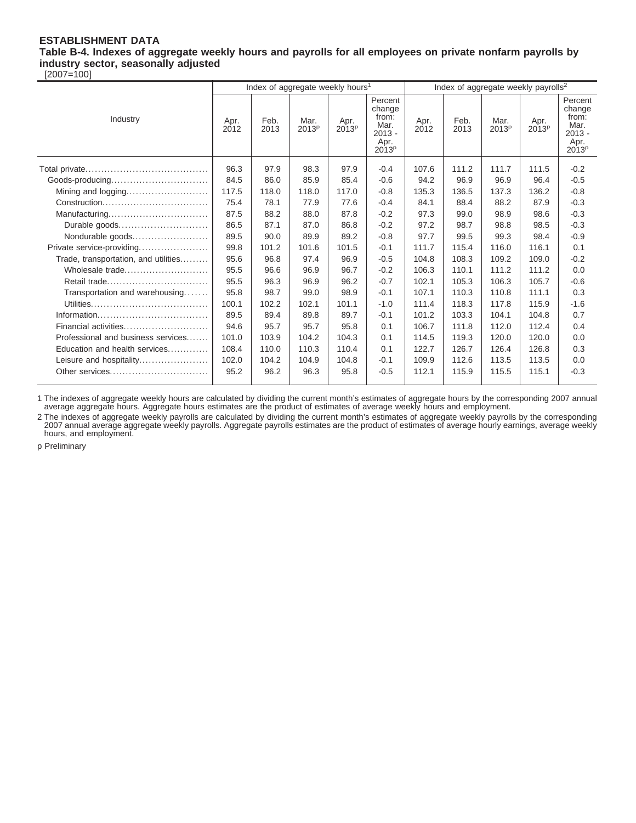**Table B-4. Indexes of aggregate weekly hours and payrolls for all employees on private nonfarm payrolls by industry sector, seasonally adjusted**

[2007=100]

|                                      | Index of aggregate weekly hours <sup>1</sup> |              |                           |                           |                                                                                        | Index of aggregate weekly payrolls <sup>2</sup> |              |                           |                           |                                                                             |  |
|--------------------------------------|----------------------------------------------|--------------|---------------------------|---------------------------|----------------------------------------------------------------------------------------|-------------------------------------------------|--------------|---------------------------|---------------------------|-----------------------------------------------------------------------------|--|
| Industry                             | Apr.<br>2012                                 | Feb.<br>2013 | Mar.<br>2013 <sup>P</sup> | Apr.<br>2013 <sup>P</sup> | Percent<br>change<br>from:<br>Mar.<br>$2013 -$<br>Apr.<br>20 <sup>13<sup>p</sup></sup> | Apr.<br>2012                                    | Feb.<br>2013 | Mar.<br>2013 <sup>p</sup> | Apr.<br>2013 <sup>p</sup> | Percent<br>change<br>from:<br>Mar.<br>$2013 -$<br>Apr.<br>2013 <sup>p</sup> |  |
|                                      | 96.3                                         | 97.9         | 98.3                      | 97.9                      | $-0.4$                                                                                 | 107.6                                           | 111.2        | 111.7                     | 111.5                     | $-0.2$                                                                      |  |
| Goods-producing                      | 84.5                                         | 86.0         | 85.9                      | 85.4                      | $-0.6$                                                                                 | 94.2                                            | 96.9         | 96.9                      | 96.4                      | $-0.5$                                                                      |  |
| Mining and logging                   | 117.5                                        | 118.0        | 118.0                     | 117.0                     | $-0.8$                                                                                 | 135.3                                           | 136.5        | 137.3                     | 136.2                     | $-0.8$                                                                      |  |
| Construction                         | 75.4                                         | 78.1         | 77.9                      | 77.6                      | $-0.4$                                                                                 | 84.1                                            | 88.4         | 88.2                      | 87.9                      | $-0.3$                                                                      |  |
| Manufacturing                        | 87.5                                         | 88.2         | 88.0                      | 87.8                      | $-0.2$                                                                                 | 97.3                                            | 99.0         | 98.9                      | 98.6                      | $-0.3$                                                                      |  |
| Durable goods                        | 86.5                                         | 87.1         | 87.0                      | 86.8                      | $-0.2$                                                                                 | 97.2                                            | 98.7         | 98.8                      | 98.5                      | $-0.3$                                                                      |  |
| Nondurable goods                     | 89.5                                         | 90.0         | 89.9                      | 89.2                      | $-0.8$                                                                                 | 97.7                                            | 99.5         | 99.3                      | 98.4                      | $-0.9$                                                                      |  |
| Private service-providing            | 99.8                                         | 101.2        | 101.6                     | 101.5                     | $-0.1$                                                                                 | 111.7                                           | 115.4        | 116.0                     | 116.1                     | 0.1                                                                         |  |
| Trade, transportation, and utilities | 95.6                                         | 96.8         | 97.4                      | 96.9                      | $-0.5$                                                                                 | 104.8                                           | 108.3        | 109.2                     | 109.0                     | $-0.2$                                                                      |  |
| Wholesale trade                      | 95.5                                         | 96.6         | 96.9                      | 96.7                      | $-0.2$                                                                                 | 106.3                                           | 110.1        | 111.2                     | 111.2                     | 0.0                                                                         |  |
| Retail trade                         | 95.5                                         | 96.3         | 96.9                      | 96.2                      | $-0.7$                                                                                 | 102.1                                           | 105.3        | 106.3                     | 105.7                     | $-0.6$                                                                      |  |
| Transportation and warehousing       | 95.8                                         | 98.7         | 99.0                      | 98.9                      | $-0.1$                                                                                 | 107.1                                           | 110.3        | 110.8                     | 111.1                     | 0.3                                                                         |  |
|                                      | 100.1                                        | 102.2        | 102.1                     | 101.1                     | $-1.0$                                                                                 | 111.4                                           | 118.3        | 117.8                     | 115.9                     | $-1.6$                                                                      |  |
| Information                          | 89.5                                         | 89.4         | 89.8                      | 89.7                      | $-0.1$                                                                                 | 101.2                                           | 103.3        | 104.1                     | 104.8                     | 0.7                                                                         |  |
| Financial activities                 | 94.6                                         | 95.7         | 95.7                      | 95.8                      | 0.1                                                                                    | 106.7                                           | 111.8        | 112.0                     | 112.4                     | 0.4                                                                         |  |
| Professional and business services   | 101.0                                        | 103.9        | 104.2                     | 104.3                     | 0.1                                                                                    | 114.5                                           | 119.3        | 120.0                     | 120.0                     | 0.0                                                                         |  |
| Education and health services        | 108.4                                        | 110.0        | 110.3                     | 110.4                     | 0.1                                                                                    | 122.7                                           | 126.7        | 126.4                     | 126.8                     | 0.3                                                                         |  |
| Leisure and hospitality              | 102.0                                        | 104.2        | 104.9                     | 104.8                     | $-0.1$                                                                                 | 109.9                                           | 112.6        | 113.5                     | 113.5                     | 0.0                                                                         |  |
| Other services                       | 95.2                                         | 96.2         | 96.3                      | 95.8                      | $-0.5$                                                                                 | 112.1                                           | 115.9        | 115.5                     | 115.1                     | $-0.3$                                                                      |  |

1 The indexes of aggregate weekly hours are calculated by dividing the current month's estimates of aggregate hours by the corresponding 2007 annual<br>average aggregate hours. Aggregate hours estimates are the product of est

2 The indexes of aggregate weekly payrolls are calculated by dividing the current month's estimates of aggregate weekly payrolls by the corresponding<br>2007 annual average aggregate weekly payrolls. Aggregate payrolls estima hours, and employment.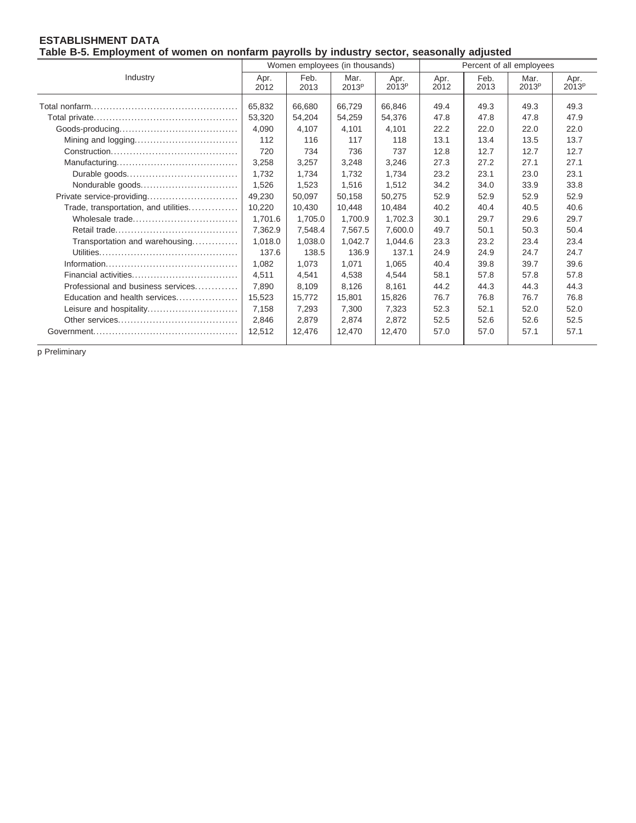### **ESTABLISHMENT DATA Table B-5. Employment of women on nonfarm payrolls by industry sector, seasonally adjusted**

|                                      |              | Women employees (in thousands) |                           |                           | Percent of all employees |              |                           |                           |  |
|--------------------------------------|--------------|--------------------------------|---------------------------|---------------------------|--------------------------|--------------|---------------------------|---------------------------|--|
| Industry                             | Apr.<br>2012 | Feb.<br>2013                   | Mar.<br>2013 <sup>p</sup> | Apr.<br>2013 <sup>p</sup> | Apr.<br>2012             | Feb.<br>2013 | Mar.<br>2013 <sup>p</sup> | Apr.<br>2013 <sup>p</sup> |  |
|                                      | 65.832       | 66.680                         | 66.729                    | 66.846                    | 49.4                     | 49.3         | 49.3                      | 49.3                      |  |
|                                      | 53,320       | 54,204                         | 54.259                    | 54.376                    | 47.8                     | 47.8         | 47.8                      | 47.9                      |  |
|                                      | 4.090        | 4.107                          | 4.101                     | 4.101                     | 22.2                     | 22.0         | 22.0                      | 22.0                      |  |
|                                      | 112          | 116                            | 117                       | 118                       | 13.1                     | 13.4         | 13.5                      | 13.7                      |  |
|                                      | 720          | 734                            | 736                       | 737                       | 12.8                     | 12.7         | 12.7                      | 12.7                      |  |
|                                      | 3,258        | 3,257                          | 3,248                     | 3,246                     | 27.3                     | 27.2         | 27.1                      | 27.1                      |  |
|                                      | 1.732        | 1.734                          | 1.732                     | 1.734                     | 23.2                     | 23.1         | 23.0                      | 23.1                      |  |
| Nondurable goods                     | 1.526        | 1,523                          | 1.516                     | 1.512                     | 34.2                     | 34.0         | 33.9                      | 33.8                      |  |
| Private service-providing            | 49.230       | 50.097                         | 50,158                    | 50,275                    | 52.9                     | 52.9         | 52.9                      | 52.9                      |  |
| Trade, transportation, and utilities | 10.220       | 10,430                         | 10.448                    | 10.484                    | 40.2                     | 40.4         | 40.5                      | 40.6                      |  |
| Wholesale trade                      | 1.701.6      | 1,705.0                        | 1,700.9                   | 1,702.3                   | 30.1                     | 29.7         | 29.6                      | 29.7                      |  |
|                                      | 7.362.9      | 7,548.4                        | 7,567.5                   | 7,600.0                   | 49.7                     | 50.1         | 50.3                      | 50.4                      |  |
| Transportation and warehousing       | 1,018.0      | 1,038.0                        | 1,042.7                   | 1,044.6                   | 23.3                     | 23.2         | 23.4                      | 23.4                      |  |
|                                      | 137.6        | 138.5                          | 136.9                     | 137.1                     | 24.9                     | 24.9         | 24.7                      | 24.7                      |  |
|                                      | 1,082        | 1,073                          | 1,071                     | 1,065                     | 40.4                     | 39.8         | 39.7                      | 39.6                      |  |
|                                      | 4.511        | 4.541                          | 4.538                     | 4.544                     | 58.1                     | 57.8         | 57.8                      | 57.8                      |  |
| Professional and business services   | 7.890        | 8,109                          | 8,126                     | 8,161                     | 44.2                     | 44.3         | 44.3                      | 44.3                      |  |
| Education and health services        | 15.523       | 15.772                         | 15.801                    | 15.826                    | 76.7                     | 76.8         | 76.7                      | 76.8                      |  |
|                                      | 7.158        | 7,293                          | 7.300                     | 7,323                     | 52.3                     | 52.1         | 52.0                      | 52.0                      |  |
|                                      | 2.846        | 2.879                          | 2.874                     | 2.872                     | 52.5                     | 52.6         | 52.6                      | 52.5                      |  |
|                                      | 12,512       | 12,476                         | 12,470                    | 12,470                    | 57.0                     | 57.0         | 57.1                      | 57.1                      |  |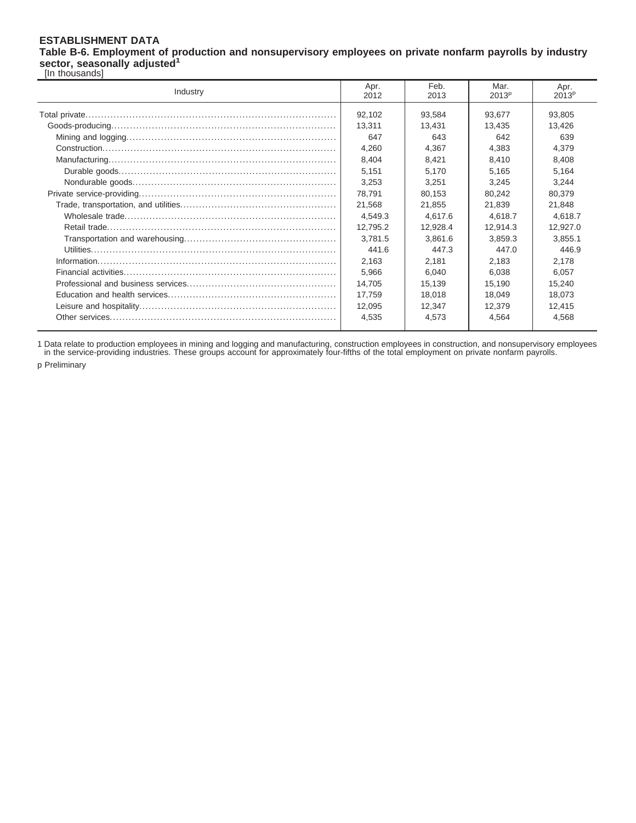#### **Table B-6. Employment of production and nonsupervisory employees on private nonfarm payrolls by industry sector, seasonally adjusted<sup>1</sup>**

[In thousands]

| Industry | Apr.<br>2012 | Feb.<br>2013 | Mar.<br>2013 <sup>p</sup> | Apr.<br>2013 <sup>p</sup> |
|----------|--------------|--------------|---------------------------|---------------------------|
|          | 92,102       | 93.584       | 93.677                    | 93.805                    |
|          | 13.311       | 13.431       | 13.435                    | 13,426                    |
|          | 647          | 643          | 642                       | 639                       |
|          | 4.260        | 4.367        | 4.383                     | 4.379                     |
|          | 8,404        | 8,421        | 8.410                     | 8,408                     |
|          | 5.151        | 5.170        | 5,165                     | 5,164                     |
|          | 3.253        | 3.251        | 3.245                     | 3.244                     |
|          | 78.791       | 80.153       | 80.242                    | 80,379                    |
|          | 21,568       | 21,855       | 21,839                    | 21,848                    |
|          | 4.549.3      | 4.617.6      | 4.618.7                   | 4.618.7                   |
|          | 12.795.2     | 12.928.4     | 12.914.3                  | 12.927.0                  |
|          | 3.781.5      | 3.861.6      | 3.859.3                   | 3.855.1                   |
|          | 441.6        | 447.3        | 447.0                     | 446.9                     |
|          | 2,163        | 2,181        | 2,183                     | 2,178                     |
|          | 5.966        | 6.040        | 6.038                     | 6.057                     |
|          | 14.705       | 15.139       | 15.190                    | 15,240                    |
|          | 17,759       | 18.018       | 18.049                    | 18.073                    |
|          | 12,095       | 12,347       | 12,379                    | 12,415                    |
|          | 4,535        | 4.573        | 4,564                     | 4,568                     |
|          |              |              |                           |                           |

1 Data relate to production employees in mining and logging and manufacturing, construction employees in construction, and nonsupervisory employees<br>in the service-providing industries. These groups account for approximatel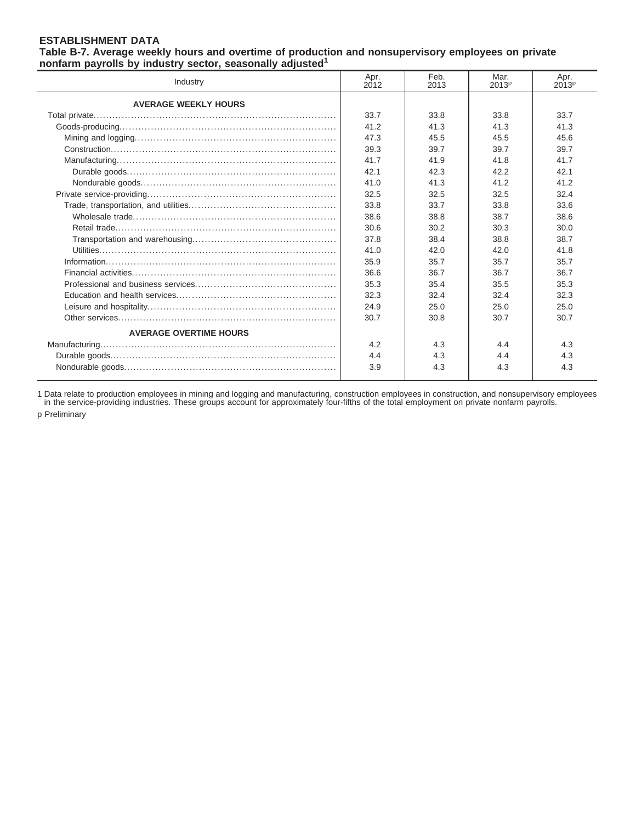| Industry                      | Apr.<br>2012 | Feb.<br>2013 | Mar.<br>2013 <sup>p</sup> | Apr.<br>2013 <sup>p</sup> |
|-------------------------------|--------------|--------------|---------------------------|---------------------------|
| <b>AVERAGE WEEKLY HOURS</b>   |              |              |                           |                           |
|                               | 33.7         | 33.8         | 33.8                      | 33.7                      |
|                               | 41.2         | 41.3         | 41.3                      | 41.3                      |
|                               | 47.3         | 45.5         | 45.5                      | 45.6                      |
|                               | 39.3         | 39.7         | 39.7                      | 39.7                      |
|                               | 41.7         | 41.9         | 41.8                      | 41.7                      |
|                               | 42.1         | 42.3         | 42.2                      | 42.1                      |
|                               | 41.0         | 41.3         | 41.2                      | 41.2                      |
|                               | 32.5         | 32.5         | 32.5                      | 32.4                      |
|                               | 33.8         | 33.7         | 33.8                      | 33.6                      |
|                               | 38.6         | 38.8         | 38.7                      | 38.6                      |
|                               | 30.6         | 30.2         | 30.3                      | 30.0                      |
|                               | 37.8         | 38.4         | 38.8                      | 38.7                      |
|                               | 41.0         | 42.0         | 42.0                      | 41.8                      |
|                               | 35.9         | 35.7         | 35.7                      | 35.7                      |
|                               | 36.6         | 36.7         | 36.7                      | 36.7                      |
|                               | 35.3         | 35.4         | 35.5                      | 35.3                      |
|                               | 32.3         | 32.4         | 32.4                      | 32.3                      |
|                               | 24.9         | 25.0         | 25.0                      | 25.0                      |
|                               | 30.7         | 30.8         | 30.7                      | 30.7                      |
| <b>AVERAGE OVERTIME HOURS</b> |              |              |                           |                           |
|                               | 4.2          | 4.3          | 4.4                       | 4.3                       |
|                               | 4.4          | 4.3          | 4.4                       | 4.3                       |
|                               | 3.9          | 4.3          | 4.3                       | 4.3                       |

**Table B-7. Average weekly hours and overtime of production and nonsupervisory employees on private nonfarm payrolls by industry sector, seasonally adjusted<sup>1</sup>**

1 Data relate to production employees in mining and logging and manufacturing, construction employees in construction, and nonsupervisory employees<br>in the service-providing industries. These groups account for approximatel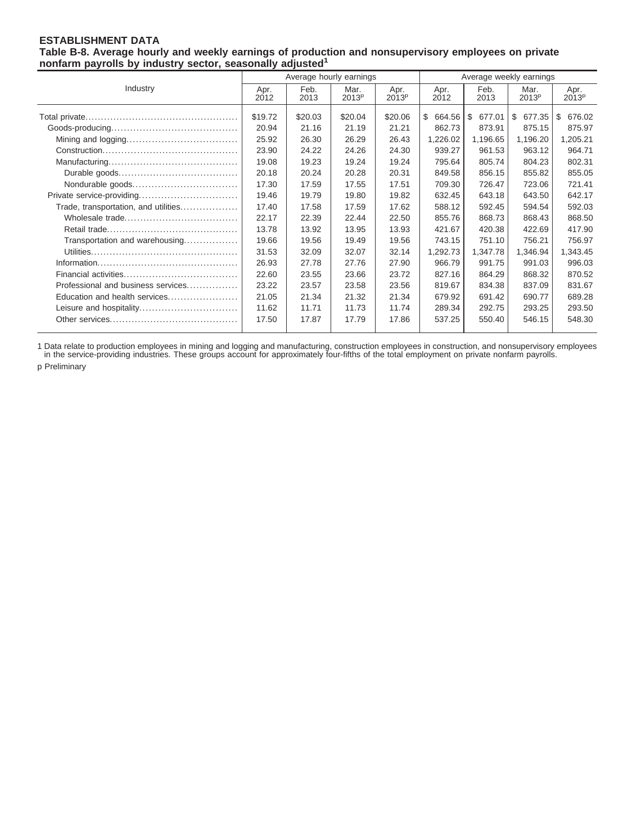#### **Table B-8. Average hourly and weekly earnings of production and nonsupervisory employees on private nonfarm payrolls by industry sector, seasonally adjusted<sup>1</sup>**

|                                      |              | Average hourly earnings |                           |                           | Average weekly earnings |              |                           |                           |  |
|--------------------------------------|--------------|-------------------------|---------------------------|---------------------------|-------------------------|--------------|---------------------------|---------------------------|--|
| Industry                             | Apr.<br>2012 | Feb.<br>2013            | Mar.<br>2013 <sup>p</sup> | Apr.<br>2013 <sup>p</sup> | Apr.<br>2012            | Feb.<br>2013 | Mar.<br>2013 <sup>p</sup> | Apr.<br>2013 <sup>p</sup> |  |
|                                      | \$19.72      | \$20.03                 | \$20.04                   | \$20.06                   | \$ 664.56               | \$677.01     | \$677.35                  | 676.02<br>\$              |  |
|                                      | 20.94        | 21.16                   | 21.19                     | 21.21                     | 862.73                  | 873.91       | 875.15                    | 875.97                    |  |
|                                      | 25.92        | 26.30                   | 26.29                     | 26.43                     | 1,226.02                | 1,196.65     | 1,196.20                  | 1,205.21                  |  |
|                                      | 23.90        | 24.22                   | 24.26                     | 24.30                     | 939.27                  | 961.53       | 963.12                    | 964.71                    |  |
|                                      | 19.08        | 19.23                   | 19.24                     | 19.24                     | 795.64                  | 805.74       | 804.23                    | 802.31                    |  |
|                                      | 20.18        | 20.24                   | 20.28                     | 20.31                     | 849.58                  | 856.15       | 855.82                    | 855.05                    |  |
|                                      | 17.30        | 17.59                   | 17.55                     | 17.51                     | 709.30                  | 726.47       | 723.06                    | 721.41                    |  |
| Private service-providing            | 19.46        | 19.79                   | 19.80                     | 19.82                     | 632.45                  | 643.18       | 643.50                    | 642.17                    |  |
| Trade, transportation, and utilities | 17.40        | 17.58                   | 17.59                     | 17.62                     | 588.12                  | 592.45       | 594.54                    | 592.03                    |  |
|                                      | 22.17        | 22.39                   | 22.44                     | 22.50                     | 855.76                  | 868.73       | 868.43                    | 868.50                    |  |
|                                      | 13.78        | 13.92                   | 13.95                     | 13.93                     | 421.67                  | 420.38       | 422.69                    | 417.90                    |  |
| Transportation and warehousing       | 19.66        | 19.56                   | 19.49                     | 19.56                     | 743.15                  | 751.10       | 756.21                    | 756.97                    |  |
|                                      | 31.53        | 32.09                   | 32.07                     | 32.14                     | 1,292.73                | 1,347.78     | 1,346.94                  | 1,343.45                  |  |
|                                      | 26.93        | 27.78                   | 27.76                     | 27.90                     | 966.79                  | 991.75       | 991.03                    | 996.03                    |  |
|                                      | 22.60        | 23.55                   | 23.66                     | 23.72                     | 827.16                  | 864.29       | 868.32                    | 870.52                    |  |
| Professional and business services   | 23.22        | 23.57                   | 23.58                     | 23.56                     | 819.67                  | 834.38       | 837.09                    | 831.67                    |  |
| Education and health services        | 21.05        | 21.34                   | 21.32                     | 21.34                     | 679.92                  | 691.42       | 690.77                    | 689.28                    |  |
| Leisure and hospitality              | 11.62        | 11.71                   | 11.73                     | 11.74                     | 289.34                  | 292.75       | 293.25                    | 293.50                    |  |
|                                      | 17.50        | 17.87                   | 17.79                     | 17.86                     | 537.25                  | 550.40       | 546.15                    | 548.30                    |  |

1 Data relate to production employees in mining and logging and manufacturing, construction employees in construction, and nonsupervisory employees<br>in the service-providing industries. These groups account for approximatel